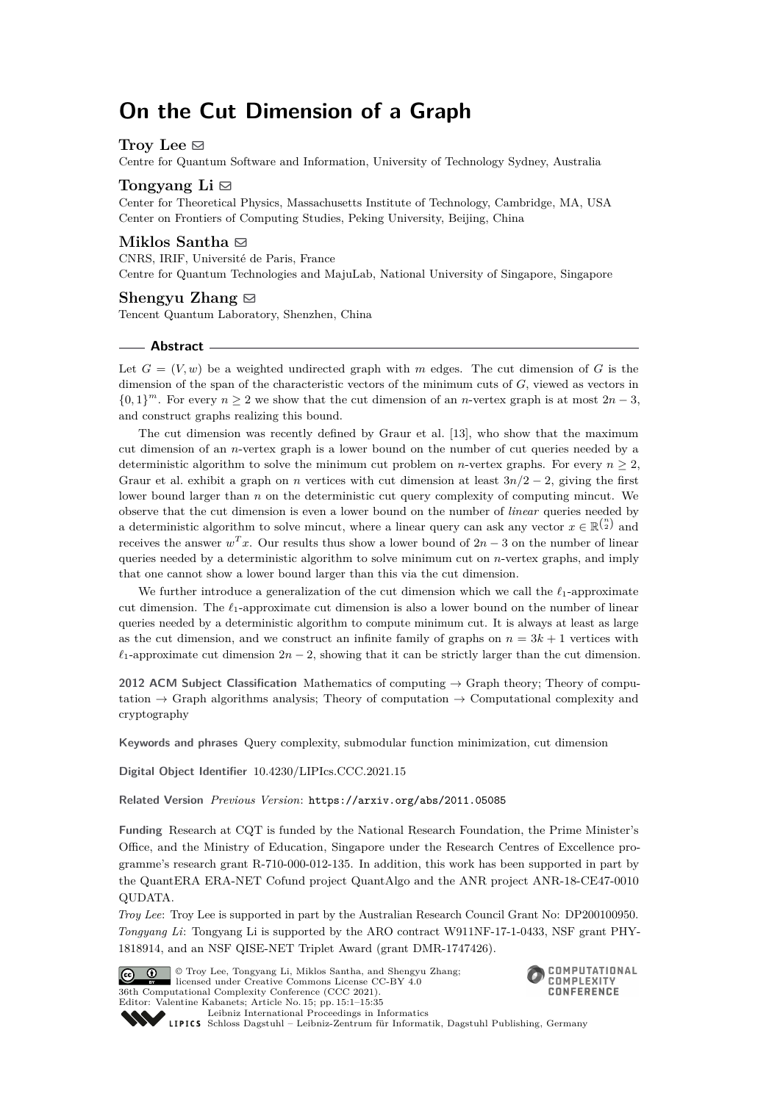# **On the Cut Dimension of a Graph**

# Troy Lee  $\boxtimes$

Centre for Quantum Software and Information, University of Technology Sydney, Australia

## **Tongyang Li**  $\boxtimes$

Center for Theoretical Physics, Massachusetts Institute of Technology, Cambridge, MA, USA Center on Frontiers of Computing Studies, Peking University, Beijing, China

## **Miklos Santha** ⊠

CNRS, IRIF, Université de Paris, France Centre for Quantum Technologies and MajuLab, National University of Singapore, Singapore

#### **Shengyu Zhang**  $\boxtimes$

Tencent Quantum Laboratory, Shenzhen, China

## **Abstract**

Let  $G = (V, w)$  be a weighted undirected graph with *m* edges. The cut dimension of *G* is the dimension of the span of the characteristic vectors of the minimum cuts of *G*, viewed as vectors in  $\{0,1\}^m$ . For every  $n \geq 2$  we show that the cut dimension of an *n*-vertex graph is at most  $2n-3$ , and construct graphs realizing this bound.

The cut dimension was recently defined by Graur et al. [\[13\]](#page-32-0), who show that the maximum cut dimension of an *n*-vertex graph is a lower bound on the number of cut queries needed by a deterministic algorithm to solve the minimum cut problem on *n*-vertex graphs. For every  $n \geq 2$ , Graur et al. exhibit a graph on *n* vertices with cut dimension at least  $3n/2 - 2$ , giving the first lower bound larger than *n* on the deterministic cut query complexity of computing mincut. We observe that the cut dimension is even a lower bound on the number of *linear* queries needed by a deterministic algorithm to solve mincut, where a linear query can ask any vector  $x \in \mathbb{R}^{n \choose 2}$  and receives the answer  $w<sup>T</sup>x$ . Our results thus show a lower bound of  $2n-3$  on the number of linear queries needed by a deterministic algorithm to solve minimum cut on *n*-vertex graphs, and imply that one cannot show a lower bound larger than this via the cut dimension.

We further introduce a generalization of the cut dimension which we call the *ℓ*1-approximate cut dimension. The *ℓ*1-approximate cut dimension is also a lower bound on the number of linear queries needed by a deterministic algorithm to compute minimum cut. It is always at least as large as the cut dimension, and we construct an infinite family of graphs on  $n = 3k + 1$  vertices with  $\ell_1$ -approximate cut dimension  $2n-2$ , showing that it can be strictly larger than the cut dimension.

**2012 ACM Subject Classification** Mathematics of computing → Graph theory; Theory of computation  $\rightarrow$  Graph algorithms analysis; Theory of computation  $\rightarrow$  Computational complexity and cryptography

**Keywords and phrases** Query complexity, submodular function minimization, cut dimension

**Digital Object Identifier** [10.4230/LIPIcs.CCC.2021.15](https://doi.org/10.4230/LIPIcs.CCC.2021.15)

**Related Version** *Previous Version*: <https://arxiv.org/abs/2011.05085>

**Funding** Research at CQT is funded by the National Research Foundation, the Prime Minister's Office, and the Ministry of Education, Singapore under the Research Centres of Excellence programme's research grant R-710-000-012-135. In addition, this work has been supported in part by the QuantERA ERA-NET Cofund project QuantAlgo and the ANR project ANR-18-CE47-0010 QUDATA.

*Troy Lee*: Troy Lee is supported in part by the Australian Research Council Grant No: DP200100950. *Tongyang Li*: Tongyang Li is supported by the ARO contract W911NF-17-1-0433, NSF grant PHY-1818914, and an NSF QISE-NET Triplet Award (grant DMR-1747426).



© Troy Lee, Tongyang Li, Miklos Santha, and Shengyu Zhang; licensed under Creative Commons License CC-BY 4.0 36th Computational Complexity Conference (CCC 2021). Editor: Valentine Kabanets; Article No. 15; pp. 15:1–15:35



[Leibniz International Proceedings in Informatics](https://www.dagstuhl.de/lipics/) Leibniz International Froceedings in Informatik, Dagstuhl Publishing, Germany<br>LIPICS [Schloss Dagstuhl – Leibniz-Zentrum für Informatik, Dagstuhl Publishing, Germany](https://www.dagstuhl.de)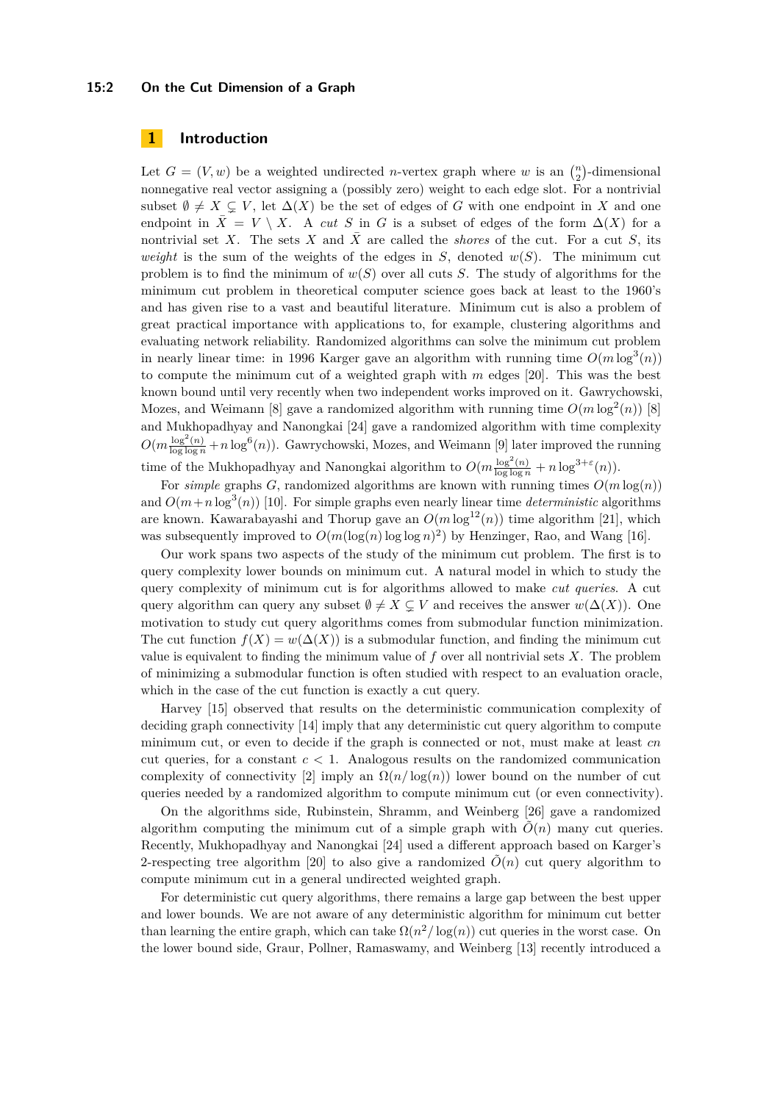## **15:2 On the Cut Dimension of a Graph**

# **1 Introduction**

Let  $G = (V, w)$  be a weighted undirected *n*-vertex graph where *w* is an  $\binom{n}{2}$ -dimensional nonnegative real vector assigning a (possibly zero) weight to each edge slot. For a nontrivial subset  $\emptyset \neq X \subseteq V$ , let  $\Delta(X)$  be the set of edges of *G* with one endpoint in *X* and one endpoint in  $\bar{X} = V \setminus X$ . A *cut S* in *G* is a subset of edges of the form  $\Delta(X)$  for a nontrivial set X. The sets X and  $\bar{X}$  are called the *shores* of the cut. For a cut S, its *weight* is the sum of the weights of the edges in *S*, denoted  $w(S)$ . The minimum cut problem is to find the minimum of *w*(*S*) over all cuts *S*. The study of algorithms for the minimum cut problem in theoretical computer science goes back at least to the 1960's and has given rise to a vast and beautiful literature. Minimum cut is also a problem of great practical importance with applications to, for example, clustering algorithms and evaluating network reliability. Randomized algorithms can solve the minimum cut problem in nearly linear time: in 1996 Karger gave an algorithm with running time  $O(m \log^3(n))$ to compute the minimum cut of a weighted graph with *m* edges [\[20\]](#page-32-1). This was the best known bound until very recently when two independent works improved on it. Gawrychowski, Mozes, and Weimann [\[8\]](#page-31-0) gave a randomized algorithm with running time  $O(m \log^2(n))$  [8] and Mukhopadhyay and Nanongkai [\[24\]](#page-32-2) gave a randomized algorithm with time complexity  $O(m\frac{\log^2(n)}{\log\log n} + n\log^6(n))$ . Gawrychowski, Mozes, and Weimann [\[9\]](#page-31-1) later improved the running time of the Mukhopadhyay and Nanongkai algorithm to  $O(m \frac{\log^2(n)}{\log \log n} + n \log^{3+\varepsilon}(n)).$ 

For *simple* graphs *G*, randomized algorithms are known with running times  $O(m \log(n))$ and  $O(m+n \log^3(n))$  [\[10\]](#page-31-2). For simple graphs even nearly linear time *deterministic* algorithms are known. Kawarabayashi and Thorup gave an  $O(m \log^{12}(n))$  time algorithm [\[21\]](#page-32-3), which was subsequently improved to  $O(m(\log(n) \log \log n)^2)$  by Henzinger, Rao, and Wang [\[16\]](#page-32-4).

Our work spans two aspects of the study of the minimum cut problem. The first is to query complexity lower bounds on minimum cut. A natural model in which to study the query complexity of minimum cut is for algorithms allowed to make *cut queries*. A cut query algorithm can query any subset  $\emptyset \neq X \subseteq V$  and receives the answer  $w(\Delta(X))$ . One motivation to study cut query algorithms comes from submodular function minimization. The cut function  $f(X) = w(\Delta(X))$  is a submodular function, and finding the minimum cut value is equivalent to finding the minimum value of *f* over all nontrivial sets *X*. The problem of minimizing a submodular function is often studied with respect to an evaluation oracle, which in the case of the cut function is exactly a cut query.

Harvey [\[15\]](#page-32-5) observed that results on the deterministic communication complexity of deciding graph connectivity [\[14\]](#page-32-6) imply that any deterministic cut query algorithm to compute minimum cut, or even to decide if the graph is connected or not, must make at least *cn* cut queries, for a constant  $c < 1$ . Analogous results on the randomized communication complexity of connectivity  $[2]$  imply an  $\Omega(n/\log(n))$  lower bound on the number of cut queries needed by a randomized algorithm to compute minimum cut (or even connectivity).

On the algorithms side, Rubinstein, Shramm, and Weinberg [\[26\]](#page-32-7) gave a randomized algorithm computing the minimum cut of a simple graph with  $\tilde{O}(n)$  many cut queries. Recently, Mukhopadhyay and Nanongkai [\[24\]](#page-32-2) used a different approach based on Karger's 2-respecting tree algorithm [\[20\]](#page-32-1) to also give a randomized  $O(n)$  cut query algorithm to compute minimum cut in a general undirected weighted graph.

For deterministic cut query algorithms, there remains a large gap between the best upper and lower bounds. We are not aware of any deterministic algorithm for minimum cut better than learning the entire graph, which can take  $\Omega(n^2/\log(n))$  cut queries in the worst case. On the lower bound side, Graur, Pollner, Ramaswamy, and Weinberg [\[13\]](#page-32-0) recently introduced a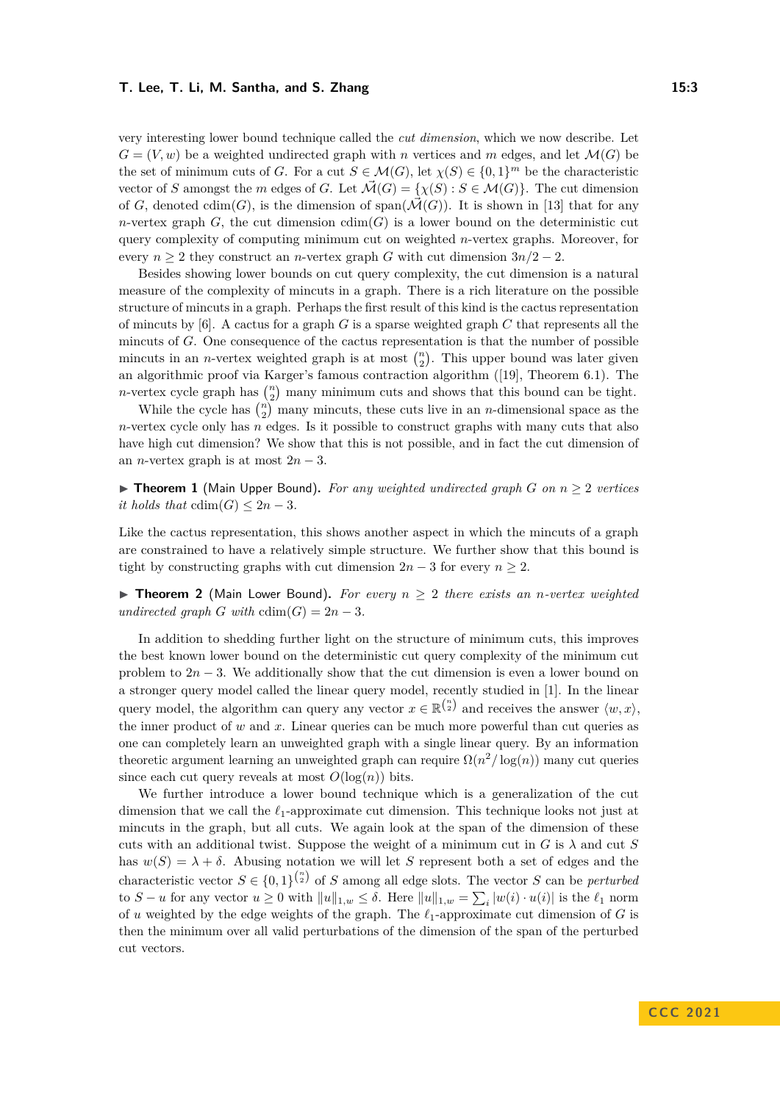very interesting lower bound technique called the *cut dimension*, which we now describe. Let  $G = (V, w)$  be a weighted undirected graph with *n* vertices and *m* edges, and let  $\mathcal{M}(G)$  be the set of minimum cuts of *G*. For a cut  $S \in \mathcal{M}(G)$ , let  $\chi(S) \in \{0,1\}^m$  be the characteristic vector of *S* amongst the *m* edges of *G*. Let  $\vec{\mathcal{M}}(G) = \{\chi(S) : S \in \mathcal{M}(G)\}\)$ . The cut dimension of *G*, denoted cdim(*G*), is the dimension of span( $\mathcal{M}(G)$ ). It is shown in [\[13\]](#page-32-0) that for any *n*-vertex graph *G*, the cut dimension  $cdim(G)$  is a lower bound on the deterministic cut query complexity of computing minimum cut on weighted *n*-vertex graphs. Moreover, for every  $n \geq 2$  they construct an *n*-vertex graph *G* with cut dimension  $3n/2 - 2$ .

Besides showing lower bounds on cut query complexity, the cut dimension is a natural measure of the complexity of mincuts in a graph. There is a rich literature on the possible structure of mincuts in a graph. Perhaps the first result of this kind is the cactus representation of mincuts by [\[6\]](#page-31-4). A cactus for a graph *G* is a sparse weighted graph *C* that represents all the mincuts of *G*. One consequence of the cactus representation is that the number of possible mincuts in an *n*-vertex weighted graph is at most  $\binom{n}{2}$ . This upper bound was later given an algorithmic proof via Karger's famous contraction algorithm ([\[19\]](#page-32-8), Theorem 6.1). The *n*-vertex cycle graph has  $\binom{n}{2}$  many minimum cuts and shows that this bound can be tight.

While the cycle has  $\binom{n}{2}$  many mincuts, these cuts live in an *n*-dimensional space as the *n*-vertex cycle only has *n* edges. Is it possible to construct graphs with many cuts that also have high cut dimension? We show that this is not possible, and in fact the cut dimension of an *n*-vertex graph is at most  $2n - 3$ .

<span id="page-2-0"></span>▶ **Theorem 1** (Main Upper Bound). For any weighted undirected graph *G* on  $n ≥ 2$  vertices *it holds that*  $cdim(G) \leq 2n - 3$ *.* 

Like the cactus representation, this shows another aspect in which the mincuts of a graph are constrained to have a relatively simple structure. We further show that this bound is tight by constructing graphs with cut dimension  $2n-3$  for every  $n \geq 2$ .

<span id="page-2-1"></span>▶ **Theorem 2** (Main Lower Bound). For every  $n \geq 2$  there exists an *n*-vertex weighted *undirected graph G with*  $\text{cdim}(G) = 2n - 3$ *.* 

In addition to shedding further light on the structure of minimum cuts, this improves the best known lower bound on the deterministic cut query complexity of the minimum cut problem to  $2n-3$ . We additionally show that the cut dimension is even a lower bound on a stronger query model called the linear query model, recently studied in [\[1\]](#page-31-5). In the linear query model, the algorithm can query any vector  $x \in \mathbb{R}^{n \choose 2}$  and receives the answer  $\langle w, x \rangle$ , the inner product of  $w$  and  $x$ . Linear queries can be much more powerful than cut queries as one can completely learn an unweighted graph with a single linear query. By an information theoretic argument learning an unweighted graph can require  $\Omega(n^2/\log(n))$  many cut queries since each cut query reveals at most  $O(\log(n))$  bits.

We further introduce a lower bound technique which is a generalization of the cut dimension that we call the *ℓ*1-approximate cut dimension. This technique looks not just at mincuts in the graph, but all cuts. We again look at the span of the dimension of these cuts with an additional twist. Suppose the weight of a minimum cut in  $G$  is  $\lambda$  and cut  $S$ has  $w(S) = \lambda + \delta$ . Abusing notation we will let *S* represent both a set of edges and the characteristic vector  $S \in \{0,1\}^{n \choose 2}$  of *S* among all edge slots. The vector *S* can be *perturbed* to  $S - u$  for any vector  $u \ge 0$  with  $||u||_{1,w} \le \delta$ . Here  $||u||_{1,w} = \sum_i |w(i) \cdot u(i)|$  is the  $\ell_1$  norm of *u* weighted by the edge weights of the graph. The *ℓ*1-approximate cut dimension of *G* is then the minimum over all valid perturbations of the dimension of the span of the perturbed cut vectors.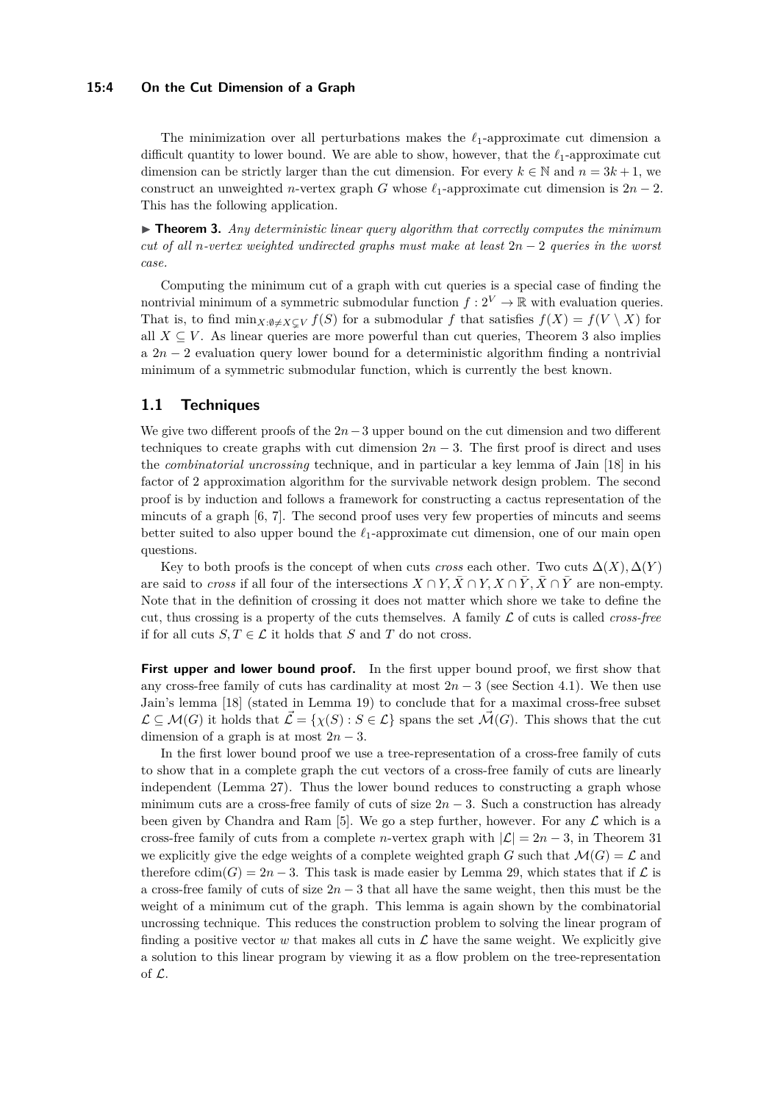## **15:4 On the Cut Dimension of a Graph**

The minimization over all perturbations makes the *ℓ*1-approximate cut dimension a difficult quantity to lower bound. We are able to show, however, that the *ℓ*1-approximate cut dimension can be strictly larger than the cut dimension. For every  $k \in \mathbb{N}$  and  $n = 3k + 1$ , we construct an unweighted *n*-vertex graph *G* whose  $\ell_1$ -approximate cut dimension is  $2n-2$ . This has the following application.

<span id="page-3-0"></span> $\triangleright$  **Theorem 3.** Any deterministic linear query algorithm that correctly computes the minimum *cut of all n-vertex weighted undirected graphs must make at least* 2*n* − 2 *queries in the worst case.*

Computing the minimum cut of a graph with cut queries is a special case of finding the nontrivial minimum of a symmetric submodular function  $f: 2^V \to \mathbb{R}$  with evaluation queries. That is, to find  $\min_{X:\emptyset \neq X \subset V} f(S)$  for a submodular f that satisfies  $f(X) = f(V \setminus X)$  for all  $X \subseteq V$ . As linear queries are more powerful than cut queries, Theorem [3](#page-3-0) also implies a 2*n* − 2 evaluation query lower bound for a deterministic algorithm finding a nontrivial minimum of a symmetric submodular function, which is currently the best known.

# **1.1 Techniques**

We give two different proofs of the 2*n*−3 upper bound on the cut dimension and two different techniques to create graphs with cut dimension  $2n - 3$ . The first proof is direct and uses the *combinatorial uncrossing* technique, and in particular a key lemma of Jain [\[18\]](#page-32-9) in his factor of 2 approximation algorithm for the survivable network design problem. The second proof is by induction and follows a framework for constructing a cactus representation of the mincuts of a graph [\[6,](#page-31-4) [7\]](#page-31-6). The second proof uses very few properties of mincuts and seems better suited to also upper bound the *ℓ*1-approximate cut dimension, one of our main open questions.

Key to both proofs is the concept of when cuts *cross* each other. Two cuts  $\Delta(X)$ ,  $\Delta(Y)$ are said to *cross* if all four of the intersections  $X \cap Y$ ,  $\overline{X} \cap \overline{Y}$ ,  $\overline{X} \cap \overline{Y}$  are non-empty. Note that in the definition of crossing it does not matter which shore we take to define the cut, thus crossing is a property of the cuts themselves. A family L of cuts is called *cross-free* if for all cuts  $S, T \in \mathcal{L}$  it holds that *S* and *T* do not cross.

**First upper and lower bound proof.** In the first upper bound proof, we first show that any cross-free family of cuts has cardinality at most  $2n-3$  (see Section [4.1\)](#page-11-0). We then use Jain's lemma [\[18\]](#page-32-9) (stated in Lemma [19\)](#page-13-0) to conclude that for a maximal cross-free subset  $\mathcal{L} \subseteq \mathcal{M}(G)$  it holds that  $\mathcal{L} = \{ \chi(S) : S \in \mathcal{L} \}$  spans the set  $\mathcal{M}(G)$ . This shows that the cut dimension of a graph is at most  $2n-3$ .

In the first lower bound proof we use a tree-representation of a cross-free family of cuts to show that in a complete graph the cut vectors of a cross-free family of cuts are linearly independent (Lemma [27\)](#page-16-0). Thus the lower bound reduces to constructing a graph whose minimum cuts are a cross-free family of cuts of size  $2n-3$ . Such a construction has already been given by Chandra and Ram [\[5\]](#page-31-7). We go a step further, however. For any  $\mathcal L$  which is a cross-free family of cuts from a complete *n*-vertex graph with  $|\mathcal{L}| = 2n - 3$ , in Theorem [31](#page-17-0) we explicitly give the edge weights of a complete weighted graph *G* such that  $\mathcal{M}(G) = \mathcal{L}$  and therefore  $\text{cdim}(G) = 2n - 3$ . This task is made easier by Lemma [29,](#page-17-1) which states that if  $\mathcal L$  is a cross-free family of cuts of size 2*n* − 3 that all have the same weight, then this must be the weight of a minimum cut of the graph. This lemma is again shown by the combinatorial uncrossing technique. This reduces the construction problem to solving the linear program of finding a positive vector  $w$  that makes all cuts in  $\mathcal L$  have the same weight. We explicitly give a solution to this linear program by viewing it as a flow problem on the tree-representation of L.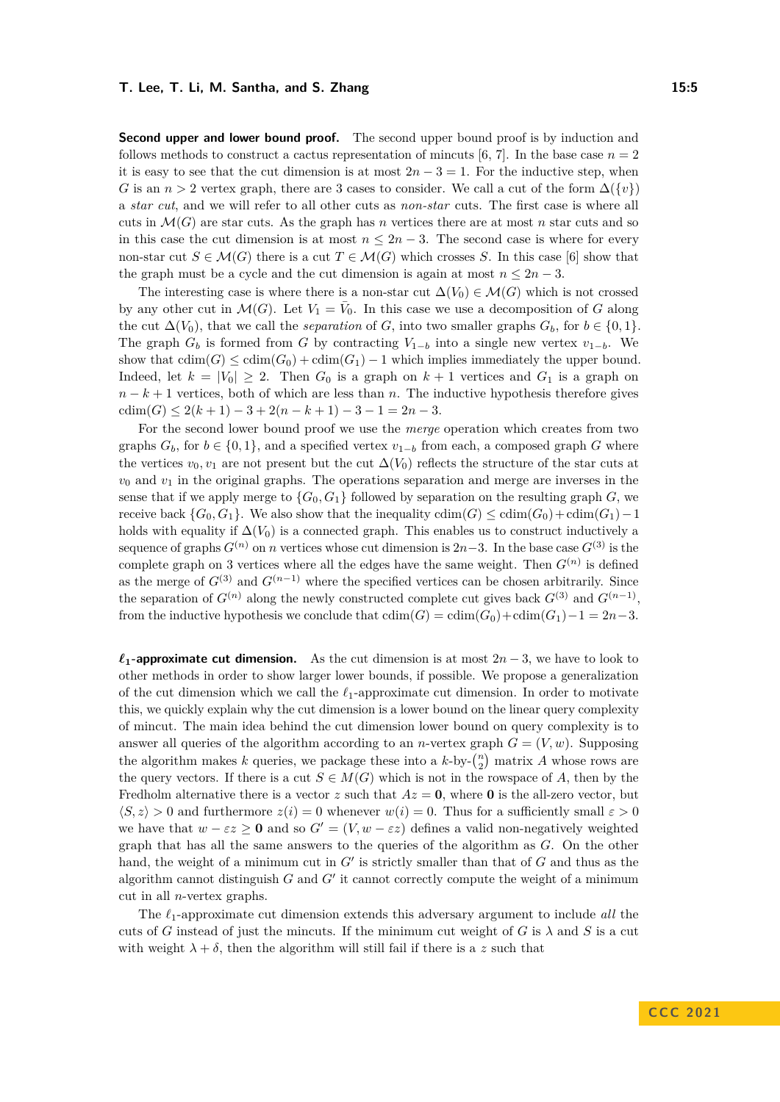**Second upper and lower bound proof.** The second upper bound proof is by induction and follows methods to construct a cactus representation of mincuts [\[6,](#page-31-4) [7\]](#page-31-6). In the base case  $n = 2$ it is easy to see that the cut dimension is at most  $2n-3=1$ . For the inductive step, when *G* is an *n* > 2 vertex graph, there are 3 cases to consider. We call a cut of the form  $\Delta({v})$ a *star cut*, and we will refer to all other cuts as *non-star* cuts. The first case is where all cuts in  $\mathcal{M}(G)$  are star cuts. As the graph has *n* vertices there are at most *n* star cuts and so in this case the cut dimension is at most  $n \leq 2n - 3$ . The second case is where for every non-star cut  $S \in \mathcal{M}(G)$  there is a cut  $T \in \mathcal{M}(G)$  which crosses *S*. In this case [\[6\]](#page-31-4) show that the graph must be a cycle and the cut dimension is again at most  $n \leq 2n - 3$ .

The interesting case is where there is a non-star cut  $\Delta(V_0) \in \mathcal{M}(G)$  which is not crossed by any other cut in  $\mathcal{M}(G)$ . Let  $V_1 = \overline{V}_0$ . In this case we use a decomposition of *G* along the cut  $\Delta(V_0)$ , that we call the *separation* of *G*, into two smaller graphs  $G_b$ , for  $b \in \{0, 1\}$ . The graph  $G_b$  is formed from  $G$  by contracting  $V_{1-b}$  into a single new vertex  $v_{1-b}$ . We show that  $\text{cdim}(G) \leq \text{cdim}(G_0) + \text{cdim}(G_1) - 1$  which implies immediately the upper bound. Indeed, let  $k = |V_0| \geq 2$ . Then  $G_0$  is a graph on  $k + 1$  vertices and  $G_1$  is a graph on  $n - k + 1$  vertices, both of which are less than *n*. The inductive hypothesis therefore gives  $cdim(G) \leq 2(k+1) - 3 + 2(n-k+1) - 3 - 1 = 2n - 3.$ 

For the second lower bound proof we use the *merge* operation which creates from two graphs  $G_b$ , for  $b \in \{0,1\}$ , and a specified vertex  $v_{1-b}$  from each, a composed graph *G* where the vertices  $v_0, v_1$  are not present but the cut  $\Delta(V_0)$  reflects the structure of the star cuts at  $v_0$  and  $v_1$  in the original graphs. The operations separation and merge are inverses in the sense that if we apply merge to  $\{G_0, G_1\}$  followed by separation on the resulting graph *G*, we receive back  $\{G_0, G_1\}$ . We also show that the inequality  $\dim(G) \leq \dim(G_0) + \dim(G_1) - 1$ holds with equality if  $\Delta(V_0)$  is a connected graph. This enables us to construct inductively a sequence of graphs  $G^{(n)}$  on *n* vertices whose cut dimension is 2*n*−3. In the base case  $G^{(3)}$  is the complete graph on 3 vertices where all the edges have the same weight. Then  $G^{(n)}$  is defined as the merge of  $G^{(3)}$  and  $G^{(n-1)}$  where the specified vertices can be chosen arbitrarily. Since the separation of  $G^{(n)}$  along the newly constructed complete cut gives back  $G^{(3)}$  and  $G^{(n-1)}$ , from the inductive hypothesis we conclude that  $\text{cdim}(G) = \text{cdim}(G_0) + \text{cdim}(G_1) - 1 = 2n-3$ .

 $\ell_1$ **-approximate cut dimension.** As the cut dimension is at most  $2n-3$ , we have to look to other methods in order to show larger lower bounds, if possible. We propose a generalization of the cut dimension which we call the *ℓ*1-approximate cut dimension. In order to motivate this, we quickly explain why the cut dimension is a lower bound on the linear query complexity of mincut. The main idea behind the cut dimension lower bound on query complexity is to answer all queries of the algorithm according to an *n*-vertex graph  $G = (V, w)$ . Supposing the algorithm makes *k* queries, we package these into a  $k$ -by- $\binom{n}{2}$  matrix *A* whose rows are the query vectors. If there is a cut  $S \in M(G)$  which is not in the rowspace of *A*, then by the Fredholm alternative there is a vector  $z$  such that  $Az = 0$ , where 0 is the all-zero vector, but  $\langle S, z \rangle > 0$  and furthermore  $z(i) = 0$  whenever  $w(i) = 0$ . Thus for a sufficiently small  $\varepsilon > 0$ we have that  $w - \varepsilon z \ge 0$  and so  $G' = (V, w - \varepsilon z)$  defines a valid non-negatively weighted graph that has all the same answers to the queries of the algorithm as *G*. On the other hand, the weight of a minimum cut in  $G'$  is strictly smaller than that of  $G$  and thus as the algorithm cannot distinguish  $G$  and  $G'$  it cannot correctly compute the weight of a minimum cut in all *n*-vertex graphs.

The *ℓ*1-approximate cut dimension extends this adversary argument to include *all* the cuts of *G* instead of just the mincuts. If the minimum cut weight of *G* is  $\lambda$  and *S* is a cut with weight  $\lambda + \delta$ , then the algorithm will still fail if there is a z such that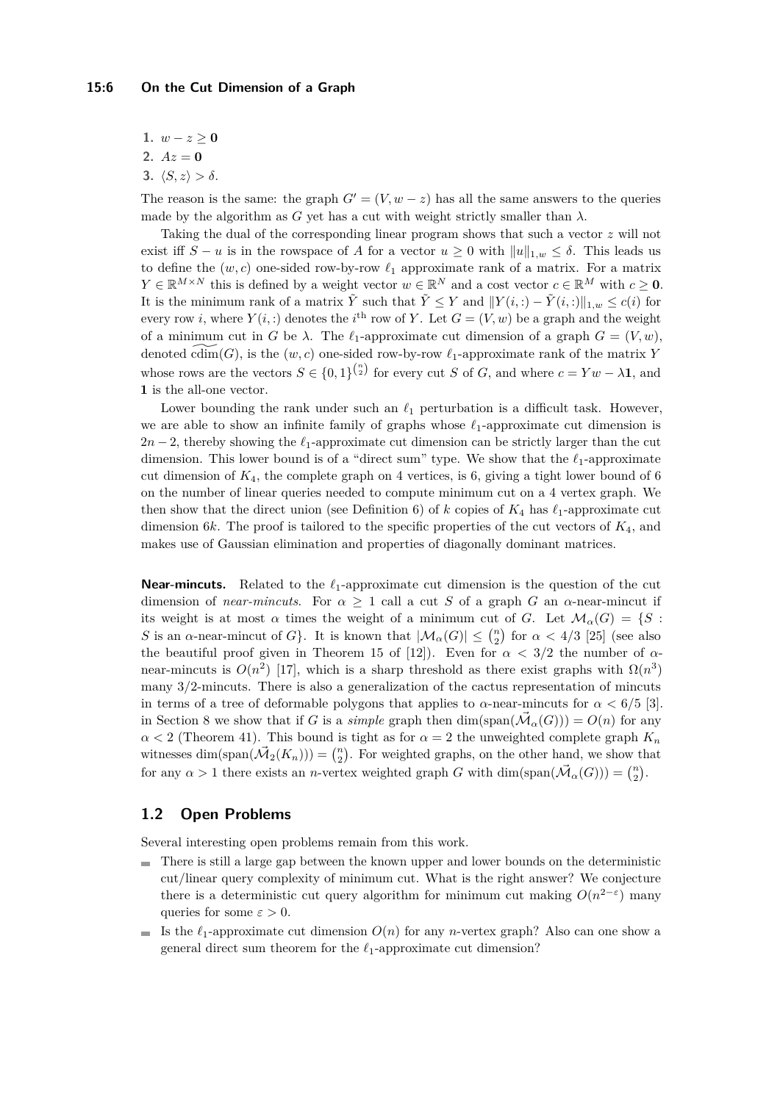- **1.**  $w − z ≥ 0$
- **2.**  $Az = 0$
- **3.**  $\langle S, z \rangle > \delta$ .

The reason is the same: the graph  $G' = (V, w - z)$  has all the same answers to the queries made by the algorithm as *G* yet has a cut with weight strictly smaller than  $\lambda$ .

Taking the dual of the corresponding linear program shows that such a vector *z* will not exist iff  $S - u$  is in the rowspace of *A* for a vector  $u \geq 0$  with  $||u||_{1,w} \leq \delta$ . This leads us to define the  $(w, c)$  one-sided row-by-row  $\ell_1$  approximate rank of a matrix. For a matrix  $Y \in \mathbb{R}^{M \times N}$  this is defined by a weight vector  $w \in \mathbb{R}^N$  and a cost vector  $c \in \mathbb{R}^M$  with  $c \geq 0$ . It is the minimum rank of a matrix  $\tilde{Y}$  such that  $\tilde{Y} \leq Y$  and  $||Y(i,:) - \tilde{Y}(i,:)||_{1,w} \leq c(i)$  for every row *i*, where  $Y(i,:)$  denotes the *i*<sup>th</sup> row of *Y*. Let  $G = (V, w)$  be a graph and the weight of a minimum cut in *G* be  $\lambda$ . The  $\ell_1$ -approximate cut dimension of a graph  $G = (V, w)$ , denoted  $\overline{\text{cdim}}(G)$ , is the  $(w, c)$  one-sided row-by-row  $\ell_1$ -approximate rank of the matrix *Y* whose rows are the vectors  $S \in \{0,1\}^{\binom{n}{2}}$  for every cut *S* of *G*, and where  $c = Yw - \lambda \mathbf{1}$ , and **1** is the all-one vector.

Lower bounding the rank under such an  $\ell_1$  perturbation is a difficult task. However, we are able to show an infinite family of graphs whose *ℓ*1-approximate cut dimension is  $2n-2$ , thereby showing the  $\ell_1$ -approximate cut dimension can be strictly larger than the cut dimension. This lower bound is of a "direct sum" type. We show that the *ℓ*1-approximate cut dimension of *K*4, the complete graph on 4 vertices, is 6, giving a tight lower bound of 6 on the number of linear queries needed to compute minimum cut on a 4 vertex graph. We then show that the direct union (see Definition [6\)](#page-7-0) of *k* copies of  $K_4$  has  $\ell_1$ -approximate cut dimension 6*k*. The proof is tailored to the specific properties of the cut vectors of *K*4, and makes use of Gaussian elimination and properties of diagonally dominant matrices.

**Near-mincuts.** Related to the *ℓ*1-approximate cut dimension is the question of the cut dimension of *near-mincuts*. For  $\alpha \geq 1$  call a cut *S* of a graph *G* an  $\alpha$ -near-mincut if its weight is at most  $\alpha$  times the weight of a minimum cut of *G*. Let  $\mathcal{M}_\alpha(G) = \{S :$ *S* is an *α*-near-mincut of *G*}. It is known that  $|\mathcal{M}_\alpha(G)| \leq {n \choose 2}$  for  $\alpha < 4/3$  [\[25\]](#page-32-10) (see also the beautiful proof given in Theorem 15 of [\[12\]](#page-31-8)). Even for  $\alpha < 3/2$  the number of  $\alpha$ near-mincuts is  $O(n^2)$  [\[17\]](#page-32-11), which is a sharp threshold as there exist graphs with  $\Omega(n^3)$ many 3*/*2-mincuts. There is also a generalization of the cactus representation of mincuts in terms of a tree of deformable polygons that applies to  $\alpha$ -near-mincuts for  $\alpha < 6/5$  [\[3\]](#page-31-9). in Section [8](#page-29-0) we show that if *G* is a *simple* graph then  $\dim(\text{span}(\vec{\mathcal{M}}_{\alpha}(G))) = O(n)$  for any  $\alpha$  < 2 (Theorem [41\)](#page-29-1). This bound is tight as for  $\alpha$  = 2 the unweighted complete graph  $K_n$ witnesses dim(span $(\vec{M}_2(K_n))$ ) =  $\binom{n}{2}$ . For weighted graphs, on the other hand, we show that for any  $\alpha > 1$  there exists an *n*-vertex weighted graph *G* with  $\dim(\text{span}(\vec{\mathcal{M}}_{\alpha}(G))) = \binom{n}{2}$ .

# **1.2 Open Problems**

Several interesting open problems remain from this work.

- There is still a large gap between the known upper and lower bounds on the deterministic cut/linear query complexity of minimum cut. What is the right answer? We conjecture there is a deterministic cut query algorithm for minimum cut making  $O(n^{2-\epsilon})$  many queries for some  $\varepsilon > 0$ .
- If the  $\ell_1$ -approximate cut dimension  $O(n)$  for any *n*-vertex graph? Also can one show a general direct sum theorem for the *ℓ*1-approximate cut dimension?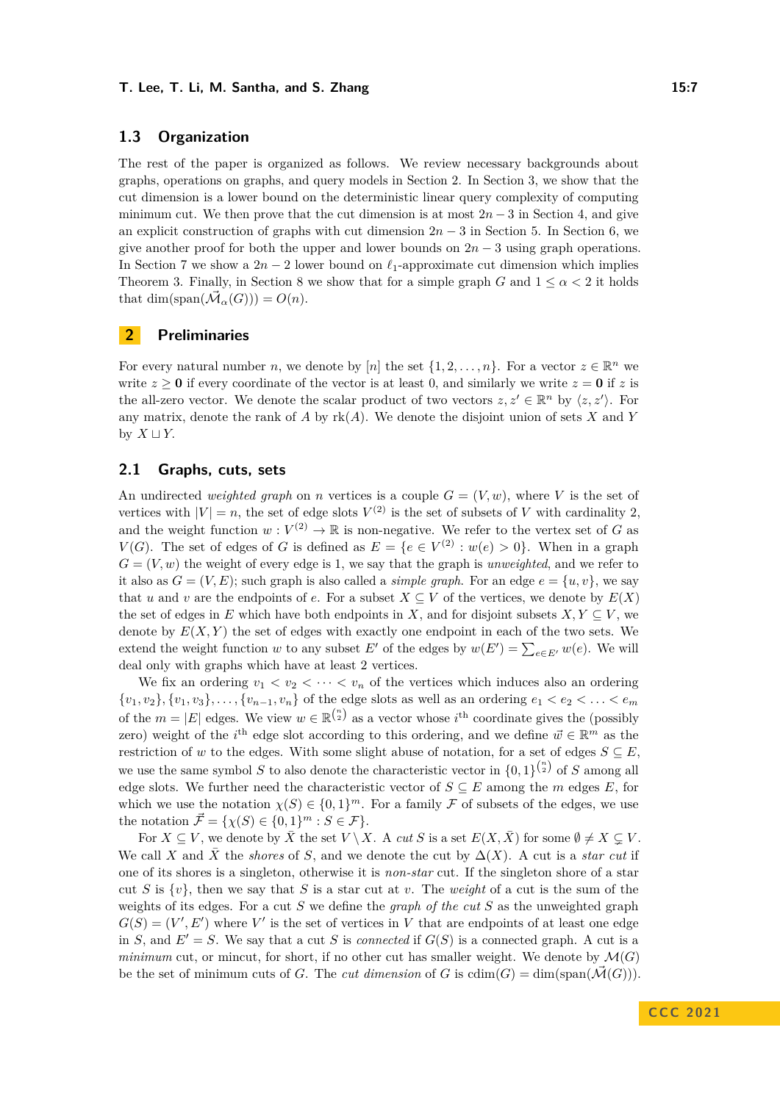# **1.3 Organization**

The rest of the paper is organized as follows. We review necessary backgrounds about graphs, operations on graphs, and query models in Section [2.](#page-6-0) In Section [3,](#page-9-0) we show that the cut dimension is a lower bound on the deterministic linear query complexity of computing minimum cut. We then prove that the cut dimension is at most  $2n-3$  in Section [4,](#page-11-1) and give an explicit construction of graphs with cut dimension 2*n* − 3 in Section [5.](#page-13-1) In Section [6,](#page-18-0) we give another proof for both the upper and lower bounds on  $2n-3$  using graph operations. In Section [7](#page-24-0) we show a  $2n-2$  lower bound on  $\ell_1$ -approximate cut dimension which implies Theorem [3.](#page-3-0) Finally, in Section [8](#page-29-0) we show that for a simple graph *G* and  $1 \leq \alpha \leq 2$  it holds that dim(span( $\vec{\mathcal{M}}_{\alpha}(G)$ )) =  $O(n)$ .

# <span id="page-6-0"></span>**2 Preliminaries**

For every natural number *n*, we denote by [*n*] the set  $\{1, 2, \ldots, n\}$ . For a vector  $z \in \mathbb{R}^n$  we write  $z \ge 0$  if every coordinate of the vector is at least 0, and similarly we write  $z = 0$  if z is the all-zero vector. We denote the scalar product of two vectors  $z, z' \in \mathbb{R}^n$  by  $\langle z, z' \rangle$ . For any matrix, denote the rank of *A* by rk(*A*). We denote the disjoint union of sets *X* and *Y* by  $X \sqcup Y$ .

# **2.1 Graphs, cuts, sets**

An undirected *weighted graph* on *n* vertices is a couple  $G = (V, w)$ , where V is the set of vertices with  $|V| = n$ , the set of edge slots  $V^{(2)}$  is the set of subsets of *V* with cardinality 2, and the weight function  $w: V^{(2)} \to \mathbb{R}$  is non-negative. We refer to the vertex set of *G* as *V*(*G*). The set of edges of *G* is defined as  $E = \{e \in V^{(2)} : w(e) > 0\}$ . When in a graph  $G = (V, w)$  the weight of every edge is 1, we say that the graph is *unweighted*, and we refer to it also as  $G = (V, E)$ ; such graph is also called a *simple graph*. For an edge  $e = \{u, v\}$ , we say that *u* and *v* are the endpoints of *e*. For a subset  $X \subseteq V$  of the vertices, we denote by  $E(X)$ the set of edges in *E* which have both endpoints in *X*, and for disjoint subsets  $X, Y \subseteq V$ , we denote by  $E(X, Y)$  the set of edges with exactly one endpoint in each of the two sets. We extend the weight function *w* to any subset *E'* of the edges by  $w(E') = \sum_{e \in E'} w(e)$ . We will deal only with graphs which have at least 2 vertices.

We fix an ordering  $v_1 < v_2 < \cdots < v_n$  of the vertices which induces also an ordering  $\{v_1, v_2\}, \{v_1, v_3\}, \ldots, \{v_{n-1}, v_n\}$  of the edge slots as well as an ordering  $e_1 < e_2 < \ldots < e_m$ of the  $m = |E|$  edges. We view  $w \in \mathbb{R}^{\binom{n}{2}}$  as a vector whose *i*<sup>th</sup> coordinate gives the (possibly zero) weight of the  $i^{\text{th}}$  edge slot according to this ordering, and we define  $\vec{w} \in \mathbb{R}^m$  as the restriction of *w* to the edges. With some slight abuse of notation, for a set of edges  $S \subseteq E$ . we use the same symbol *S* to also denote the characteristic vector in  $\{0,1\}^{\binom{n}{2}}$  of *S* among all edge slots. We further need the characteristic vector of  $S \subseteq E$  among the *m* edges *E*, for which we use the notation  $\chi(S) \in \{0,1\}^m$ . For a family F of subsets of the edges, we use the notation  $\vec{\mathcal{F}} = {\chi(S) \in \{0,1\}^m : S \in \mathcal{F}}.$ 

For  $X \subseteq V$ , we denote by  $\overline{X}$  the set  $V \setminus X$ . A *cut S* is a set  $E(X, \overline{X})$  for some  $\emptyset \neq X \subseteq V$ . We call *X* and  $\overline{X}$  the *shores* of *S*, and we denote the cut by  $\Delta(X)$ . A cut is a *star cut* if one of its shores is a singleton, otherwise it is *non-star* cut. If the singleton shore of a star cut *S* is  $\{v\}$ , then we say that *S* is a star cut at *v*. The *weight* of a cut is the sum of the weights of its edges. For a cut *S* we define the *graph of the cut S* as the unweighted graph  $G(S) = (V', E')$  where V' is the set of vertices in V that are endpoints of at least one edge in *S*, and  $E' = S$ . We say that a cut *S* is *connected* if  $G(S)$  is a connected graph. A cut is a *minimum* cut, or mincut, for short, if no other cut has smaller weight. We denote by  $\mathcal{M}(G)$ be the set of minimum cuts of *G*. The *cut dimension* of *G* is  $\text{cdim}(G) = \text{dim}(\text{span}(\overline{\mathcal{M}}(G)))$ .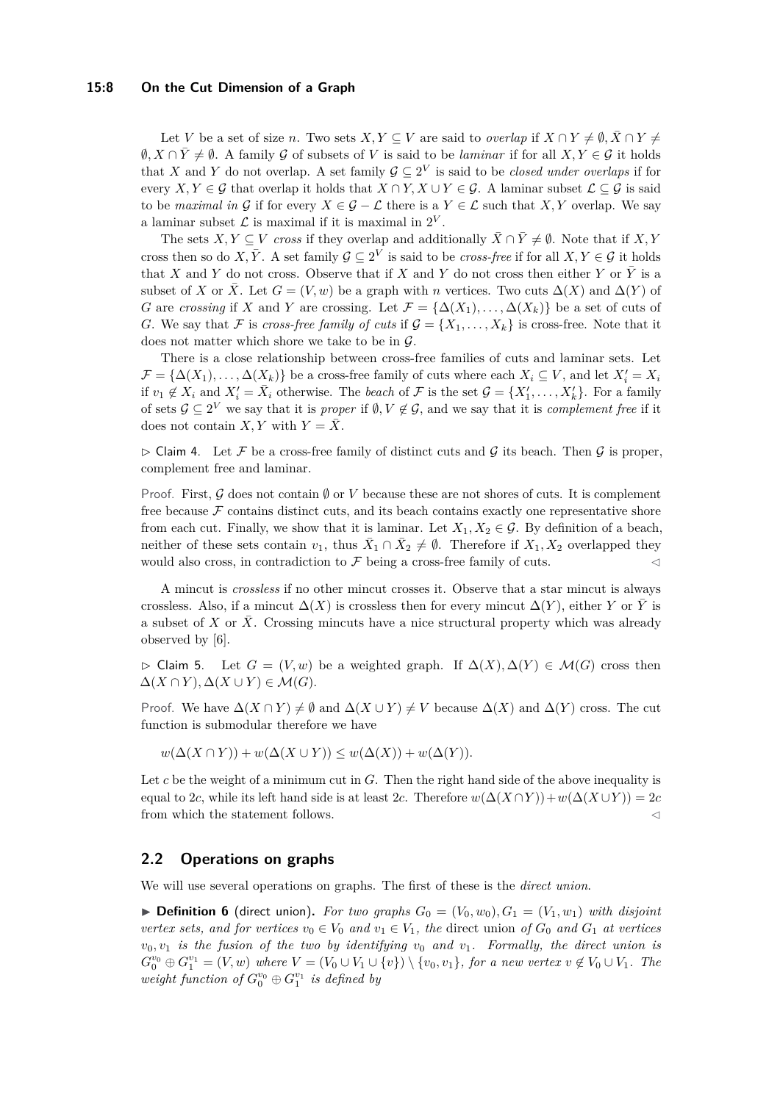## **15:8 On the Cut Dimension of a Graph**

Let *V* be a set of size *n*. Two sets  $X, Y \subseteq V$  are said to *overlap* if  $X \cap Y \neq \emptyset$ ,  $\overline{X} \cap Y \neq \emptyset$  $\emptyset, X \cap \overline{Y} \neq \emptyset$ . A family G of subsets of V is said to be *laminar* if for all  $X, Y \in \mathcal{G}$  it holds that *X* and *Y* do not overlap. A set family  $\mathcal{G} \subseteq 2^V$  is said to be *closed under overlaps* if for every *X, Y* ∈ G that overlap it holds that  $X \cap Y$ ,  $X \cup Y \in \mathcal{G}$ . A laminar subset  $\mathcal{L} \subseteq \mathcal{G}$  is said to be *maximal in* G if for every  $X \in \mathcal{G} - \mathcal{L}$  there is a  $Y \in \mathcal{L}$  such that X, Y overlap. We say a laminar subset  $\mathcal L$  is maximal if it is maximal in  $2^V$ .

The sets *X, Y*  $\subseteq$  *V cross* if they overlap and additionally  $\bar{X} \cap \bar{Y} \neq \emptyset$ . Note that if *X, Y* cross then so do *X*,  $\bar{Y}$ . A set family  $\mathcal{G} \subseteq 2^V$  is said to be *cross-free* if for all  $X, Y \in \mathcal{G}$  it holds that *X* and *Y* do not cross. Observe that if *X* and *Y* do not cross then either *Y* or  $\overline{Y}$  is a subset of *X* or  $\overline{X}$ . Let  $G = (V, w)$  be a graph with *n* vertices. Two cuts  $\Delta(X)$  and  $\Delta(Y)$  of *G* are *crossing* if *X* and *Y* are crossing. Let  $\mathcal{F} = {\Delta(X_1), \ldots, \Delta(X_k)}$  be a set of cuts of *G*. We say that F is *cross-free family of cuts* if  $\mathcal{G} = \{X_1, \ldots, X_k\}$  is cross-free. Note that it does not matter which shore we take to be in  $\mathcal{G}$ .

There is a close relationship between cross-free families of cuts and laminar sets. Let  $\mathcal{F} = {\Delta(X_1), \ldots, \Delta(X_k)}$  be a cross-free family of cuts where each  $X_i \subseteq V$ , and let  $X'_i = X_i$ if  $v_1 \notin X_i$  and  $X'_i = \overline{X}_i$  otherwise. The *beach* of  $\mathcal F$  is the set  $\mathcal G = \{X'_1, \ldots, X'_k\}$ . For a family of sets  $\mathcal{G} \subseteq 2^V$  we say that it is *proper* if  $\emptyset, V \notin \mathcal{G}$ , and we say that it is *complement free* if it does not contain *X*, *Y* with  $Y = \overline{X}$ .

<span id="page-7-1"></span> $\triangleright$  Claim 4. Let F be a cross-free family of distinct cuts and G its beach. Then G is proper, complement free and laminar.

Proof. First, G does not contain ∅ or V because these are not shores of cuts. It is complement free because  $\mathcal F$  contains distinct cuts, and its beach contains exactly one representative shore from each cut. Finally, we show that it is laminar. Let  $X_1, X_2 \in \mathcal{G}$ . By definition of a beach, neither of these sets contain  $v_1$ , thus  $\bar{X}_1 \cap \bar{X}_2 \neq \emptyset$ . Therefore if  $X_1, X_2$  overlapped they would also cross, in contradiction to  $\mathcal F$  being a cross-free family of cuts.

A mincut is *crossless* if no other mincut crosses it. Observe that a star mincut is always crossless. Also, if a mincut  $\Delta(X)$  is crossless then for every mincut  $\Delta(Y)$ , either *Y* or *Y* is a subset of *X* or *X*. Crossing mincuts have a nice structural property which was already observed by [\[6\]](#page-31-4).

<span id="page-7-2"></span>▷ Claim 5. Let *G* = (*V, w*) be a weighted graph. If ∆(*X*)*,* ∆(*Y* ) ∈ M(*G*) cross then  $\Delta(X \cap Y), \Delta(X \cup Y) \in \mathcal{M}(G).$ 

Proof. We have  $\Delta(X \cap Y) \neq \emptyset$  and  $\Delta(X \cup Y) \neq V$  because  $\Delta(X)$  and  $\Delta(Y)$  cross. The cut function is submodular therefore we have

 $w(\Delta(X \cap Y)) + w(\Delta(X \cup Y)) \leq w(\Delta(X)) + w(\Delta(Y)).$ 

Let *c* be the weight of a minimum cut in *G*. Then the right hand side of the above inequality is equal to 2*c*, while its left hand side is at least 2*c*. Therefore  $w(\Delta(X \cap Y)) + w(\Delta(X \cup Y)) = 2c$ from which the statement follows.  $\lhd$ 

## **2.2 Operations on graphs**

<span id="page-7-0"></span>We will use several operations on graphs. The first of these is the *direct union*.

 $\triangleright$  **Definition 6** (direct union). For two graphs  $G_0 = (V_0, w_0), G_1 = (V_1, w_1)$  with disjoint *vertex sets, and for vertices*  $v_0 \in V_0$  *and*  $v_1 \in V_1$ *, the* direct union *of*  $G_0$  *and*  $G_1$  *at vertices*  $v_0, v_1$  *is the fusion of the two by identifying*  $v_0$  *and*  $v_1$ *. Formally, the direct union is*  $G_0^{v_0} \oplus G_1^{v_1} = (V, w)$  where  $V = (V_0 \cup V_1 \cup \{v\}) \setminus \{v_0, v_1\}$ , for a new vertex  $v \notin V_0 \cup V_1$ . The  $weight\ function\ of\ G_0^{v_0} \oplus G_1^{v_1}$  *is defined by*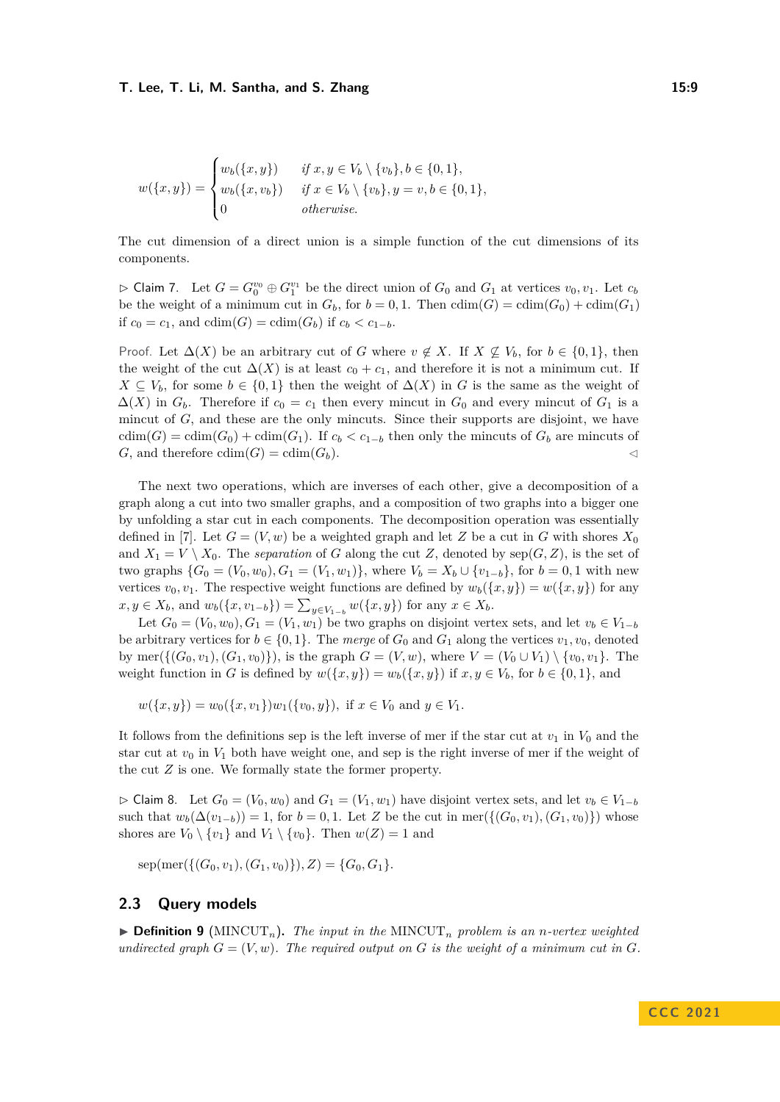$$
w(\{x,y\}) = \begin{cases} w_b(\{x,y\}) & \text{if } x,y \in V_b \setminus \{v_b\}, b \in \{0,1\}, \\ w_b(\{x,v_b\}) & \text{if } x \in V_b \setminus \{v_b\}, y = v, b \in \{0,1\}, \\ 0 & \text{otherwise.} \end{cases}
$$

The cut dimension of a direct union is a simple function of the cut dimensions of its components.

 $\triangleright$  Claim 7. Let  $G = G_0^{v_0} \oplus G_1^{v_1}$  be the direct union of  $G_0$  and  $G_1$  at vertices  $v_0, v_1$ . Let  $c_b$ be the weight of a minimum cut in  $G_b$ , for  $b = 0, 1$ . Then  $\text{cdim}(G) = \text{cdim}(G_0) + \text{cdim}(G_1)$ if  $c_0 = c_1$ , and  $cdim(G) = cdim(G_b)$  if  $c_b < c_{1-b}$ .

Proof. Let  $\Delta(X)$  be an arbitrary cut of *G* where  $v \notin X$ . If  $X \nsubseteq V_b$ , for  $b \in \{0,1\}$ , then the weight of the cut  $\Delta(X)$  is at least  $c_0 + c_1$ , and therefore it is not a minimum cut. If *X* ⊆ *V*<sup>*b*</sub>, for some *b* ∈ {0, 1} then the weight of  $\Delta$ (*X*) in *G* is the same as the weight of</sup>  $\Delta(X)$  in  $G_b$ . Therefore if  $c_0 = c_1$  then every mincut in  $G_0$  and every mincut of  $G_1$  is a mincut of *G*, and these are the only mincuts. Since their supports are disjoint, we have  $cdim(G) = cdim(G_0) + cdim(G_1)$ . If  $c_b < c_{1-b}$  then only the mincuts of  $G_b$  are mincuts of *G*, and therefore  $\text{cdim}(G) = \text{cdim}(G_b)$ .

The next two operations, which are inverses of each other, give a decomposition of a graph along a cut into two smaller graphs, and a composition of two graphs into a bigger one by unfolding a star cut in each components. The decomposition operation was essentially defined in [\[7\]](#page-31-6). Let  $G = (V, w)$  be a weighted graph and let Z be a cut in G with shores  $X_0$ and  $X_1 = V \setminus X_0$ . The *separation* of *G* along the cut *Z*, denoted by  $\text{sep}(G, Z)$ , is the set of two graphs  $\{G_0 = (V_0, w_0), G_1 = (V_1, w_1)\}$ , where  $V_b = X_b \cup \{v_{1-b}\}$ , for  $b = 0, 1$  with new vertices  $v_0, v_1$ . The respective weight functions are defined by  $w_b({x, y}) = w({x, y})$  for any  $x, y \in X_b$ , and  $w_b({x, v_{1-b}}) = \sum_{y \in V_{1-b}} w({x, y})$  for any  $x \in X_b$ .

Let  $G_0 = (V_0, w_0), G_1 = (V_1, w_1)$  be two graphs on disjoint vertex sets, and let  $v_b \in V_{1-b}$ be arbitrary vertices for  $b \in \{0, 1\}$ . The *merge* of  $G_0$  and  $G_1$  along the vertices  $v_1, v_0$ , denoted by mer $({G_0, v_1), (G_1, v_0)}$ , is the graph  $G = (V, w)$ , where  $V = (V_0 \cup V_1) \setminus \{v_0, v_1\}$ . The weight function in *G* is defined by  $w({x, y}) = w_b({x, y})$  if  $x, y \in V_b$ , for  $b \in \{0, 1\}$ , and

 $w({x, y}) = w_0({x, v_1})w_1({v_0, y})$ *,* if  $x \in V_0$  and  $y \in V_1$ .

It follows from the definitions sep is the left inverse of mer if the star cut at  $v_1$  in  $V_0$  and the star cut at  $v_0$  in  $V_1$  both have weight one, and sep is the right inverse of mer if the weight of the cut *Z* is one. We formally state the former property.

<span id="page-8-0"></span> $\rhd$  Claim 8. Let  $G_0 = (V_0, w_0)$  and  $G_1 = (V_1, w_1)$  have disjoint vertex sets, and let  $v_b \in V_{1-b}$ such that  $w_b(\Delta(v_{1-b})) = 1$ , for  $b = 0, 1$ . Let *Z* be the cut in mer({( $G_0, v_1$ ),  $(G_1, v_0)$ }) whose shores are  $V_0 \setminus \{v_1\}$  and  $V_1 \setminus \{v_0\}$ . Then  $w(Z) = 1$  and

 $\text{sep}(\text{mer}(\{(G_0, v_1), (G_1, v_0)\}), Z) = \{G_0, G_1\}.$ 

## **2.3 Query models**

 $\triangleright$  **Definition 9** (MINCUT<sub>n</sub>). The input in the MINCUT<sub>n</sub> problem is an *n*-vertex weighted *undirected graph*  $G = (V, w)$ *. The required output on G is the weight of a minimum cut in G*.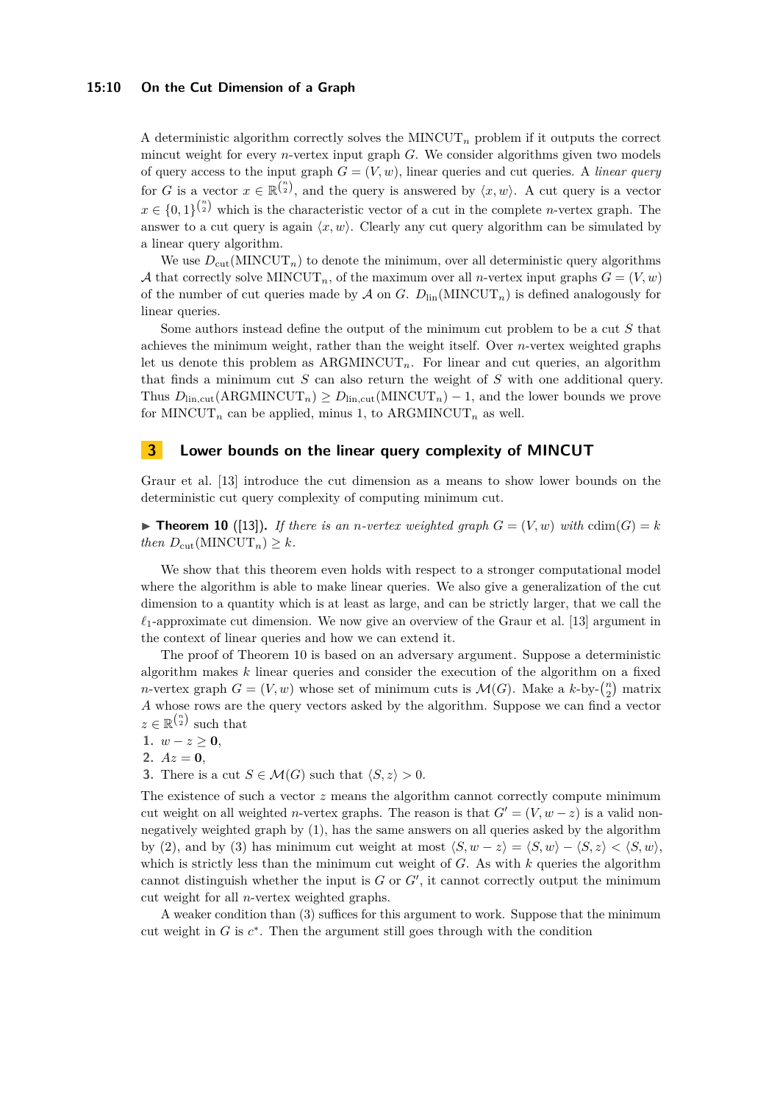## **15:10 On the Cut Dimension of a Graph**

A deterministic algorithm correctly solves the MINCUT<sub>n</sub> problem if it outputs the correct mincut weight for every *n*-vertex input graph *G*. We consider algorithms given two models of query access to the input graph  $G = (V, w)$ , linear queries and cut queries. A *linear query* for *G* is a vector  $x \in \mathbb{R}^{\binom{n}{2}}$ , and the query is answered by  $\langle x, w \rangle$ . A cut query is a vector  $x \in \{0,1\}^{n \choose 2}$  which is the characteristic vector of a cut in the complete *n*-vertex graph. The answer to a cut query is again  $\langle x, w \rangle$ . Clearly any cut query algorithm can be simulated by a linear query algorithm.

We use  $D_{\text{cut}}(\text{MINCUT}_n)$  to denote the minimum, over all deterministic query algorithms A that correctly solve MINCUT<sub>n</sub>, of the maximum over all *n*-vertex input graphs  $G = (V, w)$ of the number of cut queries made by  $\mathcal A$  on  $G$ .  $D_{lin}(MINCUT_n)$  is defined analogously for linear queries.

Some authors instead define the output of the minimum cut problem to be a cut *S* that achieves the minimum weight, rather than the weight itself. Over *n*-vertex weighted graphs let us denote this problem as  $ARGMINCUT_n$ . For linear and cut queries, an algorithm that finds a minimum cut *S* can also return the weight of *S* with one additional query. Thus  $D_{\text{lin,cut}}(\text{ARGMINCUT}_n) \geq D_{\text{lin,cut}}(\text{MINCUT}_n) - 1$ , and the lower bounds we prove for MINCUT<sub>n</sub> can be applied, minus 1, to ARGMINCUT<sub>n</sub> as well.

## <span id="page-9-0"></span>**3 Lower bounds on the linear query complexity of MINCUT**

Graur et al. [\[13\]](#page-32-0) introduce the cut dimension as a means to show lower bounds on the deterministic cut query complexity of computing minimum cut.

<span id="page-9-1"></span> $\blacktriangleright$  **Theorem 10** ([\[13\]](#page-32-0)). If there is an *n*-vertex weighted graph  $G = (V, w)$  with cdim( $G$ ) = *k*  $then D_{\text{cut}}(\text{MINCUT}_n) \geq k.$ 

We show that this theorem even holds with respect to a stronger computational model where the algorithm is able to make linear queries. We also give a generalization of the cut dimension to a quantity which is at least as large, and can be strictly larger, that we call the  $\ell_1$ -approximate cut dimension. We now give an overview of the Graur et al. [\[13\]](#page-32-0) argument in the context of linear queries and how we can extend it.

The proof of Theorem [10](#page-9-1) is based on an adversary argument. Suppose a deterministic algorithm makes *k* linear queries and consider the execution of the algorithm on a fixed *n*-vertex graph  $G = (V, w)$  whose set of minimum cuts is  $\mathcal{M}(G)$ . Make a  $k$ -by- $\binom{n}{2}$  matrix *A* whose rows are the query vectors asked by the algorithm. Suppose we can find a vector  $z \in \mathbb{R}^{\binom{n}{2}}$  such that

**1.**  $w − z ≥ 0$ ,

2.  $Az = 0$ ,

**3.** There is a cut  $S \in \mathcal{M}(G)$  such that  $\langle S, z \rangle > 0$ .

The existence of such a vector *z* means the algorithm cannot correctly compute minimum cut weight on all weighted *n*-vertex graphs. The reason is that  $G' = (V, w - z)$  is a valid nonnegatively weighted graph by (1), has the same answers on all queries asked by the algorithm by (2), and by (3) has minimum cut weight at most  $\langle S, w - z \rangle = \langle S, w \rangle - \langle S, z \rangle \langle S, w \rangle$ , which is strictly less than the minimum cut weight of *G*. As with *k* queries the algorithm cannot distinguish whether the input is  $G$  or  $G'$ , it cannot correctly output the minimum cut weight for all *n*-vertex weighted graphs.

A weaker condition than (3) suffices for this argument to work. Suppose that the minimum cut weight in  $G$  is  $c^*$ . Then the argument still goes through with the condition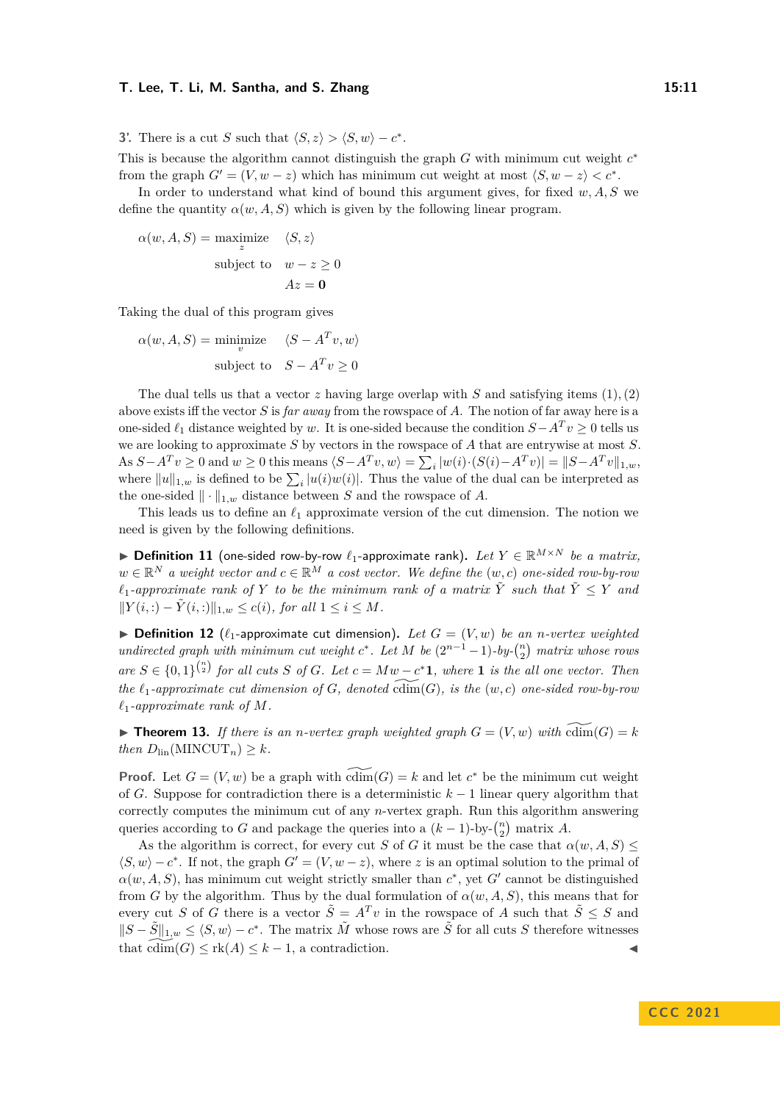**3'.** There is a cut *S* such that  $\langle S, z \rangle > \langle S, w \rangle - c^*$ .

This is because the algorithm cannot distinguish the graph *G* with minimum cut weight *c* ∗ from the graph  $G' = (V, w - z)$  which has minimum cut weight at most  $\langle S, w - z \rangle < c^*$ .

In order to understand what kind of bound this argument gives, for fixed *w, A, S* we define the quantity  $\alpha(w, A, S)$  which is given by the following linear program.

$$
\alpha(w, A, S) = \underset{z}{\text{maximize}} \quad \langle S, z \rangle
$$
  
subject to  $w - z \ge 0$   
 $Az = \mathbf{0}$ 

Taking the dual of this program gives

$$
\alpha(w, A, S) = \underset{v}{\text{minimize}} \quad \langle S - A^T v, w \rangle
$$
  
subject to 
$$
S - A^T v \ge 0
$$

The dual tells us that a vector  $z$  having large overlap with  $S$  and satisfying items  $(1), (2)$ above exists iff the vector *S* is *far away* from the rowspace of *A*. The notion of far away here is a one-sided  $\ell_1$  distance weighted by *w*. It is one-sided because the condition  $S-A^T v \geq 0$  tells us we are looking to approximate *S* by vectors in the rowspace of *A* that are entrywise at most *S*. As  $S-A^T v \ge 0$  and  $w \ge 0$  this means  $\langle S-A^T v, w \rangle = \sum_i |w(i) \cdot (S(i)-A^T v)| = ||S-A^T v||_{1,w}$ , where  $||u||_{1,w}$  is defined to be  $\sum_i |u(i)w(i)|$ . Thus the value of the dual can be interpreted as the one-sided  $\|\cdot\|_{1,w}$  distance between *S* and the rowspace of *A*.

This leads us to define an *ℓ*<sup>1</sup> approximate version of the cut dimension. The notion we need is given by the following definitions.

▶ **Definition 11** (one-sided row-by-row  $\ell_1$ -approximate rank). Let  $Y \in \mathbb{R}^{M \times N}$  be a matrix,  $w \in \mathbb{R}^N$  *a weight vector and*  $c \in \mathbb{R}^M$  *a cost vector. We define the*  $(w, c)$  *one-sided row-by-row*  $\ell_1$ -approximate rank of Y to be the minimum rank of a matrix  $\tilde{Y}$  such that  $\tilde{Y} \leq Y$  and  $||Y(i,:)-\tilde{Y}(i,:)||_{1,w}$  ≤ *c*(*i*)*, for all* 1 ≤ *i* ≤ *M.* 

 $\blacktriangleright$  **Definition 12** ( $\ell_1$ -approximate cut dimension). Let  $G = (V, w)$  be an *n*-vertex weighted *undirected graph with minimum cut weight*  $c^*$ . Let  $M$  be  $(2^{n-1}-1)$ *-by-* $\binom{n}{2}$  *matrix whose rows*  $are S \in \{0,1\}^{n \choose 2}$  *for all cuts S of G. Let*  $c = Mw - c^* \mathbf{1}$ *, where* **1** *is the all one vector. Then the*  $\ell_1$ -approximate cut dimension of *G*, denoted  $\widetilde{\text{cdim}}(G)$ , is the  $(w, c)$  one-sided row-by-row  $\ell_1$ *-approximate rank of*  $M$ *.* 

<span id="page-10-0"></span> $\blacktriangleright$  **Theorem 13.** If there is an *n*-vertex graph weighted graph  $G = (V, w)$  with  $\widetilde{\text{cdim}}(G) = k$ *then*  $D_{lin}(\text{MINCUT}_n) \geq k$ *.* 

**Proof.** Let  $G = (V, w)$  be a graph with  $\widetilde{\text{cdim}}(G) = k$  and let  $c^*$  be the minimum cut weight of *G*. Suppose for contradiction there is a deterministic *k* − 1 linear query algorithm that correctly computes the minimum cut of any *n*-vertex graph. Run this algorithm answering queries according to *G* and package the queries into a  $(k-1)$ -by- $\binom{n}{2}$  matrix *A*.

<span id="page-10-1"></span>As the algorithm is correct, for every cut *S* of *G* it must be the case that  $\alpha(w, A, S) \leq$  $\langle S, w \rangle - c^*$ . If not, the graph  $G' = (V, w - z)$ , where *z* is an optimal solution to the primal of  $\alpha(w, A, S)$ , has minimum cut weight strictly smaller than  $c^*$ , yet  $G'$  cannot be distinguished from *G* by the algorithm. Thus by the dual formulation of  $\alpha(w, A, S)$ , this means that for every cut *S* of *G* there is a vector  $\tilde{S} = A^T v$  in the rowspace of *A* such that  $\tilde{S} \leq S$  and  $||S - \tilde{S}||_{1,w}$  ≤  $\langle S, w \rangle - c^*$ . The matrix  $\tilde{M}$  whose rows are  $\tilde{S}$  for all cuts *S* therefore witnesses that  $\text{cdim}(G) \leq \text{rk}(A) \leq k-1$ , a contradiction.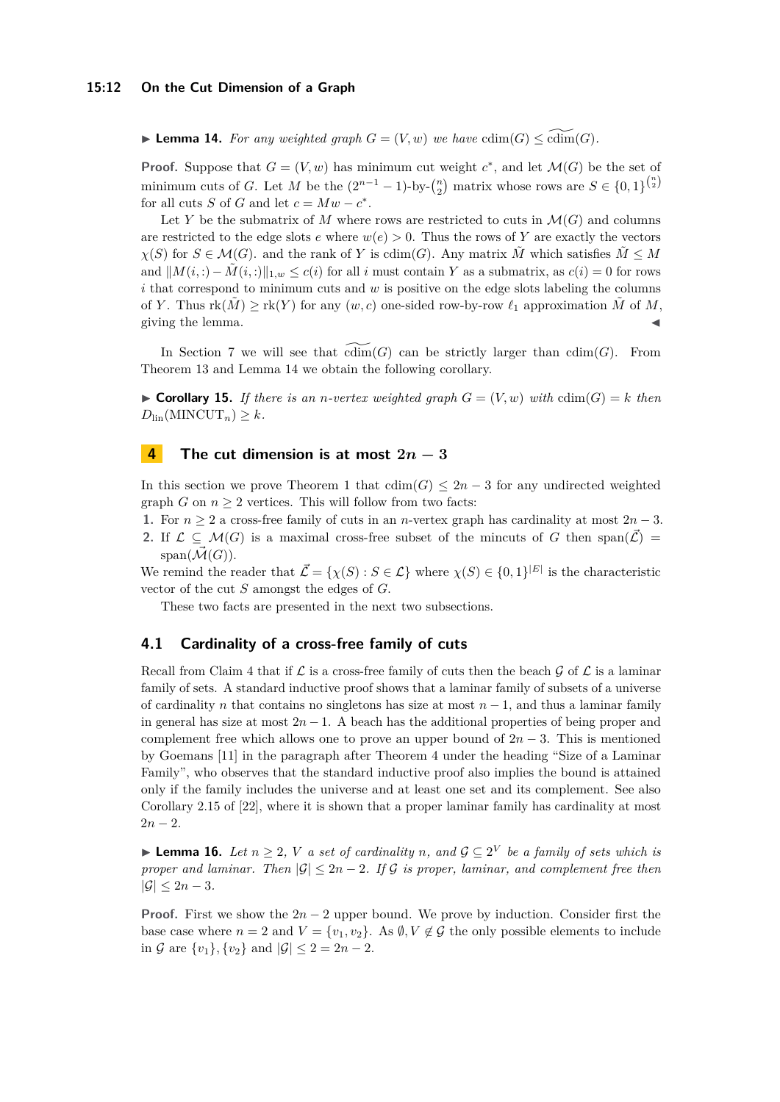▶ **Lemma 14.** For any weighted graph  $G = (V, w)$  we have  $cdim(G) \leq \widetilde{cdim}(G)$ .

**Proof.** Suppose that  $G = (V, w)$  has minimum cut weight  $c^*$ , and let  $\mathcal{M}(G)$  be the set of minimum cuts of *G*. Let *M* be the  $(2^{n-1} - 1)$ -by- ${n \choose 2}$  matrix whose rows are  $S \in \{0,1\}^{{n \choose 2}}$ for all cuts *S* of *G* and let  $c = Mw - c^*$ .

Let *Y* be the submatrix of *M* where rows are restricted to cuts in  $\mathcal{M}(G)$  and columns are restricted to the edge slots *e* where  $w(e) > 0$ . Thus the rows of Y are exactly the vectors  $\chi(S)$  for  $S \in \mathcal{M}(G)$ . and the rank of *Y* is cdim(*G*). Any matrix  $\tilde{M}$  which satisfies  $\tilde{M} \leq M$ and  $||M(i,:) - M(i,:)||_{1,w} \le c(i)$  for all *i* must contain *Y* as a submatrix, as  $c(i) = 0$  for rows *i* that correspond to minimum cuts and *w* is positive on the edge slots labeling the columns of *Y*. Thus  $rk(M) \geq rk(Y)$  for any  $(w, c)$  one-sided row-by-row  $\ell_1$  approximation  $\tilde{M}$  of M, giving the lemma.

In Section [7](#page-24-0) we will see that  $\text{cdim}(G)$  can be strictly larger than  $\text{cdim}(G)$ . From Theorem [13](#page-10-0) and Lemma [14](#page-10-1) we obtain the following corollary.

 $\triangleright$  **Corollary 15.** *If there is an n-vertex weighted graph*  $G = (V, w)$  *with* cdim( $G$ ) = *k then*  $D_{lin}(\text{MINCUT}_n) \geq k$ .

# <span id="page-11-1"></span>**4 The cut dimension is at most**  $2n - 3$

In this section we prove Theorem [1](#page-2-0) that  $\dim(G) \leq 2n-3$  for any undirected weighted graph *G* on  $n \geq 2$  vertices. This will follow from two facts:

**1.** For *n* ≥ 2 a cross-free family of cuts in an *n*-vertex graph has cardinality at most 2*n* − 3. **2.** If  $\mathcal{L} \subseteq \mathcal{M}(G)$  is a maximal cross-free subset of the mincuts of G then span( $\vec{\mathcal{L}}$ ) =  $span(\overline{\mathcal{M}}(G)).$ 

We remind the reader that  $\mathcal{L} = \{\chi(S) : S \in \mathcal{L}\}\$  where  $\chi(S) \in \{0,1\}^{|E|}\$  is the characteristic vector of the cut *S* amongst the edges of *G*.

These two facts are presented in the next two subsections.

## <span id="page-11-0"></span>**4.1 Cardinality of a cross-free family of cuts**

Recall from Claim [4](#page-7-1) that if  $\mathcal L$  is a cross-free family of cuts then the beach  $\mathcal G$  of  $\mathcal L$  is a laminar family of sets. A standard inductive proof shows that a laminar family of subsets of a universe of cardinality *n* that contains no singletons has size at most *n* − 1, and thus a laminar family in general has size at most 2*n* − 1. A beach has the additional properties of being proper and complement free which allows one to prove an upper bound of  $2n - 3$ . This is mentioned by Goemans [\[11\]](#page-31-10) in the paragraph after Theorem 4 under the heading "Size of a Laminar Family", who observes that the standard inductive proof also implies the bound is attained only if the family includes the universe and at least one set and its complement. See also Corollary 2.15 of [\[22\]](#page-32-12), where it is shown that a proper laminar family has cardinality at most  $2n - 2$ .

<span id="page-11-2"></span>▶ **Lemma 16.** *Let*  $n \geq 2$ , *V a set of cardinality n, and*  $\mathcal{G} \subseteq 2^V$  *be a family of sets which is proper and laminar. Then*  $|\mathcal{G}| \leq 2n - 2$ *. If*  $\mathcal{G}$  *is proper, laminar, and complement free then*  $|\mathcal{G}| \leq 2n-3$ *.* 

**Proof.** First we show the  $2n - 2$  upper bound. We prove by induction. Consider first the base case where  $n = 2$  and  $V = \{v_1, v_2\}$ . As  $\emptyset, V \notin \mathcal{G}$  the only possible elements to include in G are  $\{v_1\}$ ,  $\{v_2\}$  and  $|\mathcal{G}| \leq 2 = 2n - 2$ .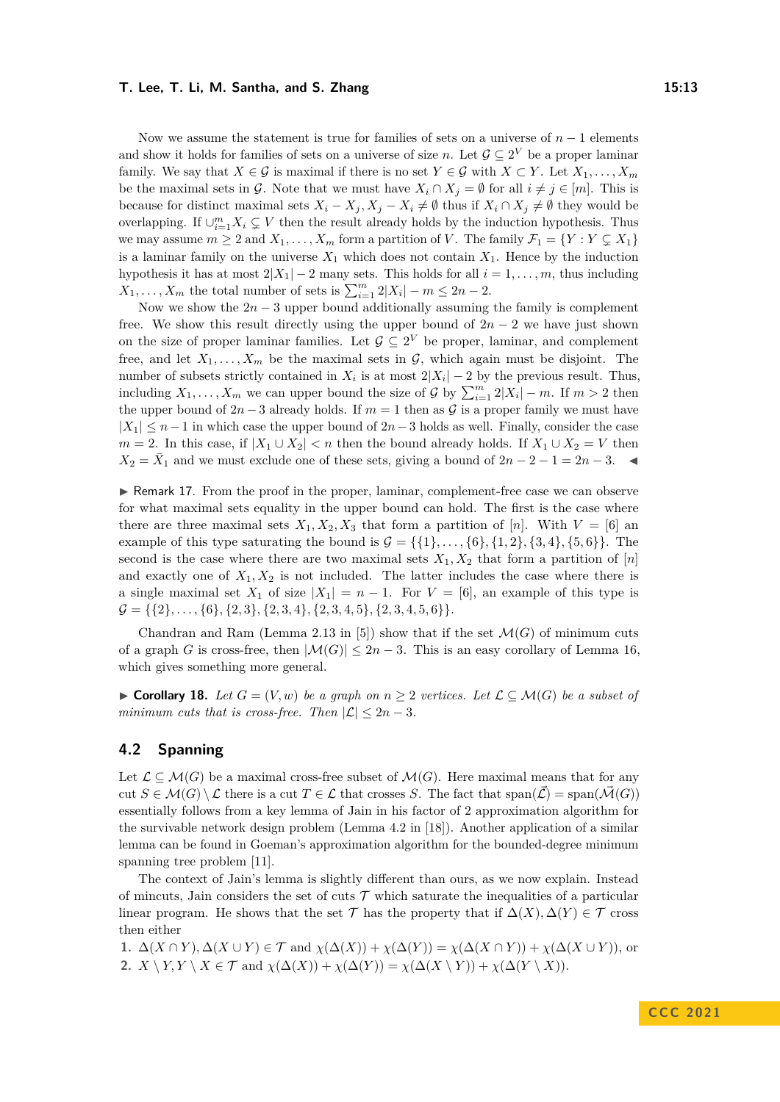Now we assume the statement is true for families of sets on a universe of *n* − 1 elements and show it holds for families of sets on a universe of size *n*. Let  $\mathcal{G} \subseteq 2^V$  be a proper laminar family. We say that *X* ∈ G is maximal if there is no set  $Y \in \mathcal{G}$  with  $X \subset Y$ . Let  $X_1, \ldots, X_m$ be the maximal sets in G. Note that we must have  $X_i \cap X_j = \emptyset$  for all  $i \neq j \in [m]$ . This is because for distinct maximal sets  $X_i - X_j$ ,  $X_j - X_i \neq \emptyset$  thus if  $X_i \cap X_j \neq \emptyset$  they would be overlapping. If  $\cup_{i=1}^m X_i \subsetneq V$  then the result already holds by the induction hypothesis. Thus we may assume  $m \geq 2$  and  $X_1, \ldots, X_m$  form a partition of *V*. The family  $\mathcal{F}_1 = \{ Y : Y \subsetneq X_1 \}$ is a laminar family on the universe  $X_1$  which does not contain  $X_1$ . Hence by the induction hypothesis it has at most  $2|X_1| - 2$  many sets. This holds for all  $i = 1, \ldots, m$ , thus including  $X_1, \ldots, X_m$  the total number of sets is  $\sum_{i=1}^m 2|X_i| - m \leq 2n - 2$ .

Now we show the  $2n-3$  upper bound additionally assuming the family is complement free. We show this result directly using the upper bound of  $2n - 2$  we have just shown on the size of proper laminar families. Let  $\mathcal{G} \subseteq 2^V$  be proper, laminar, and complement free, and let  $X_1, \ldots, X_m$  be the maximal sets in  $\mathcal{G}$ , which again must be disjoint. The number of subsets strictly contained in  $X_i$  is at most  $2|X_i| - 2$  by the previous result. Thus, including  $X_1, \ldots, X_m$  we can upper bound the size of  $\mathcal G$  by  $\sum_{i=1}^m 2|X_i| - m$ . If  $m > 2$  then the upper bound of  $2n-3$  already holds. If  $m=1$  then as G is a proper family we must have  $|X_1| \leq n-1$  in which case the upper bound of  $2n-3$  holds as well. Finally, consider the case  $m = 2$ . In this case, if  $|X_1 \cup X_2| < n$  then the bound already holds. If  $X_1 \cup X_2 = V$  then  $X_2 = \overline{X}_1$  and we must exclude one of these sets, giving a bound of  $2n - 2 - 1 = 2n - 3$ . ◀

▶ Remark 17. From the proof in the proper, laminar, complement-free case we can observe for what maximal sets equality in the upper bound can hold. The first is the case where there are three maximal sets  $X_1, X_2, X_3$  that form a partition of [n]. With  $V = [6]$  and example of this type saturating the bound is  $\mathcal{G} = \{ \{1\}, \ldots, \{6\}, \{1,2\}, \{3,4\}, \{5,6\} \}$ . The second is the case where there are two maximal sets  $X_1, X_2$  that form a partition of  $[n]$ and exactly one of  $X_1, X_2$  is not included. The latter includes the case where there is a single maximal set  $X_1$  of size  $|X_1| = n - 1$ . For  $V = [6]$ , an example of this type is  $\mathcal{G} = \{ \{2\}, \ldots, \{6\}, \{2,3\}, \{2,3,4\}, \{2,3,4,5\}, \{2,3,4,5,6\} \}.$ 

Chandran and Ram (Lemma 2.13 in [\[5\]](#page-31-7)) show that if the set  $\mathcal{M}(G)$  of minimum cuts of a graph *G* is cross-free, then  $|\mathcal{M}(G)| \leq 2n - 3$ . This is an easy corollary of Lemma [16,](#page-11-2) which gives something more general.

<span id="page-12-0"></span>▶ **Corollary 18.** Let  $G = (V, w)$  be a graph on  $n \geq 2$  vertices. Let  $\mathcal{L} \subseteq \mathcal{M}(G)$  be a subset of *minimum cuts that is cross-free. Then*  $|\mathcal{L}| \leq 2n - 3$ *.* 

# **4.2 Spanning**

Let  $\mathcal{L} \subseteq \mathcal{M}(G)$  be a maximal cross-free subset of  $\mathcal{M}(G)$ . Here maximal means that for any cut  $S \in \mathcal{M}(G) \setminus \mathcal{L}$  there is a cut  $T \in \mathcal{L}$  that crosses *S*. The fact that span $(\vec{\mathcal{L}})$  = span $(\vec{\mathcal{M}}(G))$ essentially follows from a key lemma of Jain in his factor of 2 approximation algorithm for the survivable network design problem (Lemma 4.2 in [\[18\]](#page-32-9)). Another application of a similar lemma can be found in Goeman's approximation algorithm for the bounded-degree minimum spanning tree problem [\[11\]](#page-31-10).

The context of Jain's lemma is slightly different than ours, as we now explain. Instead of mincuts, Jain considers the set of cuts  $\mathcal T$  which saturate the inequalities of a particular linear program. He shows that the set  $\mathcal T$  has the property that if  $\Delta(X), \Delta(Y) \in \mathcal T$  cross then either

**1.**  $\Delta(X \cap Y)$ ,  $\Delta(X \cup Y) \in \mathcal{T}$  and  $\chi(\Delta(X)) + \chi(\Delta(Y)) = \chi(\Delta(X \cap Y)) + \chi(\Delta(X \cup Y))$ , or 2.  $X \setminus Y, Y \setminus X \in \mathcal{T}$  and  $\chi(\Delta(X)) + \chi(\Delta(Y)) = \chi(\Delta(X \setminus Y)) + \chi(\Delta(Y \setminus X))$ .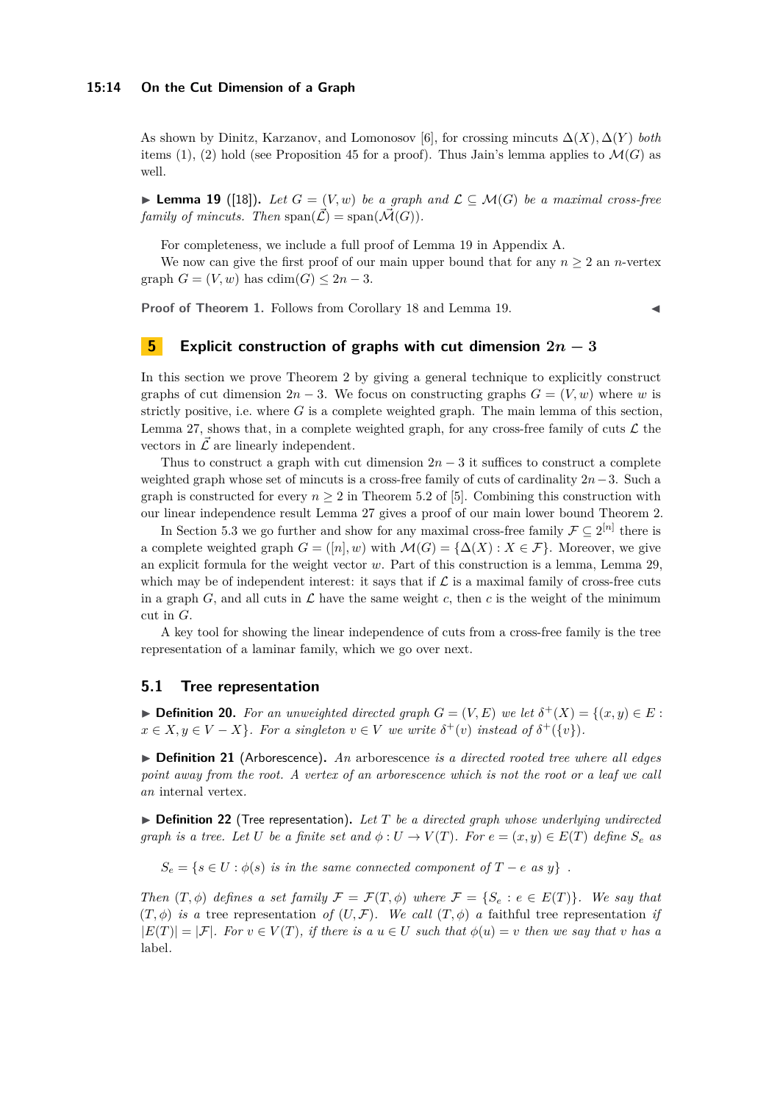As shown by Dinitz, Karzanov, and Lomonosov [\[6\]](#page-31-4), for crossing mincuts ∆(*X*)*,* ∆(*Y* ) *both* items (1), (2) hold (see Proposition [45](#page-32-13) for a proof). Thus Jain's lemma applies to  $\mathcal{M}(G)$  as well.

<span id="page-13-0"></span>▶ **Lemma 19** ([\[18\]](#page-32-9)). Let  $G = (V, w)$  be a graph and  $\mathcal{L} \subseteq \mathcal{M}(G)$  be a maximal cross-free *family of mincuts. Then*  $\text{span}(\vec{\mathcal{L}}) = \text{span}(\vec{\mathcal{M}}(G)).$ 

For completeness, we include a full proof of Lemma [19](#page-13-0) in Appendix [A.](#page-32-14)

We now can give the first proof of our main upper bound that for any  $n \geq 2$  an *n*-vertex graph  $G = (V, w)$  has  $cdim(G) \leq 2n - 3$ .

**Proof of Theorem [1.](#page-2-0)** Follows from Corollary [18](#page-12-0) and Lemma [19.](#page-13-0)

# <span id="page-13-1"></span>**5 Explicit construction of graphs with cut dimension**  $2n - 3$

In this section we prove Theorem [2](#page-2-1) by giving a general technique to explicitly construct graphs of cut dimension  $2n-3$ . We focus on constructing graphs  $G = (V, w)$  where *w* is strictly positive, i.e. where *G* is a complete weighted graph. The main lemma of this section, Lemma [27,](#page-16-0) shows that, in a complete weighted graph, for any cross-free family of cuts  $\mathcal L$  the vectors in  $\overline{\mathcal{L}}$  are linearly independent.

Thus to construct a graph with cut dimension  $2n-3$  it suffices to construct a complete weighted graph whose set of mincuts is a cross-free family of cuts of cardinality 2*n*−3. Such a graph is constructed for every  $n \geq 2$  in Theorem 5.2 of [\[5\]](#page-31-7). Combining this construction with our linear independence result Lemma [27](#page-16-0) gives a proof of our main lower bound Theorem [2.](#page-2-1)

In Section [5.3](#page-16-1) we go further and show for any maximal cross-free family  $\mathcal{F} \subseteq 2^{[n]}$  there is a complete weighted graph  $G = ([n], w)$  with  $\mathcal{M}(G) = {\Delta(X) : X \in \mathcal{F}}$ . Moreover, we give an explicit formula for the weight vector *w*. Part of this construction is a lemma, Lemma [29,](#page-17-1) which may be of independent interest: it says that if  $\mathcal L$  is a maximal family of cross-free cuts in a graph *G*, and all cuts in  $\mathcal L$  have the same weight *c*, then *c* is the weight of the minimum cut in *G*.

A key tool for showing the linear independence of cuts from a cross-free family is the tree representation of a laminar family, which we go over next.

## **5.1 Tree representation**

▶ **Definition 20.** *For an unweighted directed graph*  $G = (V, E)$  *we let*  $\delta^+(X) = \{(x, y) \in E:$  $x \in X, y \in V - X$ }*. For a singleton*  $v \in V$  *we write*  $\delta^+(v)$  *instead of*  $\delta^+(\{v\})$ *.* 

▶ **Definition 21** (Arborescence)**.** *An* arborescence *is a directed rooted tree where all edges point away from the root. A vertex of an arborescence which is not the root or a leaf we call an* internal vertex*.*

▶ **Definition 22** (Tree representation)**.** *Let T be a directed graph whose underlying undirected graph is a tree. Let U be a finite set and*  $\phi: U \to V(T)$ *. For*  $e = (x, y) \in E(T)$  *define*  $S_e$  *as* 

 $S_e = \{s \in U : \phi(s) \text{ is in the same connected component of } T - e \text{ as } y\}.$ 

*Then*  $(T, \phi)$  *defines a set family*  $\mathcal{F} = \mathcal{F}(T, \phi)$  *where*  $\mathcal{F} = \{S_e : e \in E(T)\}\$ *. We say that*  $(T, \phi)$  *is a* tree representation *of*  $(U, \mathcal{F})$ *. We call*  $(T, \phi)$  *a* faithful tree representation *if*  $|E(T)| = |\mathcal{F}|$ *. For*  $v \in V(T)$ *, if there is a*  $u \in U$  *such that*  $\phi(u) = v$  *then we say that v has a* label*.*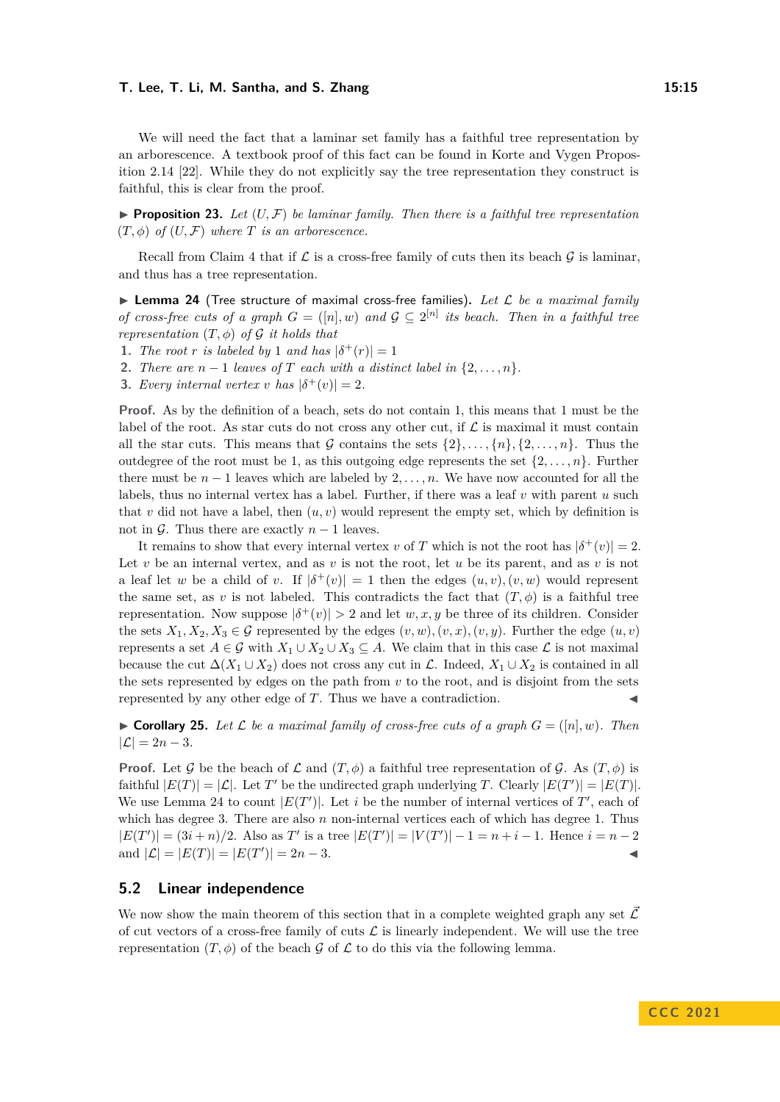We will need the fact that a laminar set family has a faithful tree representation by an arborescence. A textbook proof of this fact can be found in Korte and Vygen Proposition 2.14 [\[22\]](#page-32-12). While they do not explicitly say the tree representation they construct is faithful, this is clear from the proof.

 $\triangleright$  **Proposition 23.** Let  $(U, \mathcal{F})$  be laminar family. Then there is a faithful tree representation  $(T, \phi)$  *of*  $(U, \mathcal{F})$  *where*  $T$  *is an arborescence.* 

Recall from Claim [4](#page-7-1) that if  $\mathcal L$  is a cross-free family of cuts then its beach  $\mathcal G$  is laminar, and thus has a tree representation.

<span id="page-14-0"></span>▶ **Lemma 24** (Tree structure of maximal cross-free families)**.** *Let* L *be a maximal family of cross-free cuts of a graph*  $G = ([n], w)$  *and*  $G \subseteq 2^{[n]}$  *its beach. Then in a faithful tree representation*  $(T, \phi)$  *of*  $\mathcal G$  *it holds that* 

- **1.** *The root r is labeled by* 1 *and has*  $|\delta^+(r)| = 1$
- **2.** *There are*  $n-1$  *leaves of*  $T$  *each with a distinct label in*  $\{2, \ldots, n\}$ *.*

**3.** *Every internal vertex v has*  $|\delta^+(v)| = 2$ *.* 

**Proof.** As by the definition of a beach, sets do not contain 1, this means that 1 must be the label of the root. As star cuts do not cross any other cut, if  $\mathcal L$  is maximal it must contain all the star cuts. This means that G contains the sets  $\{2\}, \ldots, \{n\}, \{2, \ldots, n\}$ . Thus the outdegree of the root must be 1, as this outgoing edge represents the set  $\{2,\ldots,n\}$ . Further there must be  $n-1$  leaves which are labeled by  $2, \ldots, n$ . We have now accounted for all the labels, thus no internal vertex has a label. Further, if there was a leaf *v* with parent *u* such that  $v$  did not have a label, then  $(u, v)$  would represent the empty set, which by definition is not in  $\mathcal G$ . Thus there are exactly  $n-1$  leaves.

It remains to show that every internal vertex *v* of *T* which is not the root has  $|\delta^+(v)| = 2$ . Let  $v$  be an internal vertex, and as  $v$  is not the root, let  $u$  be its parent, and as  $v$  is not a leaf let *w* be a child of *v*. If  $|\delta^+(v)| = 1$  then the edges  $(u, v), (v, w)$  would represent the same set, as *v* is not labeled. This contradicts the fact that  $(T, \phi)$  is a faithful tree representation. Now suppose  $|\delta^+(v)| > 2$  and let  $w, x, y$  be three of its children. Consider the sets  $X_1, X_2, X_3 \in \mathcal{G}$  represented by the edges  $(v, w), (v, x), (v, y)$ . Further the edge  $(u, v)$ represents a set  $A \in \mathcal{G}$  with  $X_1 \cup X_2 \cup X_3 \subseteq A$ . We claim that in this case  $\mathcal{L}$  is not maximal because the cut  $\Delta(X_1 \cup X_2)$  does not cross any cut in L. Indeed,  $X_1 \cup X_2$  is contained in all the sets represented by edges on the path from *v* to the root, and is disjoint from the sets represented by any other edge of  $T$ . Thus we have a contradiction.

<span id="page-14-2"></span> $\triangleright$  **Corollary 25.** Let L be a maximal family of cross-free cuts of a graph  $G = (\lfloor n \rfloor, w)$ . Then  $|\mathcal{L}| = 2n - 3.$ 

**Proof.** Let G be the beach of  $\mathcal{L}$  and  $(T, \phi)$  a faithful tree representation of G. As  $(T, \phi)$  is faithful  $|E(T)| = |\mathcal{L}|$ . Let *T'* be the undirected graph underlying *T*. Clearly  $|E(T')| = |E(T)|$ . We use Lemma [24](#page-14-0) to count  $|E(T')|$ . Let *i* be the number of internal vertices of  $T'$ , each of which has degree 3. There are also *n* non-internal vertices each of which has degree 1. Thus  $|E(T')| = (3i + n)/2$ . Also as *T*' is a tree  $|E(T')| = |V(T')| - 1 = n + i - 1$ . Hence  $i = n - 2$ and  $|\mathcal{L}| = |E(T)| = |E(T')| = 2n - 3.$ 

## **5.2 Linear independence**

<span id="page-14-1"></span>We now show the main theorem of this section that in a complete weighted graph any set  $\vec{\mathcal{L}}$ of cut vectors of a cross-free family of cuts  $\mathcal L$  is linearly independent. We will use the tree representation  $(T, \phi)$  of the beach  $\mathcal G$  of  $\mathcal L$  to do this via the following lemma.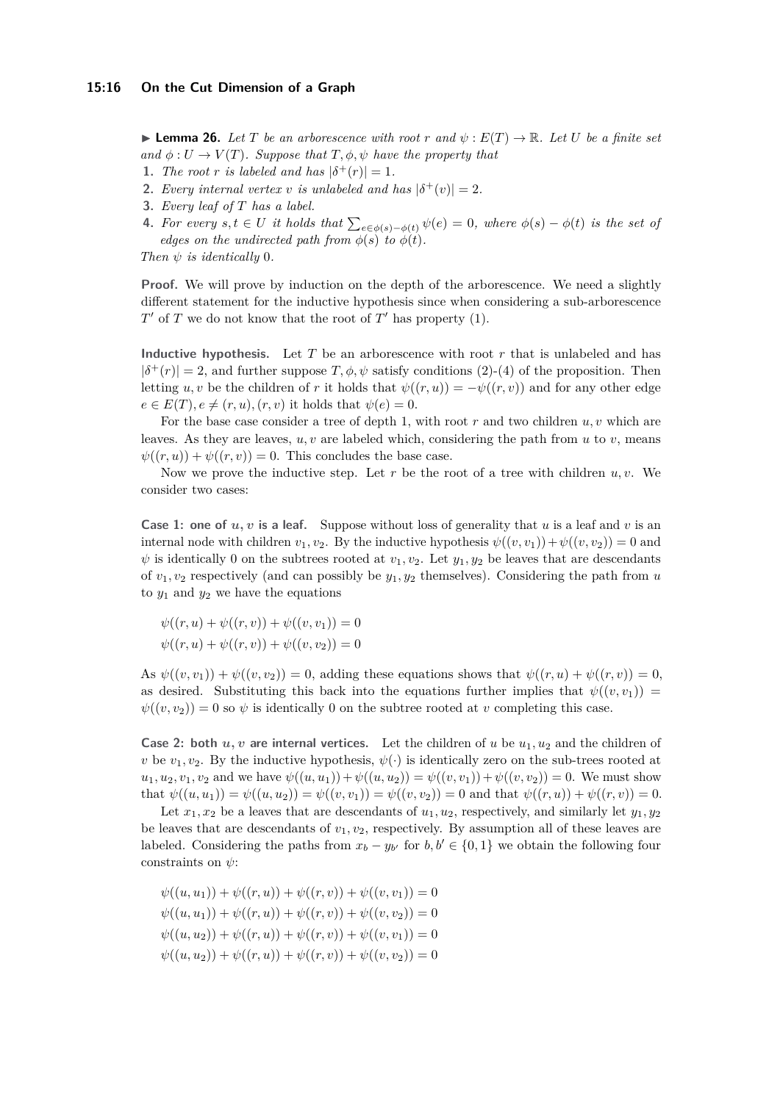$\blacktriangleright$  **Lemma 26.** Let T be an arborescence with root r and  $\psi$ :  $E(T) \rightarrow \mathbb{R}$ . Let U be a finite set  $\alpha$  *and*  $\phi: U \to V(T)$ *. Suppose that*  $T, \phi, \psi$  *have the property that* 

- **1.** *The root r is labeled and has*  $|\delta^+(r)| = 1$ *.*
- **2.** *Every internal vertex v is unlabeled and has*  $|\delta^+(v)| = 2$ *.*
- **3.** *Every leaf of T has a label.*
- **4.** For every  $s, t \in U$  it holds that  $\sum_{e \in \phi(s) \phi(t)} \psi(e) = 0$ , where  $\phi(s) \phi(t)$  is the set of *edges on the undirected path from*  $\phi(s)$  *to*  $\phi(t)$ *.*

*Then ψ is identically* 0*.*

**Proof.** We will prove by induction on the depth of the arborescence. We need a slightly different statement for the inductive hypothesis since when considering a sub-arborescence  $T'$  of  $T$  we do not know that the root of  $T'$  has property  $(1)$ .

**Inductive hypothesis.** Let *T* be an arborescence with root *r* that is unlabeled and has  $|\delta^+(r)| = 2$ , and further suppose  $T, \phi, \psi$  satisfy conditions (2)-(4) of the proposition. Then letting *u, v* be the children of *r* it holds that  $\psi((r, u)) = -\psi((r, v))$  and for any other edge  $e \in E(T), e \neq (r, u), (r, v)$  it holds that  $\psi(e) = 0$ .

For the base case consider a tree of depth 1, with root *r* and two children *u, v* which are leaves. As they are leaves,  $u, v$  are labeled which, considering the path from  $u$  to  $v$ , means  $\psi((r, u)) + \psi((r, v)) = 0$ . This concludes the base case.

Now we prove the inductive step. Let  $r$  be the root of a tree with children  $u, v$ . We consider two cases:

**Case 1: one of**  $u, v$  is a leaf. Suppose without loss of generality that  $u$  is a leaf and  $v$  is an internal node with children  $v_1, v_2$ . By the inductive hypothesis  $\psi((v, v_1)) + \psi((v, v_2)) = 0$  and  $\psi$  is identically 0 on the subtrees rooted at  $v_1, v_2$ . Let  $y_1, y_2$  be leaves that are descendants of  $v_1, v_2$  respectively (and can possibly be  $y_1, y_2$  themselves). Considering the path from *u* to  $y_1$  and  $y_2$  we have the equations

$$
\psi((r, u) + \psi((r, v)) + \psi((v, v_1)) = 0
$$
  

$$
\psi((r, u) + \psi((r, v)) + \psi((v, v_2)) = 0
$$

As  $\psi((v, v_1)) + \psi((v, v_2)) = 0$ , adding these equations shows that  $\psi((r, u) + \psi((r, v)) = 0$ , as desired. Substituting this back into the equations further implies that  $\psi((v, v_1)) =$  $\psi((v, v_2)) = 0$  so  $\psi$  is identically 0 on the subtree rooted at *v* completing this case.

**Case 2: both**  $u, v$  are internal vertices. Let the children of  $u$  be  $u_1, u_2$  and the children of *v* be  $v_1, v_2$ . By the inductive hypothesis,  $\psi(\cdot)$  is identically zero on the sub-trees rooted at  $u_1, u_2, v_1, v_2$  and we have  $\psi((u, u_1)) + \psi((u, u_2)) = \psi((v, v_1)) + \psi((v, v_2)) = 0$ . We must show that  $\psi((u, u_1)) = \psi((u, u_2)) = \psi((v, v_1)) = \psi((v, v_2)) = 0$  and that  $\psi((r, u)) + \psi((r, v)) = 0$ .

Let  $x_1, x_2$  be a leaves that are descendants of  $u_1, u_2$ , respectively, and similarly let  $y_1, y_2$ be leaves that are descendants of *v*1*, v*2, respectively. By assumption all of these leaves are labeled. Considering the paths from  $x_b - y_{b'}$  for  $b, b' \in \{0, 1\}$  we obtain the following four constraints on *ψ*:

$$
\psi((u, u_1)) + \psi((r, u)) + \psi((r, v)) + \psi((v, v_1)) = 0
$$
  

$$
\psi((u, u_1)) + \psi((r, u)) + \psi((r, v)) + \psi((v, v_2)) = 0
$$
  

$$
\psi((u, u_2)) + \psi((r, u)) + \psi((r, v)) + \psi((v, v_1)) = 0
$$
  

$$
\psi((u, u_2)) + \psi((r, u)) + \psi((r, v)) + \psi((v, v_2)) = 0
$$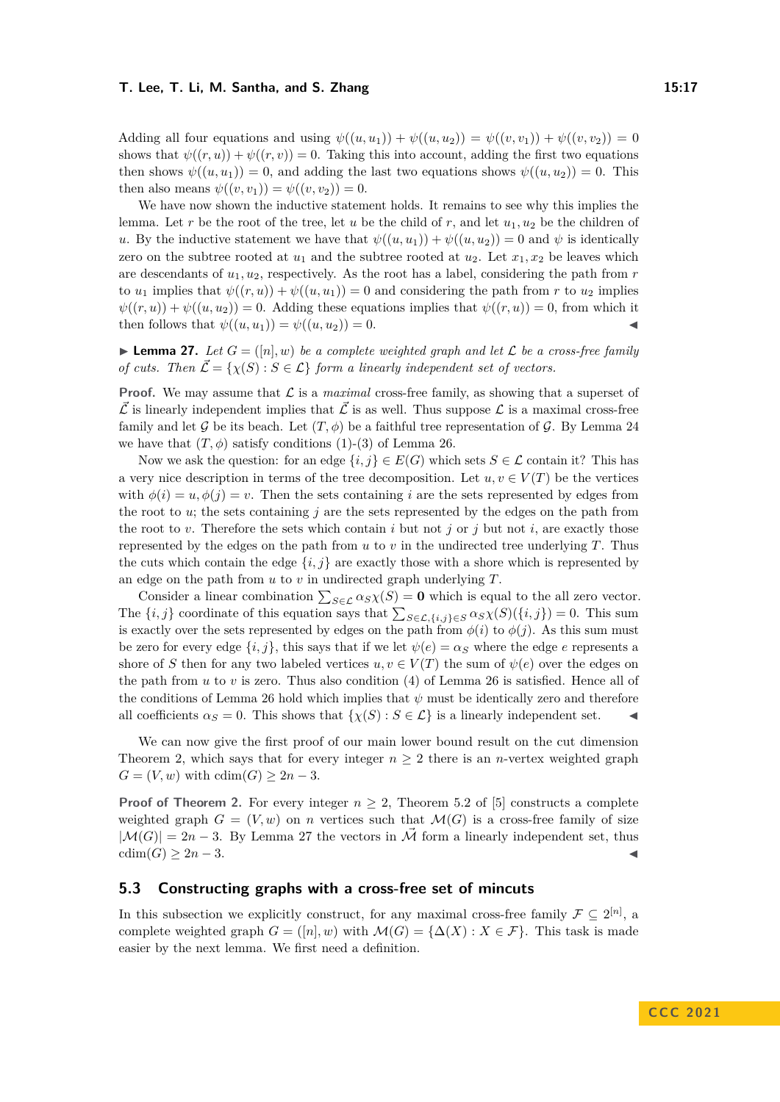Adding all four equations and using  $\psi((u, u_1)) + \psi((u, u_2)) = \psi((v, v_1)) + \psi((v, v_2)) = 0$ shows that  $\psi((r, u)) + \psi((r, v)) = 0$ . Taking this into account, adding the first two equations then shows  $\psi((u, u_1)) = 0$ , and adding the last two equations shows  $\psi((u, u_2)) = 0$ . This then also means  $\psi((v, v_1)) = \psi((v, v_2)) = 0$ .

We have now shown the inductive statement holds. It remains to see why this implies the lemma. Let *r* be the root of the tree, let *u* be the child of *r*, and let *u*1*, u*<sup>2</sup> be the children of *u*. By the inductive statement we have that  $\psi((u, u_1)) + \psi((u, u_2)) = 0$  and  $\psi$  is identically zero on the subtree rooted at  $u_1$  and the subtree rooted at  $u_2$ . Let  $x_1, x_2$  be leaves which are descendants of *u*1*, u*2, respectively. As the root has a label, considering the path from *r* to  $u_1$  implies that  $\psi((r, u)) + \psi((u, u_1)) = 0$  and considering the path from r to  $u_2$  implies  $\psi((r, u)) + \psi((u, u_2)) = 0$ . Adding these equations implies that  $\psi((r, u)) = 0$ , from which it then follows that  $\psi((u, u_1)) = \psi((u, u_2)) = 0.$ 

<span id="page-16-0"></span>**Lemma 27.** Let  $G = (\lceil n \rceil, w)$  be a complete weighted graph and let  $\mathcal{L}$  be a cross-free family *of cuts. Then*  $\vec{\mathcal{L}} = \{ \chi(S) : S \in \mathcal{L} \}$  *form a linearly independent set of vectors.* 

**Proof.** We may assume that  $\mathcal{L}$  is a *maximal* cross-free family, as showing that a superset of  $\vec{\mathcal{L}}$  is linearly independent implies that  $\vec{\mathcal{L}}$  is as well. Thus suppose  $\mathcal{L}$  is a maximal cross-free family and let G be its beach. Let  $(T, \phi)$  be a faithful tree representation of G. By Lemma [24](#page-14-0) we have that  $(T, \phi)$  satisfy conditions  $(1)-(3)$  of Lemma [26.](#page-14-1)

Now we ask the question: for an edge  $\{i, j\} \in E(G)$  which sets  $S \in \mathcal{L}$  contain it? This has a very nice description in terms of the tree decomposition. Let  $u, v \in V(T)$  be the vertices with  $\phi(i) = u, \phi(j) = v$ . Then the sets containing *i* are the sets represented by edges from the root to *u*; the sets containing *j* are the sets represented by the edges on the path from the root to *v*. Therefore the sets which contain *i* but not *j* or *j* but not *i*, are exactly those represented by the edges on the path from  $u$  to  $v$  in the undirected tree underlying  $T$ . Thus the cuts which contain the edge  $\{i, j\}$  are exactly those with a shore which is represented by an edge on the path from *u* to *v* in undirected graph underlying *T*.

Consider a linear combination  $\sum_{S \in \mathcal{L}} \alpha_S \chi(S) = \mathbf{0}$  which is equal to the all zero vector. The  $\{i, j\}$  coordinate of this equation says that  $\sum_{S \in \mathcal{L}, \{i, j\} \in S} \alpha_S \chi(S)(\{i, j\}) = 0$ . This sum is exactly over the sets represented by edges on the path from  $\phi(i)$  to  $\phi(j)$ . As this sum must be zero for every edge  $\{i, j\}$ , this says that if we let  $\psi(e) = \alpha_S$  where the edge *e* represents a shore of *S* then for any two labeled vertices  $u, v \in V(T)$  the sum of  $\psi(e)$  over the edges on the path from *u* to *v* is zero. Thus also condition (4) of Lemma [26](#page-14-1) is satisfied. Hence all of the conditions of Lemma [26](#page-14-1) hold which implies that  $\psi$  must be identically zero and therefore all coefficients  $\alpha_S = 0$ . This shows that  $\{\chi(S) : S \in \mathcal{L}\}\$ is a linearly independent set.

We can now give the first proof of our main lower bound result on the cut dimension Theorem [2,](#page-2-1) which says that for every integer  $n \geq 2$  there is an *n*-vertex weighted graph  $G = (V, w)$  with  $cdim(G) \geq 2n - 3$ .

**Proof of Theorem [2.](#page-2-1)** For every integer  $n \geq 2$ , Theorem 5.2 of [\[5\]](#page-31-7) constructs a complete weighted graph  $G = (V, w)$  on *n* vertices such that  $\mathcal{M}(G)$  is a cross-free family of size  $|\mathcal{M}(G)| = 2n - 3$ . By Lemma [27](#page-16-0) the vectors in  $\vec{\mathcal{M}}$  form a linearly independent set, thus  $cdim(G) \geq 2n-3$ .

# <span id="page-16-1"></span>**5.3 Constructing graphs with a cross-free set of mincuts**

<span id="page-16-2"></span>In this subsection we explicitly construct, for any maximal cross-free family  $\mathcal{F} \subseteq 2^{[n]}$ , a complete weighted graph  $G = ([n], w)$  with  $\mathcal{M}(G) = {\Delta(X) : X \in \mathcal{F}}$ . This task is made easier by the next lemma. We first need a definition.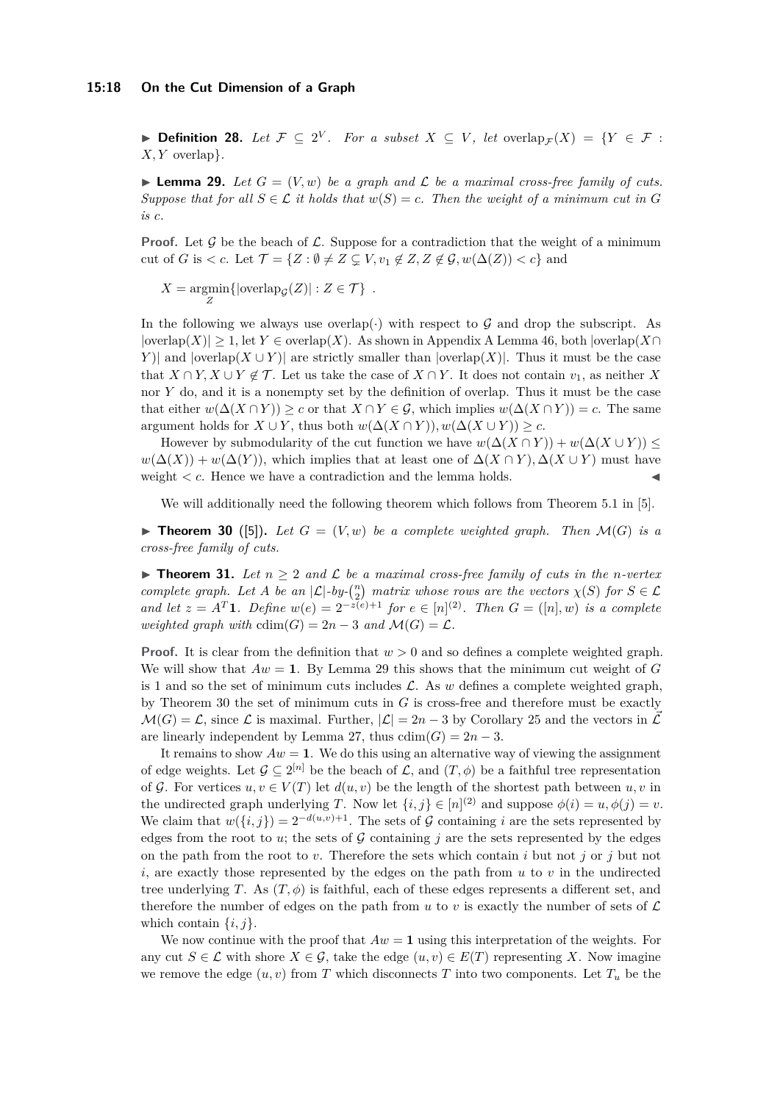▶ **Definition 28.** Let  $\mathcal{F} \subseteq 2^V$ . For a subset  $X \subseteq V$ , let  $\mathrm{overlap}_{\mathcal{F}}(X) = \{Y \in \mathcal{F} :$ *X, Y* overlap}*.*

<span id="page-17-1"></span>**Lemma 29.** Let  $G = (V, w)$  be a graph and  $\mathcal L$  be a maximal cross-free family of cuts. *Suppose that for all*  $S \in \mathcal{L}$  *it holds that*  $w(S) = c$ *. Then the weight of a minimum cut in G is c.*

**Proof.** Let G be the beach of  $\mathcal{L}$ . Suppose for a contradiction that the weight of a minimum cut of *G* is  $\lt c$ . Let  $\mathcal{T} = \{Z : \emptyset \neq Z \subsetneq V, v_1 \notin Z, Z \notin \mathcal{G}, w(\Delta(Z)) \lt c\}$  and

 $X = \underset{Z}{\text{argmin}} \{ |\text{overlap}_{\mathcal{G}}(Z)| : Z \in \mathcal{T} \}$ .

In the following we always use overlap( $\cdot$ ) with respect to G and drop the subscript. As |overlap(*X*)| ≥ 1, let *Y* ∈ overlap(*X*). As shown in Appendix [A](#page-32-14) Lemma [46,](#page-33-0) both |overlap(*X*∩ *Y*)| and  $|\text{overlap}(X \cup Y)|$  are strictly smaller than  $|\text{overlap}(X)|$ . Thus it must be the case that  $X \cap Y, X \cup Y \notin \mathcal{T}$ . Let us take the case of  $X \cap Y$ . It does not contain  $v_1$ , as neither *X* nor *Y* do, and it is a nonempty set by the definition of overlap. Thus it must be the case that either  $w(\Delta(X \cap Y)) \geq c$  or that  $X \cap Y \in \mathcal{G}$ , which implies  $w(\Delta(X \cap Y)) = c$ . The same argument holds for  $X \cup Y$ , thus both  $w(\Delta(X \cap Y)), w(\Delta(X \cup Y)) > c$ .

However by submodularity of the cut function we have  $w(\Delta(X \cap Y)) + w(\Delta(X \cup Y))$  <  $w(\Delta(X)) + w(\Delta(Y))$ , which implies that at least one of  $\Delta(X \cap Y)$ ,  $\Delta(X \cup Y)$  must have weight  $\lt c$ . Hence we have a contradiction and the lemma holds.

We will additionally need the following theorem which follows from Theorem 5.1 in [\[5\]](#page-31-7).

<span id="page-17-2"></span> $\blacktriangleright$  **Theorem 30** ([\[5\]](#page-31-7)). Let  $G = (V, w)$  be a complete weighted graph. Then  $\mathcal{M}(G)$  is a *cross-free family of cuts.*

<span id="page-17-0"></span>▶ **Theorem 31.** Let  $n \geq 2$  and  $\mathcal{L}$  be a maximal cross-free family of cuts in the *n*-vertex *complete graph.* Let *A* be an  $|\mathcal{L}|$ -by- $\binom{n}{2}$  matrix whose rows are the vectors  $\chi(S)$  for  $S \in \mathcal{L}$ *and let*  $z = A^T \mathbf{1}$ *. Define*  $w(e) = 2^{-z(e)+1}$  *for*  $e \in [n]^{(2)}$ *. Then*  $G = ([n], w)$  *is a complete weighted graph with*  $cdim(G) = 2n - 3$  *and*  $\mathcal{M}(G) = \mathcal{L}$ .

**Proof.** It is clear from the definition that *w >* 0 and so defines a complete weighted graph. We will show that  $Aw = 1$ . By Lemma [29](#page-17-1) this shows that the minimum cut weight of *G* is 1 and so the set of minimum cuts includes  $\mathcal{L}$ . As *w* defines a complete weighted graph, by Theorem [30](#page-17-2) the set of minimum cuts in *G* is cross-free and therefore must be exactly  $\mathcal{M}(G) = \mathcal{L}$ , since  $\mathcal L$  is maximal. Further,  $|\mathcal L| = 2n - 3$  by Corollary [25](#page-14-2) and the vectors in  $\mathcal L$ are linearly independent by Lemma [27,](#page-16-0) thus  $cdim(G) = 2n - 3$ .

It remains to show  $Aw = 1$ . We do this using an alternative way of viewing the assignment of edge weights. Let  $\mathcal{G} \subseteq 2^{[n]}$  be the beach of  $\mathcal{L}$ , and  $(T, \phi)$  be a faithful tree representation of G. For vertices  $u, v \in V(T)$  let  $d(u, v)$  be the length of the shortest path between  $u, v$  in the undirected graph underlying *T*. Now let  $\{i, j\} \in [n]^{(2)}$  and suppose  $\phi(i) = u, \phi(j) = v$ . We claim that  $w(\{i, j\}) = 2^{-d(u,v)+1}$ . The sets of G containing *i* are the sets represented by edges from the root to  $u$ ; the sets of  $\mathcal G$  containing  $j$  are the sets represented by the edges on the path from the root to *v*. Therefore the sets which contain *i* but not *j* or *j* but not *i*, are exactly those represented by the edges on the path from *u* to *v* in the undirected tree underlying *T*. As  $(T, \phi)$  is faithful, each of these edges represents a different set, and therefore the number of edges on the path from  $u$  to  $v$  is exactly the number of sets of  $\mathcal L$ which contain  $\{i, j\}$ .

We now continue with the proof that  $Aw = 1$  using this interpretation of the weights. For any cut  $S \in \mathcal{L}$  with shore  $X \in \mathcal{G}$ , take the edge  $(u, v) \in E(T)$  representing X. Now imagine we remove the edge  $(u, v)$  from T which disconnects T into two components. Let  $T_u$  be the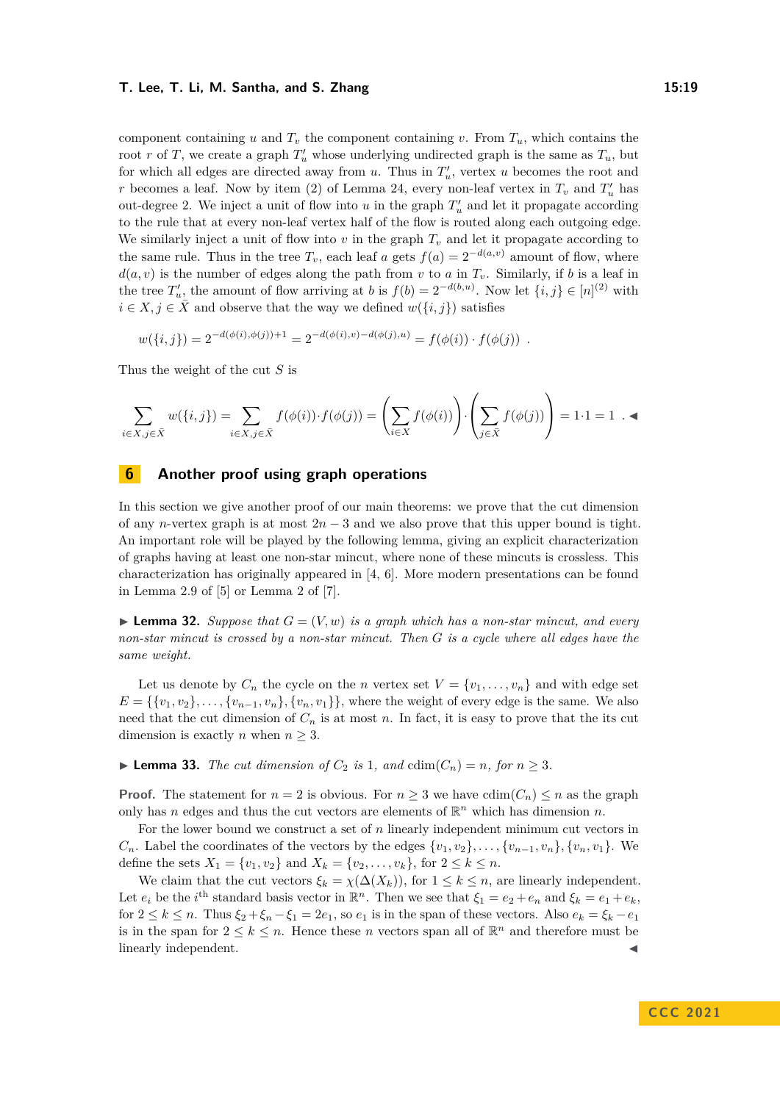component containing *u* and  $T_v$  the component containing *v*. From  $T_u$ , which contains the root *r* of *T*, we create a graph  $T'_u$  whose underlying undirected graph is the same as  $T_u$ , but for which all edges are directed away from  $u$ . Thus in  $T'_u$ , vertex  $u$  becomes the root and *r* becomes a leaf. Now by item (2) of Lemma [24,](#page-14-0) every non-leaf vertex in  $T_v$  and  $T'_u$  has out-degree 2. We inject a unit of flow into  $u$  in the graph  $T'_u$  and let it propagate according to the rule that at every non-leaf vertex half of the flow is routed along each outgoing edge. We similarly inject a unit of flow into  $v$  in the graph  $T_v$  and let it propagate according to the same rule. Thus in the tree  $T_v$ , each leaf *a* gets  $f(a) = 2^{-d(a,v)}$  amount of flow, where  $d(a, v)$  is the number of edges along the path from *v* to *a* in  $T_v$ . Similarly, if *b* is a leaf in the tree  $T'_u$ , the amount of flow arriving at *b* is  $f(b) = 2^{-d(b,u)}$ . Now let  $\{i, j\} \in [n]^{(2)}$  with  $i \in X, j \in \overline{X}$  and observe that the way we defined  $w(\{i, j\})$  satisfies

$$
w(\{i,j\}) = 2^{-d(\phi(i),\phi(j)) + 1} = 2^{-d(\phi(i),v) - d(\phi(j),u)} = f(\phi(i)) \cdot f(\phi(j)) .
$$

Thus the weight of the cut *S* is

$$
\sum_{i \in X, j \in \bar{X}} w(\{i, j\}) = \sum_{i \in X, j \in \bar{X}} f(\phi(i)) \cdot f(\phi(j)) = \left(\sum_{i \in X} f(\phi(i))\right) \cdot \left(\sum_{j \in \bar{X}} f(\phi(j))\right) = 1 \cdot 1 = 1. \blacktriangleleft
$$

# <span id="page-18-0"></span>**6 Another proof using graph operations**

In this section we give another proof of our main theorems: we prove that the cut dimension of any *n*-vertex graph is at most  $2n-3$  and we also prove that this upper bound is tight. An important role will be played by the following lemma, giving an explicit characterization of graphs having at least one non-star mincut, where none of these mincuts is crossless. This characterization has originally appeared in [\[4,](#page-31-11) [6\]](#page-31-4). More modern presentations can be found in Lemma 2.9 of [\[5\]](#page-31-7) or Lemma 2 of [\[7\]](#page-31-6).

<span id="page-18-1"></span> $\blacktriangleright$  **Lemma 32.** *Suppose that*  $G = (V, w)$  *is a graph which has a non-star mincut, and every non-star mincut is crossed by a non-star mincut. Then G is a cycle where all edges have the same weight.*

Let us denote by  $C_n$  the cycle on the *n* vertex set  $V = \{v_1, \ldots, v_n\}$  and with edge set  $E = \{\{v_1, v_2\}, \ldots, \{v_{n-1}, v_n\}, \{v_n, v_1\}\}\,$  where the weight of every edge is the same. We also need that the cut dimension of  $C_n$  is at most  $n$ . In fact, it is easy to prove that the its cut dimension is exactly *n* when  $n \geq 3$ .

# <span id="page-18-2"></span>▶ **Lemma 33.** *The cut dimension of*  $C_2$  *is* 1*, and*  $cdim(C_n) = n$ *, for*  $n ≥ 3$ *.*

**Proof.** The statement for  $n = 2$  is obvious. For  $n \geq 3$  we have  $\text{cdim}(C_n) \leq n$  as the graph only has *n* edges and thus the cut vectors are elements of  $\mathbb{R}^n$  which has dimension *n*.

For the lower bound we construct a set of *n* linearly independent minimum cut vectors in  $C_n$ . Label the coordinates of the vectors by the edges  $\{v_1, v_2\}, \ldots, \{v_{n-1}, v_n\}, \{v_n, v_1\}$ . We define the sets  $X_1 = \{v_1, v_2\}$  and  $X_k = \{v_2, \ldots, v_k\}$ , for  $2 \le k \le n$ .

We claim that the cut vectors  $\xi_k = \chi(\Delta(X_k))$ , for  $1 \leq k \leq n$ , are linearly independent. Let  $e_i$  be the *i*<sup>th</sup> standard basis vector in  $\mathbb{R}^n$ . Then we see that  $\xi_1 = e_2 + e_n$  and  $\xi_k = e_1 + e_k$ , for  $2 \leq k \leq n$ . Thus  $\xi_2 + \xi_n - \xi_1 = 2e_1$ , so  $e_1$  is in the span of these vectors. Also  $e_k = \xi_k - e_1$ is in the span for  $2 \leq k \leq n$ . Hence these *n* vectors span all of  $\mathbb{R}^n$  and therefore must be linearly independent.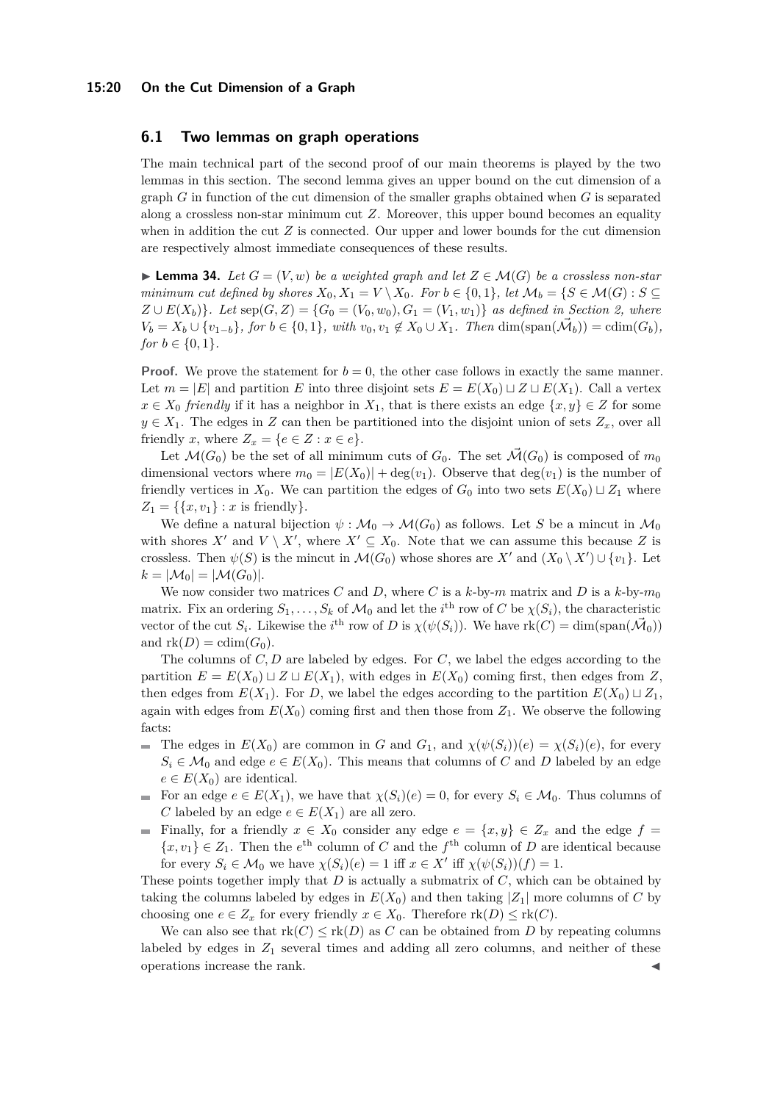#### **15:20 On the Cut Dimension of a Graph**

# **6.1 Two lemmas on graph operations**

The main technical part of the second proof of our main theorems is played by the two lemmas in this section. The second lemma gives an upper bound on the cut dimension of a graph *G* in function of the cut dimension of the smaller graphs obtained when *G* is separated along a crossless non-star minimum cut *Z*. Moreover, this upper bound becomes an equality when in addition the cut *Z* is connected. Our upper and lower bounds for the cut dimension are respectively almost immediate consequences of these results.

<span id="page-19-0"></span>▶ **Lemma 34.** *Let*  $G = (V, w)$  *be a weighted graph and let*  $Z \in \mathcal{M}(G)$  *be a crossless non-star minimum cut defined by shores*  $X_0, X_1 = V \setminus X_0$ *. For*  $b \in \{0,1\}$ *, let*  $\mathcal{M}_b = \{S \in \mathcal{M}(G) : S \subseteq$ *Z* ∪ *E*( $X$ <sup>b</sup>)</sub>}*. Let* sep(*G*, *Z*) = { $G$ <sup>0</sup> = ( $V$ <sub>0</sub>*, w*<sub>0</sub>)*,*  $G$ <sub>1</sub> = ( $V$ <sub>1</sub>*, w*<sub>1</sub>)} *as defined in Section [2,](#page-6-0) where*  $V_b = X_b \cup \{v_{1-b}\},$  for  $b \in \{0,1\},$  with  $v_0, v_1 \notin X_0 \cup X_1$ . Then  $\dim(\text{span}(\vec{\mathcal{M}}_b)) = \text{cdim}(G_b)$ , *for*  $b \in \{0, 1\}$ *.* 

**Proof.** We prove the statement for  $b = 0$ , the other case follows in exactly the same manner. Let  $m = |E|$  and partition *E* into three disjoint sets  $E = E(X_0) \sqcup Z \sqcup E(X_1)$ . Call a vertex  $x \in X_0$  *friendly* if it has a neighbor in  $X_1$ , that is there exists an edge  $\{x, y\} \in Z$  for some  $y \in X_1$ . The edges in *Z* can then be partitioned into the disjoint union of sets  $Z_x$ , over all friendly *x*, where  $Z_x = \{e \in Z : x \in e\}.$ 

Let  $\mathcal{M}(G_0)$  be the set of all minimum cuts of  $G_0$ . The set  $\mathcal{M}(G_0)$  is composed of  $m_0$ dimensional vectors where  $m_0 = |E(X_0)| + \text{deg}(v_1)$ . Observe that  $\text{deg}(v_1)$  is the number of friendly vertices in  $X_0$ . We can partition the edges of  $G_0$  into two sets  $E(X_0) \sqcup Z_1$  where  $Z_1 = \{\{x, v_1\} : x \text{ is friendly}\}.$ 

We define a natural bijection  $\psi : \mathcal{M}_0 \to \mathcal{M}(G_0)$  as follows. Let S be a mincut in  $\mathcal{M}_0$ with shores  $X'$  and  $V \setminus X'$ , where  $X' \subseteq X_0$ . Note that we can assume this because Z is crossless. Then  $\psi(S)$  is the mincut in  $\mathcal{M}(G_0)$  whose shores are  $X'$  and  $(X_0 \setminus X') \cup \{v_1\}$ . Let  $k = |\mathcal{M}_0| = |\mathcal{M}(G_0)|.$ 

We now consider two matrices *C* and *D*, where *C* is a *k*-by-*m* matrix and *D* is a *k*-by- $m_0$ matrix. Fix an ordering  $S_1, \ldots, S_k$  of  $\mathcal{M}_0$  and let the  $i^{\text{th}}$  row of  $C$  be  $\chi(S_i)$ , the characteristic vector of the cut  $S_i$ . Likewise the *i*<sup>th</sup> row of *D* is  $\chi(\psi(S_i))$ . We have  $\text{rk}(C) = \dim(\text{span}(\vec{\mathcal{M}}_0))$ and  $rk(D) = cdim(G_0)$ .

The columns of *C, D* are labeled by edges. For *C*, we label the edges according to the partition  $E = E(X_0) \sqcup Z \sqcup E(X_1)$ , with edges in  $E(X_0)$  coming first, then edges from *Z*, then edges from  $E(X_1)$ . For *D*, we label the edges according to the partition  $E(X_0) \sqcup Z_1$ , again with edges from  $E(X_0)$  coming first and then those from  $Z_1$ . We observe the following facts:

- The edges in  $E(X_0)$  are common in *G* and  $G_1$ , and  $\chi(\psi(S_i))(e) = \chi(S_i)(e)$ , for every  $\equiv$  $S_i \in \mathcal{M}_0$  and edge  $e \in E(X_0)$ . This means that columns of *C* and *D* labeled by an edge  $e \in E(X_0)$  are identical.
- For an edge  $e \in E(X_1)$ , we have that  $\chi(S_i)(e) = 0$ , for every  $S_i \in \mathcal{M}_0$ . Thus columns of  $\mathbf{r}$ *C* labeled by an edge  $e \in E(X_1)$  are all zero.
- Finally, for a friendly  $x \in X_0$  consider any edge  $e = \{x, y\} \in Z_x$  and the edge  $f =$  $\{x, v_1\} \in Z_1$ . Then the  $e^{\text{th}}$  column of *C* and the  $f^{\text{th}}$  column of *D* are identical because for every  $S_i \in \mathcal{M}_0$  we have  $\chi(S_i)(e) = 1$  iff  $x \in X'$  iff  $\chi(\psi(S_i))(f) = 1$ .

These points together imply that *D* is actually a submatrix of *C*, which can be obtained by taking the columns labeled by edges in  $E(X_0)$  and then taking  $|Z_1|$  more columns of C by choosing one  $e \in Z_x$  for every friendly  $x \in X_0$ . Therefore  $rk(D) \leq rk(C)$ .

<span id="page-19-1"></span>We can also see that  $rk(C) \leq rk(D)$  as *C* can be obtained from *D* by repeating columns labeled by edges in  $Z_1$  several times and adding all zero columns, and neither of these operations increase the rank.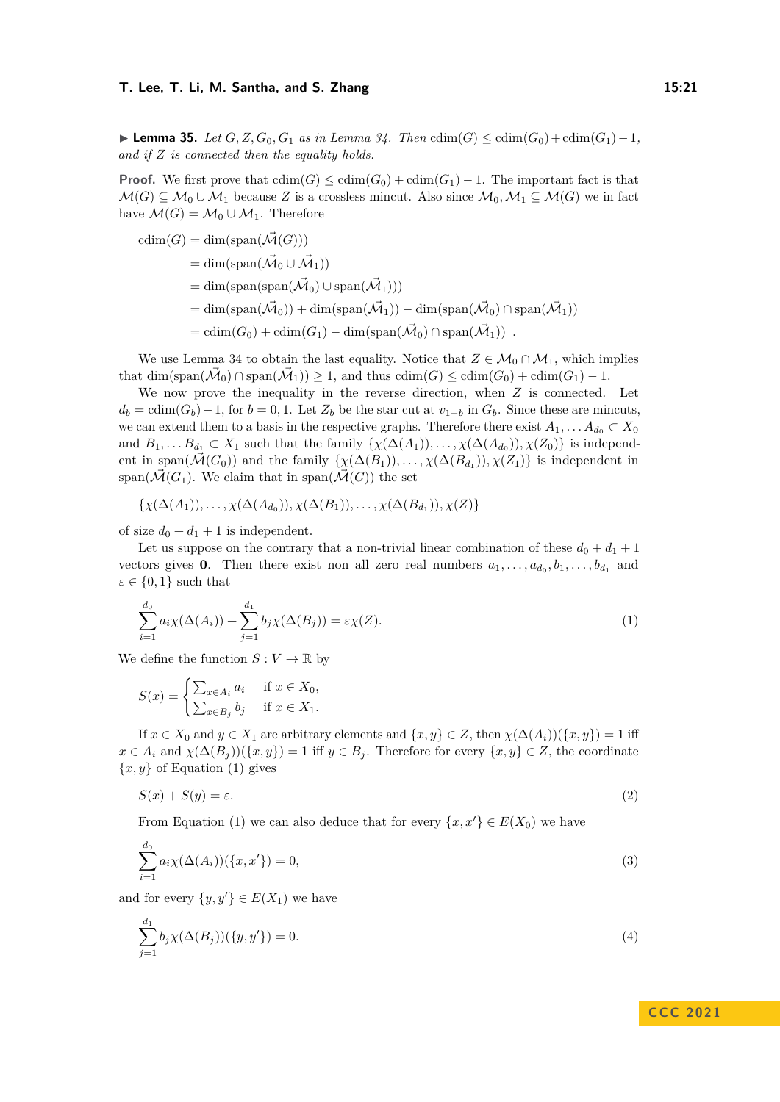▶ **Lemma 35.** *Let*  $G, Z, G_0, G_1$  *as in Lemma [34.](#page-19-0) Then*  $\text{cdim}(G) \leq \text{cdim}(G_0) + \text{cdim}(G_1) - 1$ , *and if Z is connected then the equality holds.*

**Proof.** We first prove that  $\text{cdim}(G) \leq \text{cdim}(G_0) + \text{cdim}(G_1) - 1$ . The important fact is that  $\mathcal{M}(G) \subseteq \mathcal{M}_0 \cup \mathcal{M}_1$  because Z is a crossless mincut. Also since  $\mathcal{M}_0, \mathcal{M}_1 \subseteq \mathcal{M}(G)$  we in fact have  $\mathcal{M}(G) = \mathcal{M}_0 \cup \mathcal{M}_1$ . Therefore

$$
cdim(G) = dim(span(\vec{\mathcal{M}}(G)))
$$
  
= dim(span(\vec{\mathcal{M}}\_0 \cup \vec{\mathcal{M}}\_1))  
= dim(span(span(\vec{\mathcal{M}}\_0) \cup span(\vec{\mathcal{M}}\_1)))  
= dim(span(\vec{\mathcal{M}}\_0)) + dim(span(\vec{\mathcal{M}}\_1)) - dim(span(\vec{\mathcal{M}}\_0) \cap span(\vec{\mathcal{M}}\_1))  
= cdim(G\_0) + cdim(G\_1) - dim(span(\vec{\mathcal{M}}\_0) \cap span(\vec{\mathcal{M}}\_1)) .

We use Lemma [34](#page-19-0) to obtain the last equality. Notice that  $Z \in \mathcal{M}_0 \cap \mathcal{M}_1$ , which implies that  $\dim(\text{span}(\vec{\mathcal{M}}_0) \cap \text{span}(\vec{\mathcal{M}}_1)) \geq 1$ , and thus  $\text{cdim}(G) \leq \text{cdim}(G_0) + \text{cdim}(G_1) - 1$ .

We now prove the inequality in the reverse direction, when *Z* is connected. Let  $d_b = \text{cdim}(G_b) - 1$ , for  $b = 0, 1$ . Let  $Z_b$  be the star cut at  $v_{1-b}$  in  $G_b$ . Since these are mincuts, we can extend them to a basis in the respective graphs. Therefore there exist  $A_1, \ldots, A_{d_0} \subset X_0$ and  $B_1, \ldots, B_{d_1} \subset X_1$  such that the family  $\{\chi(\Delta(A_1)), \ldots, \chi(\Delta(A_{d_0})), \chi(Z_0)\}\$ is independent in span( $\vec{\mathcal{M}}(G_0)$ ) and the family  $\{\chi(\Delta(B_1)), \ldots, \chi(\Delta(B_{d_1})), \chi(Z_1)\}\)$  is independent in span( $\mathcal{M}(G_1)$ ). We claim that in span( $\mathcal{M}(G)$ ) the set

$$
\{\chi(\Delta(A_1)),\ldots,\chi(\Delta(A_{d_0})),\chi(\Delta(B_1)),\ldots,\chi(\Delta(B_{d_1})),\chi(Z)\}
$$

of size  $d_0 + d_1 + 1$  is independent.

Let us suppose on the contrary that a non-trivial linear combination of these  $d_0 + d_1 + 1$ vectors gives **0**. Then there exist non all zero real numbers  $a_1, \ldots, a_{d_0}, b_1, \ldots, b_{d_1}$  and  $\varepsilon \in \{0,1\}$  such that

<span id="page-20-0"></span>
$$
\sum_{i=1}^{d_0} a_i \chi(\Delta(A_i)) + \sum_{j=1}^{d_1} b_j \chi(\Delta(B_j)) = \varepsilon \chi(Z).
$$
 (1)

We define the function  $S: V \to \mathbb{R}$  by

$$
S(x) = \begin{cases} \sum_{x \in A_i} a_i & \text{if } x \in X_0, \\ \sum_{x \in B_j} b_j & \text{if } x \in X_1. \end{cases}
$$

If  $x \in X_0$  and  $y \in X_1$  are arbitrary elements and  $\{x, y\} \in Z$ , then  $\chi(\Delta(A_i))(\{x, y\}) = 1$  iff  $x \in A_i$  and  $\chi(\Delta(B_i))(\{x, y\}) = 1$  iff  $y \in B_j$ . Therefore for every  $\{x, y\} \in Z$ , the coordinate  ${x, y}$  of Equation [\(1\)](#page-20-0) gives

<span id="page-20-1"></span>
$$
S(x) + S(y) = \varepsilon. \tag{2}
$$

From Equation [\(1\)](#page-20-0) we can also deduce that for every  $\{x, x'\} \in E(X_0)$  we have

$$
\sum_{i=1}^{d_0} a_i \chi(\Delta(A_i))(\{x, x'\}) = 0,
$$
\n(3)

and for every  $\{y, y'\} \in E(X_1)$  we have

<span id="page-20-3"></span>
$$
\sum_{j=1}^{d_1} b_j \chi(\Delta(B_j))(\{y, y'\}) = 0.
$$
\n(4)

# <span id="page-20-2"></span>**C C C 2 0 2 1**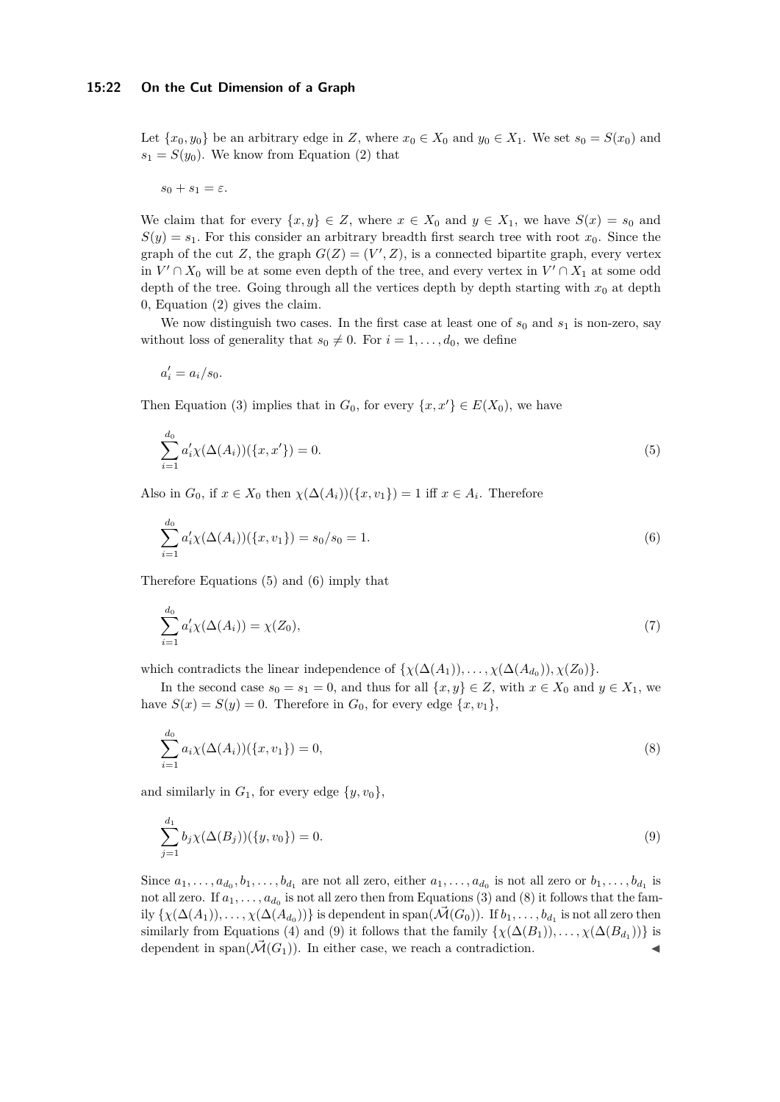Let  $\{x_0, y_0\}$  be an arbitrary edge in *Z*, where  $x_0 \in X_0$  and  $y_0 \in X_1$ . We set  $s_0 = S(x_0)$  and  $s_1 = S(y_0)$ . We know from Equation [\(2\)](#page-20-1) that

$$
s_0+s_1=\varepsilon.
$$

We claim that for every  $\{x, y\} \in Z$ , where  $x \in X_0$  and  $y \in X_1$ , we have  $S(x) = s_0$  and  $S(y) = s_1$ . For this consider an arbitrary breadth first search tree with root  $x_0$ . Since the graph of the cut *Z*, the graph  $G(Z) = (V', Z)$ , is a connected bipartite graph, every vertex in  $V' \cap X_0$  will be at some even depth of the tree, and every vertex in  $V' \cap X_1$  at some odd depth of the tree. Going through all the vertices depth by depth starting with  $x_0$  at depth 0, Equation [\(2\)](#page-20-1) gives the claim.

We now distinguish two cases. In the first case at least one of  $s_0$  and  $s_1$  is non-zero, say without loss of generality that  $s_0 \neq 0$ . For  $i = 1, \ldots, d_0$ , we define

<span id="page-21-0"></span>
$$
a_i' = a_i/s_0.
$$

Then Equation [\(3\)](#page-20-2) implies that in  $G_0$ , for every  $\{x, x'\} \in E(X_0)$ , we have

$$
\sum_{i=1}^{d_0} a'_i \chi(\Delta(A_i))(\{x, x'\}) = 0.
$$
\n(5)

Also in  $G_0$ , if  $x \in X_0$  then  $\chi(\Delta(A_i))(\{x, v_1\}) = 1$  iff  $x \in A_i$ . Therefore

<span id="page-21-1"></span>
$$
\sum_{i=1}^{d_0} a'_i \chi(\Delta(A_i))(\{x, v_1\}) = s_0/s_0 = 1.
$$
\n(6)

Therefore Equations [\(5\)](#page-21-0) and [\(6\)](#page-21-1) imply that

$$
\sum_{i=1}^{d_0} a'_i \chi(\Delta(A_i)) = \chi(Z_0),\tag{7}
$$

which contradicts the linear independence of  $\{\chi(\Delta(A_1)), \ldots, \chi(\Delta(A_{d_0})), \chi(Z_0)\}.$ 

In the second case  $s_0 = s_1 = 0$ , and thus for all  $\{x, y\} \in Z$ , with  $x \in X_0$  and  $y \in X_1$ , we have  $S(x) = S(y) = 0$ . Therefore in  $G_0$ , for every edge  $\{x, v_1\}$ ,

<span id="page-21-2"></span>
$$
\sum_{i=1}^{d_0} a_i \chi(\Delta(A_i))(\{x, v_1\}) = 0,
$$
\n(8)

and similarly in  $G_1$ , for every edge  $\{y, v_0\}$ ,

<span id="page-21-3"></span>
$$
\sum_{j=1}^{d_1} b_j \chi(\Delta(B_j))(\{y, v_0\}) = 0.
$$
\n(9)

Since  $a_1, \ldots, a_{d_0}, b_1, \ldots, b_{d_1}$  are not all zero, either  $a_1, \ldots, a_{d_0}$  is not all zero or  $b_1, \ldots, b_{d_1}$  is not all zero. If  $a_1, \ldots, a_{d_0}$  is not all zero then from Equations [\(3\)](#page-20-2) and [\(8\)](#page-21-2) it follows that the fam- $\text{div } \{\chi(\Delta(A_1)), \ldots, \chi(\Delta(A_{d_0}))\}$  is dependent in span $(\vec{\mathcal{M}}(G_0))$ . If  $b_1, \ldots, b_{d_1}$  is not all zero then similarly from Equations [\(4\)](#page-20-3) and [\(9\)](#page-21-3) it follows that the family  $\{\chi(\Delta(B_1)), \ldots, \chi(\Delta(B_{d_1}))\}$  is dependent in span $(\tilde{\mathcal{M}}(G_1))$ . In either case, we reach a contradiction.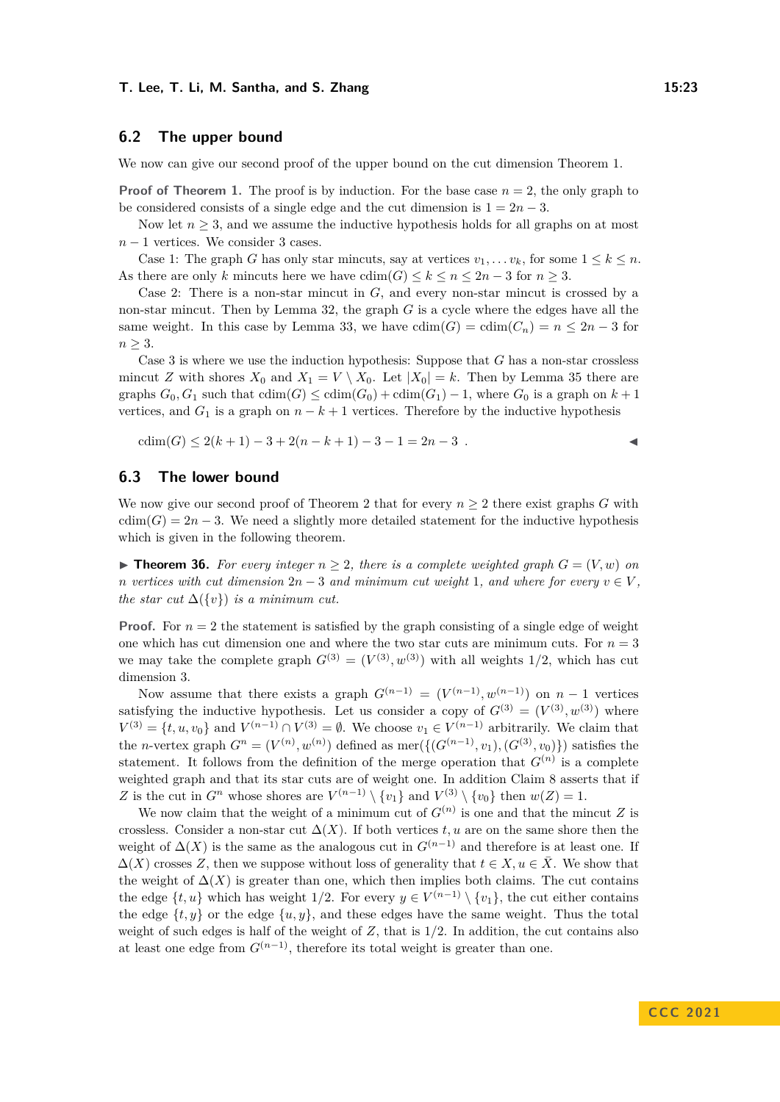# **6.2 The upper bound**

We now can give our second proof of the upper bound on the cut dimension Theorem [1.](#page-2-0)

**Proof of Theorem [1.](#page-2-0)** The proof is by induction. For the base case  $n = 2$ , the only graph to be considered consists of a single edge and the cut dimension is  $1 = 2n - 3$ .

Now let  $n \geq 3$ , and we assume the inductive hypothesis holds for all graphs on at most *n* − 1 vertices. We consider 3 cases.

Case 1: The graph *G* has only star mincuts, say at vertices  $v_1, \ldots, v_k$ , for some  $1 \leq k \leq n$ . As there are only *k* mincuts here we have  $\text{cdim}(G) \leq k \leq n \leq 2n - 3$  for  $n \geq 3$ .

Case 2: There is a non-star mincut in *G*, and every non-star mincut is crossed by a non-star mincut. Then by Lemma [32,](#page-18-1) the graph *G* is a cycle where the edges have all the same weight. In this case by Lemma [33,](#page-18-2) we have  $\text{cdim}(G) = \text{cdim}(C_n) = n \leq 2n - 3$  for  $n \geq 3$ .

Case 3 is where we use the induction hypothesis: Suppose that *G* has a non-star crossless mincut *Z* with shores  $X_0$  and  $X_1 = V \setminus X_0$ . Let  $|X_0| = k$ . Then by Lemma [35](#page-19-1) there are graphs  $G_0, G_1$  such that  $\text{cdim}(G) \leq \text{cdim}(G_0) + \text{cdim}(G_1) - 1$ , where  $G_0$  is a graph on  $k+1$ vertices, and  $G_1$  is a graph on  $n - k + 1$  vertices. Therefore by the inductive hypothesis

$$
cdim(G) \le 2(k+1) - 3 + 2(n - k + 1) - 3 - 1 = 2n - 3.
$$

## **6.3 The lower bound**

We now give our second proof of Theorem [2](#page-2-1) that for every  $n \geq 2$  there exist graphs *G* with  $cdim(G) = 2n - 3$ . We need a slightly more detailed statement for the inductive hypothesis which is given in the following theorem.

▶ **Theorem 36.** For every integer  $n \geq 2$ , there is a complete weighted graph  $G = (V, w)$  on *n* vertices with cut dimension  $2n-3$  and minimum cut weight 1, and where for every  $v \in V$ , *the star cut*  $\Delta(\lbrace v \rbrace)$  *is a minimum cut.* 

**Proof.** For  $n = 2$  the statement is satisfied by the graph consisting of a single edge of weight one which has cut dimension one and where the two star cuts are minimum cuts. For  $n = 3$ we may take the complete graph  $G^{(3)} = (V^{(3)}, w^{(3)})$  with all weights 1/2, which has cut dimension 3.

Now assume that there exists a graph  $G^{(n-1)} = (V^{(n-1)}, w^{(n-1)})$  on  $n-1$  vertices satisfying the inductive hypothesis. Let us consider a copy of  $G^{(3)} = (V^{(3)}, w^{(3)})$  where  $V^{(3)} = \{t, u, v_0\}$  and  $V^{(n-1)} \cap V^{(3)} = \emptyset$ . We choose  $v_1 \in V^{(n-1)}$  arbitrarily. We claim that the *n*-vertex graph  $G^n = (V^{(n)}, w^{(n)})$  defined as mer $(\{(G^{(n-1)}, v_1), (G^{(3)}, v_0)\})$  satisfies the statement. It follows from the definition of the merge operation that  $G^{(n)}$  is a complete weighted graph and that its star cuts are of weight one. In addition Claim [8](#page-8-0) asserts that if *Z* is the cut in  $G^n$  whose shores are  $V^{(n-1)} \setminus \{v_1\}$  and  $V^{(3)} \setminus \{v_0\}$  then  $w(Z) = 1$ .

We now claim that the weight of a minimum cut of  $G^{(n)}$  is one and that the mincut *Z* is crossless. Consider a non-star cut  $\Delta(X)$ . If both vertices *t, u* are on the same shore then the weight of  $\Delta(X)$  is the same as the analogous cut in  $G^{(n-1)}$  and therefore is at least one. If  $\Delta(X)$  crosses *Z*, then we suppose without loss of generality that  $t \in X, u \in \overline{X}$ . We show that the weight of  $\Delta(X)$  is greater than one, which then implies both claims. The cut contains the edge  $\{t, u\}$  which has weight 1/2. For every  $y \in V^{(n-1)} \setminus \{v_1\}$ , the cut either contains the edge  $\{t, y\}$  or the edge  $\{u, y\}$ , and these edges have the same weight. Thus the total weight of such edges is half of the weight of *Z*, that is 1*/*2. In addition, the cut contains also at least one edge from  $G^{(n-1)}$ , therefore its total weight is greater than one.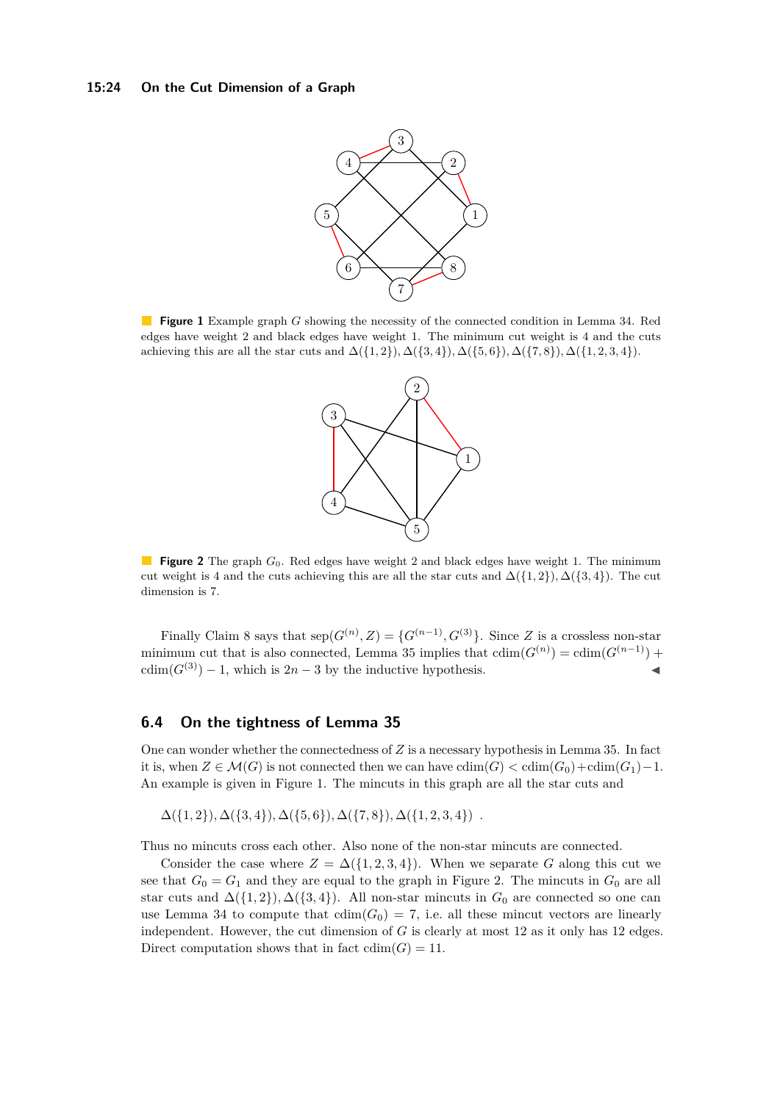#### <span id="page-23-0"></span>**15:24 On the Cut Dimension of a Graph**



<span id="page-23-1"></span>**Figure 1** Example graph *G* showing the necessity of the connected condition in Lemma [34.](#page-19-0) Red edges have weight 2 and black edges have weight 1. The minimum cut weight is 4 and the cuts achieving this are all the star cuts and  $\Delta({1, 2}, \Delta({3, 4}), \Delta({5, 6}), \Delta({7, 8}), \Delta({1, 2, 3, 4}).$ 



**Figure 2** The graph  $G_0$ . Red edges have weight 2 and black edges have weight 1. The minimum cut weight is 4 and the cuts achieving this are all the star cuts and  $\Delta({1, 2}), \Delta({3, 4})$ . The cut dimension is 7.

Finally Claim [8](#page-8-0) says that  $\text{sep}(G^{(n)}, Z) = \{G^{(n-1)}, G^{(3)}\}$ . Since *Z* is a crossless non-star minimum cut that is also connected, Lemma [35](#page-19-1) implies that  $\text{cdim}(G^{(n)}) = \text{cdim}(G^{(n-1)}) +$  $cdim(G^{(3)}) - 1$ , which is  $2n - 3$  by the inductive hypothesis.

# **6.4 On the tightness of Lemma [35](#page-19-1)**

One can wonder whether the connectedness of *Z* is a necessary hypothesis in Lemma [35.](#page-19-1) In fact it is, when  $Z \in \mathcal{M}(G)$  is not connected then we can have  $\text{cdim}(G) < \text{cdim}(G_0) + \text{cdim}(G_1) - 1$ . An example is given in Figure [1.](#page-23-0) The mincuts in this graph are all the star cuts and

 $\Delta({1, 2}, \Delta({3, 4}), \Delta({5, 6}), \Delta({7, 8}), \Delta({1, 2, 3, 4})$ .

Thus no mincuts cross each other. Also none of the non-star mincuts are connected.

Consider the case where  $Z = \Delta({1, 2, 3, 4})$ . When we separate G along this cut we see that  $G_0 = G_1$  and they are equal to the graph in Figure [2.](#page-23-1) The mincuts in  $G_0$  are all star cuts and  $\Delta({1,2}), \Delta({3,4}).$  All non-star mincuts in  $G_0$  are connected so one can use Lemma [34](#page-19-0) to compute that  $\text{cdim}(G_0) = 7$ , i.e. all these mincut vectors are linearly independent. However, the cut dimension of *G* is clearly at most 12 as it only has 12 edges. Direct computation shows that in fact  $cdim(G) = 11$ .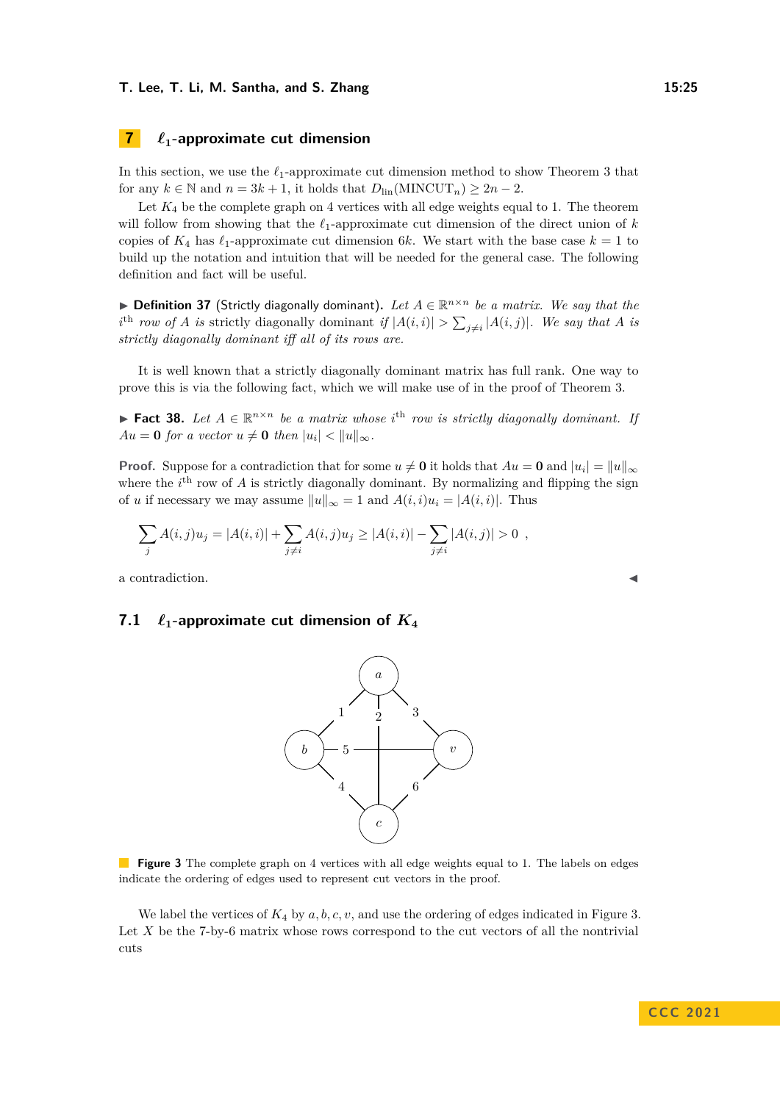# <span id="page-24-0"></span>**7** *ℓ***1-approximate cut dimension**

In this section, we use the *ℓ*1-approximate cut dimension method to show Theorem [3](#page-3-0) that for any  $k \in \mathbb{N}$  and  $n = 3k + 1$ , it holds that  $D_{\text{lin}}(\text{MINCUT}_n) \geq 2n - 2$ .

Let  $K_4$  be the complete graph on 4 vertices with all edge weights equal to 1. The theorem will follow from showing that the *ℓ*1-approximate cut dimension of the direct union of *k* copies of  $K_4$  has  $\ell_1$ -approximate cut dimension 6*k*. We start with the base case  $k = 1$  to build up the notation and intuition that will be needed for the general case. The following definition and fact will be useful.

▶ **Definition 37** (Strictly diagonally dominant)**.** *Let A* ∈ R *<sup>n</sup>*×*<sup>n</sup> be a matrix. We say that the i*<sup>th</sup> row of *A is* strictly diagonally dominant *if*  $|A(i,i)| > \sum_{j\neq i} |A(i,j)|$ *. We say that A is strictly diagonally dominant iff all of its rows are.*

It is well known that a strictly diagonally dominant matrix has full rank. One way to prove this is via the following fact, which we will make use of in the proof of Theorem [3.](#page-3-0)

<span id="page-24-2"></span>▶ **Fact 38.** Let  $A \in \mathbb{R}^{n \times n}$  be a matrix whose *i*<sup>th</sup> row is strictly diagonally dominant. If  $Au = 0$  *for a vector*  $u \neq 0$  *then*  $|u_i| < ||u||_{\infty}$ *.* 

**Proof.** Suppose for a contradiction that for some  $u \neq 0$  it holds that  $Au = 0$  and  $|u_i| = ||u||_{\infty}$ where the  $i^{\text{th}}$  row of *A* is strictly diagonally dominant. By normalizing and flipping the sign of *u* if necessary we may assume  $||u||_{\infty} = 1$  and  $A(i, i)u_i = |A(i, i)|$ . Thus

*a*

3

6

$$
\sum_{j} A(i,j)u_j = |A(i,i)| + \sum_{j \neq i} A(i,j)u_j \geq |A(i,i)| - \sum_{j \neq i} |A(i,j)| > 0,
$$

a contradiction.

# <span id="page-24-1"></span>**7.1**  $\ell_1$ -approximate cut dimension of  $K_4$

*b*

5

4

1 2



*c*

*v*

<span id="page-24-3"></span>We label the vertices of  $K_4$  by  $a, b, c, v$ , and use the ordering of edges indicated in Figure [3.](#page-24-1) Let X be the 7-by-6 matrix whose rows correspond to the cut vectors of all the nontrivial cuts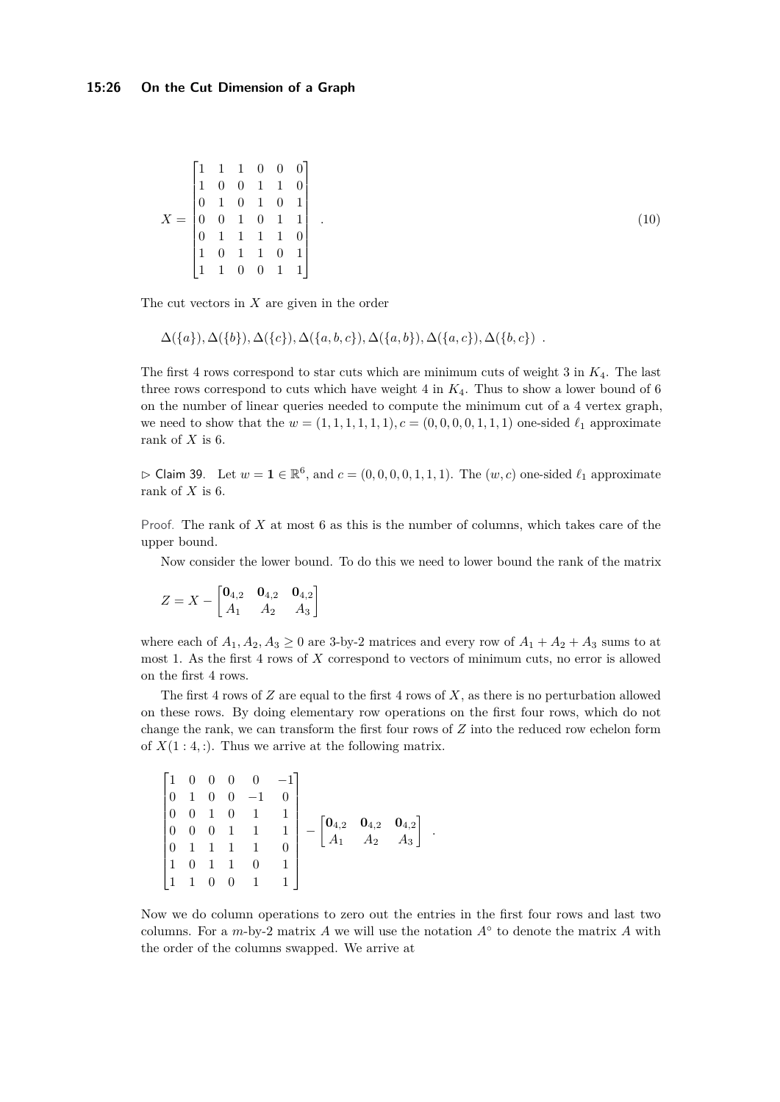$$
X = \begin{bmatrix} 1 & 1 & 1 & 0 & 0 & 0 \\ 1 & 0 & 0 & 1 & 1 & 0 \\ 0 & 1 & 0 & 1 & 0 & 1 \\ 0 & 0 & 1 & 0 & 1 & 1 \\ 0 & 1 & 1 & 1 & 1 & 0 \\ 1 & 0 & 1 & 1 & 0 & 1 \\ 1 & 1 & 0 & 0 & 1 & 1 \end{bmatrix}
$$

The cut vectors in *X* are given in the order

$$
\Delta({a}), \Delta({b}), \Delta({c}), \Delta({a},b,c), \Delta({a},b), \Delta({a},c), \Delta({b},c).
$$

The first 4 rows correspond to star cuts which are minimum cuts of weight 3 in *K*4. The last three rows correspond to cuts which have weight  $4$  in  $K_4$ . Thus to show a lower bound of 6 on the number of linear queries needed to compute the minimum cut of a 4 vertex graph, we need to show that the  $w = (1, 1, 1, 1, 1, 1), c = (0, 0, 0, 0, 1, 1, 1)$  one-sided  $\ell_1$  approximate rank of *X* is 6.

*.* (10)

 $\triangleright$  Claim 39. Let  $w = 1 \in \mathbb{R}^6$ , and  $c = (0, 0, 0, 0, 1, 1, 1)$ . The  $(w, c)$  one-sided  $\ell_1$  approximate rank of *X* is 6.

Proof. The rank of X at most 6 as this is the number of columns, which takes care of the upper bound.

Now consider the lower bound. To do this we need to lower bound the rank of the matrix

$$
Z = X - \begin{bmatrix} \mathbf{0}_{4,2} & \mathbf{0}_{4,2} & \mathbf{0}_{4,2} \\ A_1 & A_2 & A_3 \end{bmatrix}
$$

where each of  $A_1, A_2, A_3 \ge 0$  are 3-by-2 matrices and every row of  $A_1 + A_2 + A_3$  sums to at most 1. As the first 4 rows of *X* correspond to vectors of minimum cuts, no error is allowed on the first 4 rows.

The first 4 rows of *Z* are equal to the first 4 rows of *X*, as there is no perturbation allowed on these rows. By doing elementary row operations on the first four rows, which do not change the rank, we can transform the first four rows of *Z* into the reduced row echelon form of  $X(1:4,:)$ . Thus we arrive at the following matrix.

$$
\begin{bmatrix} 1 & 0 & 0 & 0 & 0 & -1 \\ 0 & 1 & 0 & 0 & -1 & 0 \\ 0 & 0 & 1 & 0 & 1 & 1 \\ 0 & 0 & 0 & 1 & 1 & 1 \\ 0 & 1 & 1 & 1 & 1 & 0 \\ 1 & 0 & 1 & 1 & 0 & 1 \\ 1 & 1 & 0 & 0 & 1 & 1 \end{bmatrix} - \begin{bmatrix} \mathbf{0}_{4,2} & \mathbf{0}_{4,2} & \mathbf{0}_{4,2} \\ A_1 & A_2 & A_3 \end{bmatrix}.
$$

Now we do column operations to zero out the entries in the first four rows and last two columns. For a  $m$ -by-2 matrix  $A$  we will use the notation  $A^{\circ}$  to denote the matrix  $A$  with the order of the columns swapped. We arrive at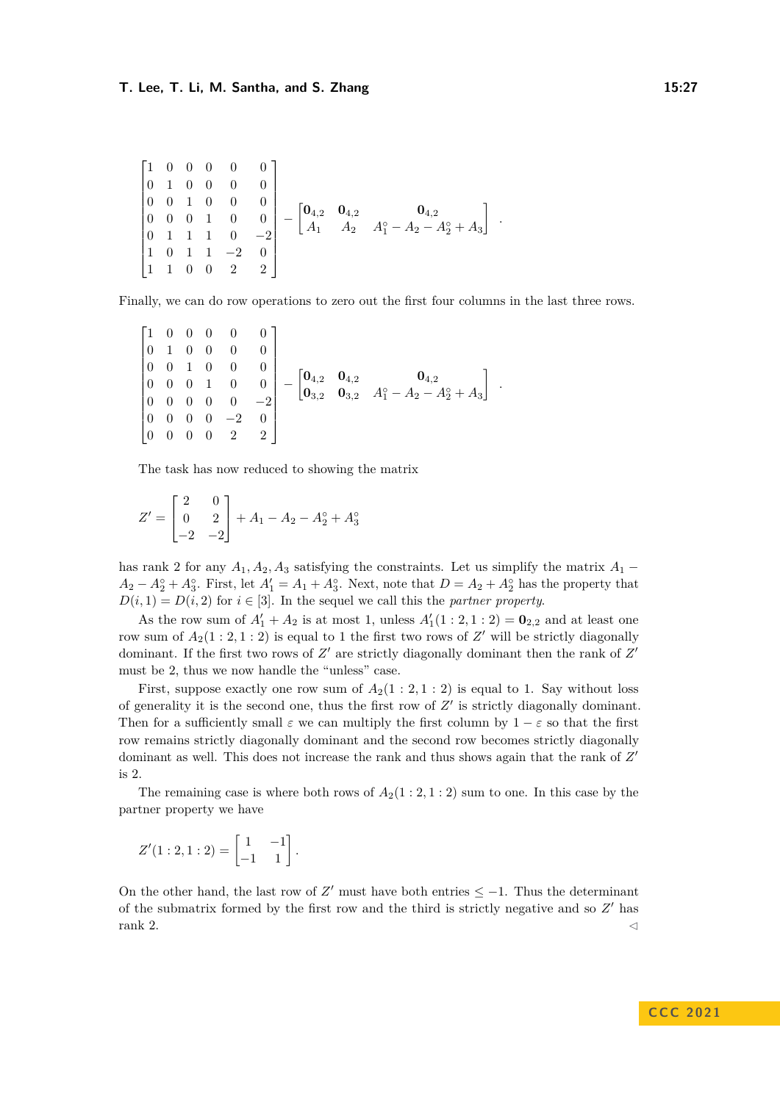$$
\begin{bmatrix} 1 & 0 & 0 & 0 & 0 & 0 \ 0 & 1 & 0 & 0 & 0 & 0 \ 0 & 0 & 1 & 0 & 0 & 0 \ 0 & 0 & 1 & 1 & 0 & -2 \ 1 & 0 & 1 & 1 & -2 & 0 \ 1 & 1 & 0 & 0 & 2 & 2 \ \end{bmatrix} - \begin{bmatrix} \mathbf{0}_{4,2} & \mathbf{0}_{4,2} \\ A_1 & A_2 & A_1^{\circ} - A_2 - A_2^{\circ} + A_3 \end{bmatrix}.
$$

Finally, we can do row operations to zero out the first four columns in the last three rows.

$$
\begin{bmatrix} 1 & 0 & 0 & 0 & 0 & 0 \ 0 & 1 & 0 & 0 & 0 & 0 \ 0 & 0 & 1 & 0 & 0 & 0 \ 0 & 0 & 0 & 1 & 0 & 0 \ 0 & 0 & 0 & 0 & -2 \ 0 & 0 & 0 & 0 & 2 & 2 \ \end{bmatrix} - \begin{bmatrix} \mathbf{0}_{4,2} & \mathbf{0}_{4,2} \\ \mathbf{0}_{3,2} & \mathbf{0}_{3,2} & A_1^{\circ} - A_2 - A_2^{\circ} + A_3 \end{bmatrix}.
$$

The task has now reduced to showing the matrix

$$
Z' = \begin{bmatrix} 2 & 0 \\ 0 & 2 \\ -2 & -2 \end{bmatrix} + A_1 - A_2 - A_2^{\circ} + A_3^{\circ}
$$

has rank 2 for any  $A_1, A_2, A_3$  satisfying the constraints. Let us simplify the matrix  $A_1$  −  $A_2 - A_2^\circ + A_3^\circ$ . First, let  $A_1' = A_1 + A_3^\circ$ . Next, note that  $D = A_2 + A_2^\circ$  has the property that  $D(i, 1) = D(i, 2)$  for  $i \in [3]$ . In the sequel we call this the *partner property*.

As the row sum of  $A'_1 + A_2$  is at most 1, unless  $A'_1(1:2,1:2) = \mathbf{0}_{2,2}$  and at least one row sum of  $A_2(1:2,1:2)$  is equal to 1 the first two rows of  $Z'$  will be strictly diagonally dominant. If the first two rows of  $Z'$  are strictly diagonally dominant then the rank of  $Z'$ must be 2, thus we now handle the "unless" case.

First, suppose exactly one row sum of  $A_2(1:2,1:2)$  is equal to 1. Say without loss of generality it is the second one, thus the first row of *Z* ′ is strictly diagonally dominant. Then for a sufficiently small  $\varepsilon$  we can multiply the first column by  $1 - \varepsilon$  so that the first row remains strictly diagonally dominant and the second row becomes strictly diagonally dominant as well. This does not increase the rank and thus shows again that the rank of  $Z'$ is 2.

The remaining case is where both rows of  $A_2(1:2,1:2)$  sum to one. In this case by the partner property we have

$$
Z'(1:2,1:2) = \begin{bmatrix} 1 & -1 \\ -1 & 1 \end{bmatrix}.
$$

On the other hand, the last row of  $Z'$  must have both entries  $\leq -1$ . Thus the determinant of the submatrix formed by the first row and the third is strictly negative and so *Z* ′ has rank 2.  $\triangleleft$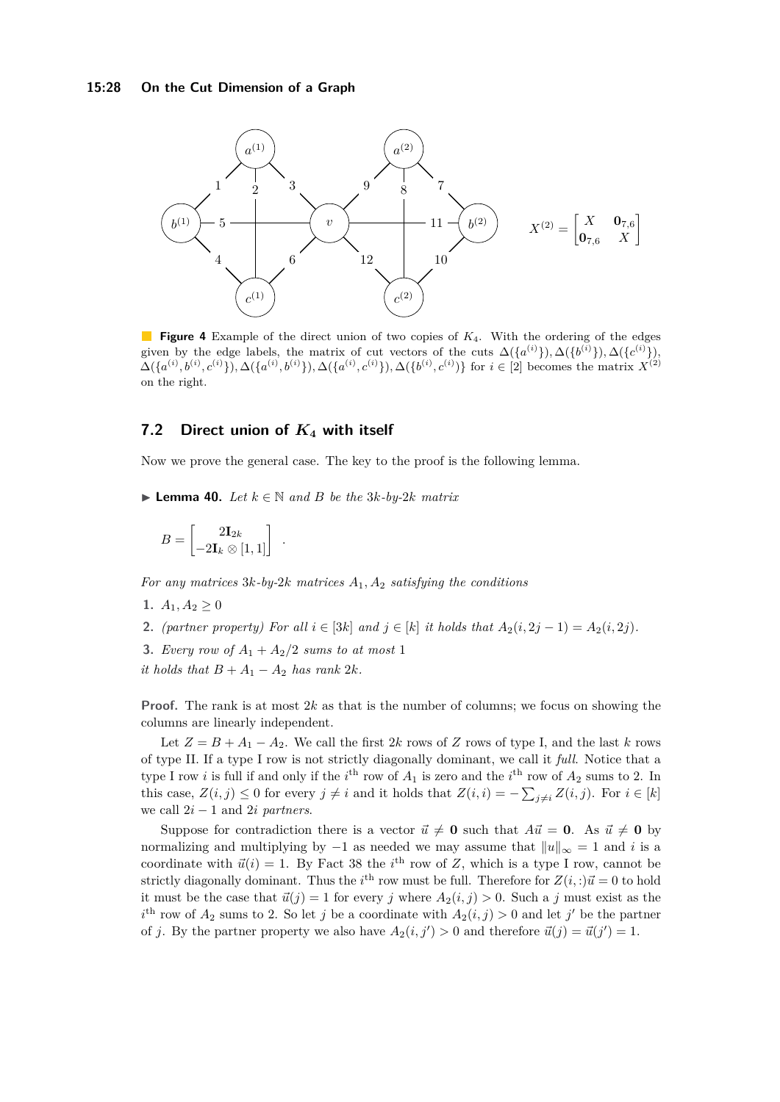<span id="page-27-1"></span>

**Figure 4** Example of the direct union of two copies of *K*4. With the ordering of the edges given by the edge labels, the matrix of cut vectors of the cuts  $\Delta({a^{(i)}}), \Delta({b^{(i)}}), \Delta({c^{(i)}}),$  $\Delta({a^{(i)},b^{(i)},c^{(i)}}), \Delta({a^{(i)},b^{(i)}}), \Delta({a^{(i)},c^{(i)}}), \Delta({b^{(i)},c^{(i)}})$  for  $i \in [2]$  becomes the matrix  $X^{(2)}$ on the right.

# **7.2 Direct union of** *K***<sup>4</sup> with itself**

<span id="page-27-0"></span>Now we prove the general case. The key to the proof is the following lemma.

▶ **Lemma 40.** *Let*  $k \in \mathbb{N}$  *and B be the* 3 $k$ *-by-2* $k$  *matrix* 

$$
B = \begin{bmatrix} 2\mathbf{I}_{2k} \\ -2\mathbf{I}_k \otimes [1,1] \end{bmatrix} .
$$

*For any matrices* 3*k-by-*2*k matrices A*1*, A*<sup>2</sup> *satisfying the conditions*

- 1.  $A_1, A_2 \geq 0$
- **2.** *(partner property) For all*  $i \in [3k]$  *and*  $j \in [k]$  *it holds that*  $A_2(i, 2j 1) = A_2(i, 2j)$ *.*
- **3.** *Every row of*  $A_1 + A_2/2$  *sums to at most* 1
- *it holds that*  $B + A_1 A_2$  *has rank* 2*k.*

**Proof.** The rank is at most 2*k* as that is the number of columns; we focus on showing the columns are linearly independent.

Let  $Z = B + A_1 - A_2$ . We call the first 2*k* rows of *Z* rows of type I, and the last *k* rows of type II. If a type I row is not strictly diagonally dominant, we call it *full*. Notice that a type I row *i* is full if and only if the  $i^{\text{th}}$  row of  $A_1$  is zero and the  $i^{\text{th}}$  row of  $A_2$  sums to 2. In this case,  $Z(i, j) \leq 0$  for every  $j \neq i$  and it holds that  $Z(i, i) = -\sum_{j \neq i} Z(i, j)$ . For  $i \in [k]$ we call  $2i - 1$  and  $2i$  *partners*.

Suppose for contradiction there is a vector  $\vec{u} \neq \mathbf{0}$  such that  $A\vec{u} = \mathbf{0}$ . As  $\vec{u} \neq \mathbf{0}$  by normalizing and multiplying by  $-1$  as needed we may assume that  $||u||_{\infty} = 1$  and *i* is a coordinate with  $\vec{u}(i) = 1$ . By Fact [38](#page-24-2) the *i*<sup>th</sup> row of *Z*, which is a type I row, cannot be strictly diagonally dominant. Thus the *i*<sup>th</sup> row must be full. Therefore for  $Z(i,:) \vec{u} = 0$  to hold it must be the case that  $\vec{u}(j) = 1$  for every *j* where  $A_2(i, j) > 0$ . Such a *j* must exist as the  $i^{\text{th}}$  row of  $A_2$  sums to 2. So let *j* be a coordinate with  $A_2(i,j) > 0$  and let *j*' be the partner of *j*. By the partner property we also have  $A_2(i, j') > 0$  and therefore  $\vec{u}(j) = \vec{u}(j') = 1$ .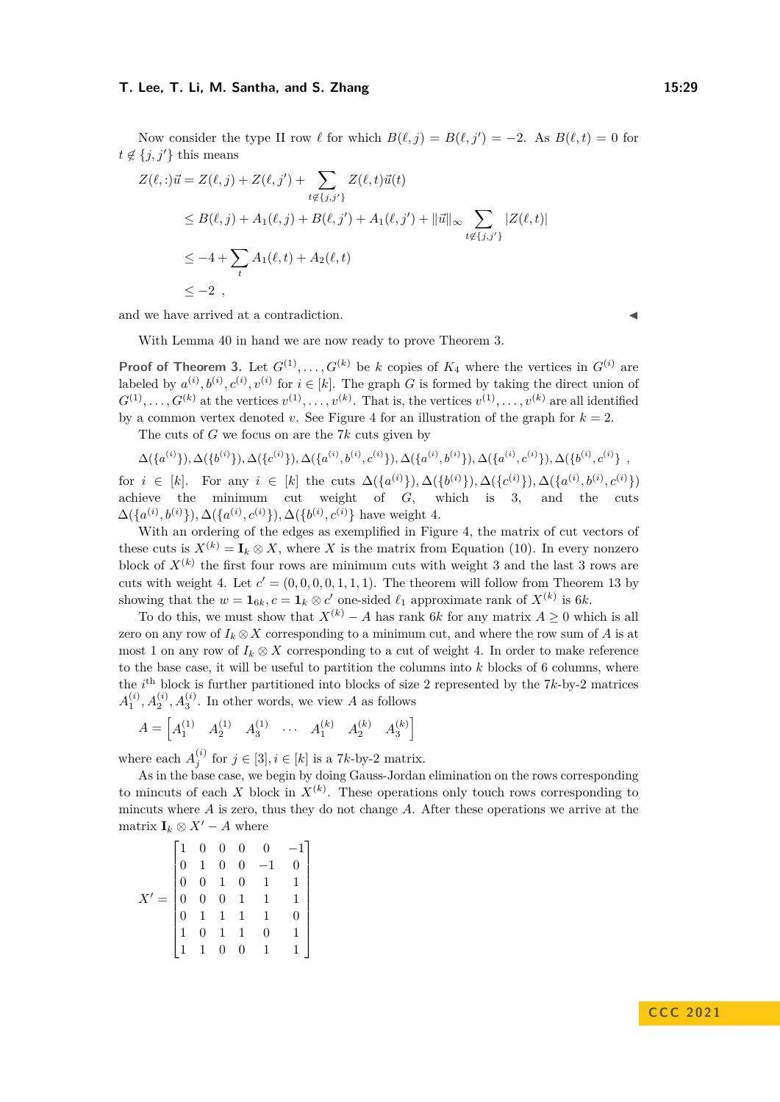Now consider the type II row  $\ell$  for which  $B(\ell, j) = B(\ell, j') = -2$ . As  $B(\ell, t) = 0$  for  $t \notin \{j, j'\}$  this means

$$
Z(\ell, :)\vec{u} = Z(\ell, j) + Z(\ell, j') + \sum_{t \notin \{j, j'\}} Z(\ell, t)\vec{u}(t)
$$
  
\n
$$
\leq B(\ell, j) + A_1(\ell, j) + B(\ell, j') + A_1(\ell, j') + ||\vec{u}||_{\infty} \sum_{t \notin \{j, j'\}} |Z(\ell, t)|
$$
  
\n
$$
\leq -4 + \sum_{t} A_1(\ell, t) + A_2(\ell, t)
$$
  
\n
$$
\leq -2,
$$

and we have arrived at a contradiction.

With Lemma [40](#page-27-0) in hand we are now ready to prove Theorem [3.](#page-3-0)

**Proof of Theorem [3.](#page-3-0)** Let  $G^{(1)}, \ldots, G^{(k)}$  be *k* copies of  $K_4$  where the vertices in  $G^{(i)}$  are labeled by  $a^{(i)}$ ,  $b^{(i)}$ ,  $c^{(i)}$ ,  $v^{(i)}$  for  $i \in [k]$ . The graph *G* is formed by taking the direct union of  $G^{(1)}, \ldots, G^{(k)}$  at the vertices  $v^{(1)}, \ldots, v^{(k)}$ . That is, the vertices  $v^{(1)}, \ldots, v^{(k)}$  are all identified by a common vertex denoted *v*. See Figure [4](#page-27-1) for an illustration of the graph for  $k = 2$ .

The cuts of *G* we focus on are the 7*k* cuts given by

$$
\Delta(\{a^{(i)}\}), \Delta(\{b^{(i)}\}), \Delta(\{c^{(i)}\}), \Delta(\{a^{(i)}, b^{(i)}, c^{(i)}\}), \Delta(\{a^{(i)}, b^{(i)}\}), \Delta(\{a^{(i)}, c^{(i)}\}), \Delta(\{b^{(i)}, c^{(i)}\} \enspace ,
$$

for  $i \in [k]$ . For any  $i \in [k]$  the cuts  $\Delta({a^{(i)}}), \Delta({b^{(i)}}), \Delta({c^{(i)}}), \Delta({a^{(i)}, b^{(i)}, c^{(i)}})$ achieve the minimum cut weight of *G*, which is 3, and the cuts  $\Delta({a^{(i)}, b^{(i)}})$ ,  $\Delta({a^{(i)}, c^{(i)}})$ ,  $\Delta({b^{(i)}, c^{(i)}})$  have weight 4.

With an ordering of the edges as exemplified in Figure [4,](#page-27-1) the matrix of cut vectors of these cuts is  $X^{(k)} = I_k \otimes X$ , where *X* is the matrix from Equation [\(10\)](#page-24-3). In every nonzero block of  $X^{(k)}$  the first four rows are minimum cuts with weight 3 and the last 3 rows are cuts with weight 4. Let  $c' = (0, 0, 0, 0, 1, 1, 1)$ . The theorem will follow from Theorem [13](#page-10-0) by showing that the  $w = \mathbf{1}_{6k}$ ,  $c = \mathbf{1}_k \otimes c'$  one-sided  $\ell_1$  approximate rank of  $X^{(k)}$  is 6*k*.

To do this, we must show that  $X^{(k)} - A$  has rank 6*k* for any matrix  $A \geq 0$  which is all zero on any row of  $I_k \otimes X$  corresponding to a minimum cut, and where the row sum of A is at most 1 on any row of  $I_k \otimes X$  corresponding to a cut of weight 4. In order to make reference to the base case, it will be useful to partition the columns into *k* blocks of 6 columns, where the  $i<sup>th</sup>$  block is further partitioned into blocks of size 2 represented by the  $7k$ -by-2 matrices  $A_1^{(i)}$ ,  $A_2^{(i)}$ ,  $A_3^{(i)}$ . In other words, we view *A* as follows

$$
A = \begin{bmatrix} A_1^{(1)} & A_2^{(1)} & A_3^{(1)} & \cdots & A_1^{(k)} & A_2^{(k)} & A_3^{(k)} \end{bmatrix}
$$

where each  $A_j^{(i)}$  for  $j \in [3], i \in [k]$  is a 7*k*-by-2 matrix.

As in the base case, we begin by doing Gauss-Jordan elimination on the rows corresponding to mincuts of each *X* block in  $X^{(k)}$ . These operations only touch rows corresponding to mincuts where *A* is zero, thus they do not change *A*. After these operations we arrive at the matrix  $\mathbf{I}_k \otimes X' - A$  where

$$
X' = \begin{bmatrix} 1 & 0 & 0 & 0 & 0 & -1 \\ 0 & 1 & 0 & 0 & -1 & 0 \\ 0 & 0 & 1 & 0 & 1 & 1 \\ 0 & 0 & 0 & 1 & 1 & 1 \\ 0 & 1 & 1 & 1 & 1 & 0 \\ 1 & 0 & 1 & 1 & 0 & 1 \\ 1 & 1 & 0 & 0 & 1 & 1 \end{bmatrix}
$$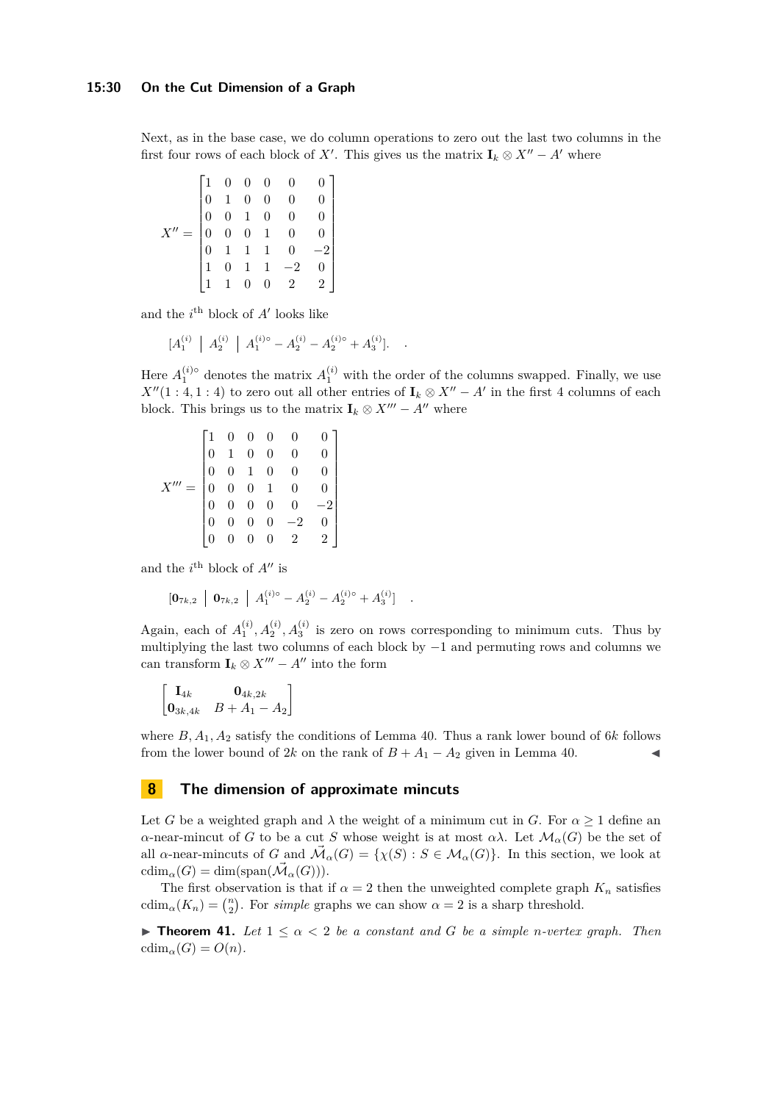Next, as in the base case, we do column operations to zero out the last two columns in the first four rows of each block of *X'*. This gives us the matrix  $\mathbf{I}_k \otimes X'' - A'$  where

$$
X'' = \begin{bmatrix} 1 & 0 & 0 & 0 & 0 & 0 \\ 0 & 1 & 0 & 0 & 0 & 0 \\ 0 & 0 & 1 & 0 & 0 & 0 \\ 0 & 0 & 0 & 1 & 0 & 0 \\ 0 & 1 & 1 & 1 & 0 & -2 \\ 1 & 0 & 1 & 1 & -2 & 0 \\ 1 & 1 & 0 & 0 & 2 & 2 \end{bmatrix}
$$

and the  $i^{\text{th}}$  block of  $A'$  looks like

$$
[A_1^{(i)} \mid A_2^{(i)} \mid A_1^{(i)} - A_2^{(i)} - A_2^{(i)} - A_3^{(i)}]. \quad .
$$

Here  $A_1^{(i)}$  denotes the matrix  $A_1^{(i)}$  with the order of the columns swapped. Finally, we use *X*<sup> $\prime$ </sup>(1 : 4*,* 1 : 4) to zero out all other entries of **I**<sub>*k*</sub> ⊗ *X*<sup> $\prime$ </sup> – *A*<sup> $\prime$ </sup> in the first 4 columns of each block. This brings us to the matrix  $\mathbf{I}_k \otimes X''' - A''$  where

$$
X''' = \begin{bmatrix} 1 & 0 & 0 & 0 & 0 & 0 \\ 0 & 1 & 0 & 0 & 0 & 0 \\ 0 & 0 & 1 & 0 & 0 & 0 \\ 0 & 0 & 0 & 1 & 0 & 0 \\ 0 & 0 & 0 & 0 & 0 & -2 \\ 0 & 0 & 0 & 0 & -2 & 0 \\ 0 & 0 & 0 & 0 & 2 & 2 \end{bmatrix}
$$

and the  $i^{\text{th}}$  block of  $A''$  is

$$
\begin{bmatrix} \mathbf{0}_{7k,2} & \mathbf{0}_{7k,2} & A_1^{(i)} \end{bmatrix} A_1^{(i)} - A_2^{(i)} - A_2^{(i)} - A_3^{(i)} \quad .
$$

Again, each of  $A_1^{(i)}$ ,  $A_2^{(i)}$ ,  $A_3^{(i)}$  is zero on rows corresponding to minimum cuts. Thus by multiplying the last two columns of each block by −1 and permuting rows and columns we can transform  $\mathbf{I}_k \otimes X''' - A''$  into the form

$$
\begin{bmatrix} \mathbf{I}_{4k} & \mathbf{0}_{4k,2k} \\ \mathbf{0}_{3k,4k} & B+A_1-A_2 \end{bmatrix}
$$

where *B, A*1*, A*<sup>2</sup> satisfy the conditions of Lemma [40.](#page-27-0) Thus a rank lower bound of 6*k* follows from the lower bound of 2*k* on the rank of  $B + A_1 - A_2$  given in Lemma [40.](#page-27-0)

# <span id="page-29-0"></span>**8 The dimension of approximate mincuts**

Let *G* be a weighted graph and  $\lambda$  the weight of a minimum cut in *G*. For  $\alpha \geq 1$  define an *α*-near-mincut of *G* to be a cut *S* whose weight is at most *αλ*. Let  $\mathcal{M}_{\alpha}(G)$  be the set of all *α*-near-mincuts of *G* and  $\vec{\mathcal{M}}_{\alpha}(G) = \{\chi(S) : S \in \mathcal{M}_{\alpha}(G)\}\$ . In this section, we look at  $cdim_{\alpha}(G) = dim(span(\vec{\mathcal{M}}_{\alpha}(G))).$ 

The first observation is that if  $\alpha = 2$  then the unweighted complete graph  $K_n$  satisfies  $\text{cdim}_{\alpha}(K_n) = \binom{n}{2}$ . For *simple* graphs we can show  $\alpha = 2$  is a sharp threshold.

<span id="page-29-1"></span>**► Theorem 41.** Let  $1 \leq \alpha < 2$  be a constant and G be a simple *n*-vertex graph. Then cdim<sub>α</sub> $(G) = O(n)$ .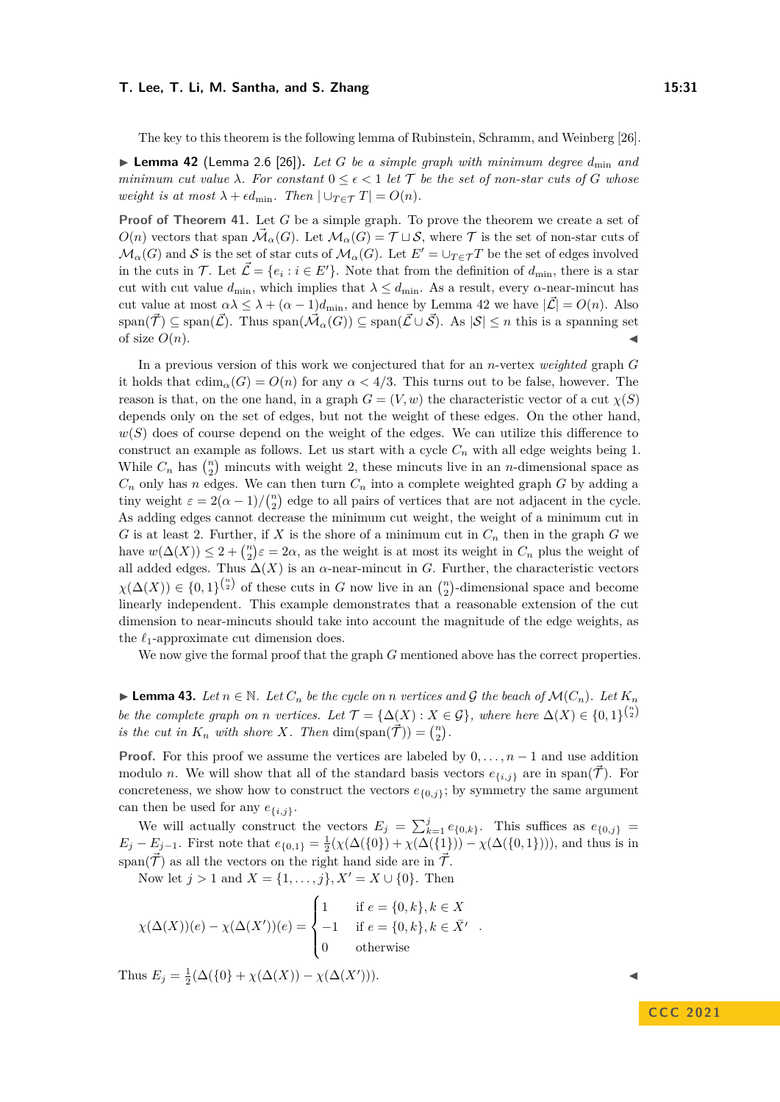The key to this theorem is the following lemma of Rubinstein, Schramm, and Weinberg [\[26\]](#page-32-7).

<span id="page-30-0"></span> $\blacktriangleright$  **Lemma 42** (Lemma 2.6 [\[26\]](#page-32-7)). Let G be a simple graph with minimum degree  $d_{\min}$  and *minimum cut value*  $\lambda$ *. For constant*  $0 \leq \epsilon < 1$  *let* T *be the set of non-star cuts of G whose weight is at most*  $\lambda + \epsilon d_{\min}$ *. Then*  $|\cup_{T \in \mathcal{T}} T| = O(n)$ *.* 

**Proof of Theorem [41.](#page-29-1)** Let *G* be a simple graph. To prove the theorem we create a set of  $O(n)$  vectors that span  $\vec{\mathcal{M}}_{\alpha}(G)$ . Let  $\mathcal{M}_{\alpha}(G) = \mathcal{T} \sqcup \mathcal{S}$ , where  $\mathcal{T}$  is the set of non-star cuts of  $\mathcal{M}_{\alpha}(G)$  and S is the set of star cuts of  $\mathcal{M}_{\alpha}(G)$ . Let  $E' = \bigcup_{T \in \mathcal{T}} T$  be the set of edges involved in the cuts in T. Let  $\vec{\mathcal{L}} = \{e_i : i \in E'\}$ . Note that from the definition of  $d_{\text{min}}$ , there is a star cut with cut value  $d_{\min}$ , which implies that  $\lambda \leq d_{\min}$ . As a result, every  $\alpha$ -near-mincut has cut value at most  $\alpha \lambda \leq \lambda + (\alpha - 1)d_{\text{min}}$ , and hence by Lemma [42](#page-30-0) we have  $|\mathcal{L}| = O(n)$ . Also  $\text{span}(\vec{\mathcal{T}}) \subseteq \text{span}(\vec{\mathcal{L}})$ . Thus  $\text{span}(\vec{\mathcal{M}}_{\alpha}(G)) \subseteq \text{span}(\vec{\mathcal{L}} \cup \vec{\mathcal{S}})$ . As  $|\mathcal{S}| \leq n$  this is a spanning set of size  $O(n)$ .

In a previous version of this work we conjectured that for an *n*-vertex *weighted* graph *G* it holds that  $\text{cdim}_{\alpha}(G) = O(n)$  for any  $\alpha < 4/3$ . This turns out to be false, however. The reason is that, on the one hand, in a graph  $G = (V, w)$  the characteristic vector of a cut  $\chi(S)$ depends only on the set of edges, but not the weight of these edges. On the other hand,  $w(S)$  does of course depend on the weight of the edges. We can utilize this difference to construct an example as follows. Let us start with a cycle  $C_n$  with all edge weights being 1. While  $C_n$  has  $\binom{n}{2}$  mincuts with weight 2, these mincuts live in an *n*-dimensional space as  $C_n$  only has *n* edges. We can then turn  $C_n$  into a complete weighted graph *G* by adding a tiny weight  $\varepsilon = 2(\alpha - 1)/\binom{n}{2}$  edge to all pairs of vertices that are not adjacent in the cycle. As adding edges cannot decrease the minimum cut weight, the weight of a minimum cut in *G* is at least 2. Further, if *X* is the shore of a minimum cut in  $C_n$  then in the graph *G* we have  $w(\Delta(X)) \leq 2 + {n \choose 2} \varepsilon = 2\alpha$ , as the weight is at most its weight in  $C_n$  plus the weight of all added edges. Thus  $\Delta(X)$  is an  $\alpha$ -near-mincut in *G*. Further, the characteristic vectors  $\chi(\Delta(X)) \in \{0,1\}^{n \choose 2}$  of these cuts in *G* now live in an  $\binom{n}{2}$ -dimensional space and become linearly independent. This example demonstrates that a reasonable extension of the cut dimension to near-mincuts should take into account the magnitude of the edge weights, as the *ℓ*1-approximate cut dimension does.

We now give the formal proof that the graph *G* mentioned above has the correct properties.

<span id="page-30-1"></span>▶ **Lemma 43.** Let  $n \in \mathbb{N}$ . Let  $C_n$  be the cycle on *n* vertices and G the beach of  $\mathcal{M}(C_n)$ . Let  $K_n$ *be the complete graph on n vertices. Let*  $\mathcal{T} = {\Delta(X) : X \in \mathcal{G}}$ , where here  $\Delta(X) \in \{0,1\}^{\binom{n}{2}}$ *is the cut in*  $K_n$  *with shore*  $X$ *. Then*  $\dim(\text{span}(\vec{\mathcal{T}})) = \binom{n}{2}$ *.* 

**Proof.** For this proof we assume the vertices are labeled by  $0, \ldots, n-1$  and use addition modulo *n*. We will show that all of the standard basis vectors  $e_{\{i,j\}}$  are in span( $\mathcal{T}$ ). For concreteness, we show how to construct the vectors  $e_{\{0,j\}}$ ; by symmetry the same argument can then be used for any  $e_{\{i,j\}}$ .

We will actually construct the vectors  $E_j = \sum_{k=1}^j e_{\{0,k\}}$ . This suffices as  $e_{\{0,j\}} =$  $E_j - E_{j-1}$ . First note that  $e_{\{0,1\}} = \frac{1}{2}(\chi(\Delta(\{0\}) + \chi(\Delta(\{1\})) - \chi(\Delta(\{0,1\}))),$  and thus is in span( $\vec{\mathcal{T}}$ ) as all the vectors on the right hand side are in  $\vec{\mathcal{T}}$ .

Now let  $j > 1$  and  $X = \{1, \ldots, j\}, X' = X \cup \{0\}.$  Then

$$
\chi(\Delta(X))(e) - \chi(\Delta(X'))(e) = \begin{cases} 1 & \text{if } e = \{0, k\}, k \in X \\ -1 & \text{if } e = \{0, k\}, k \in \overline{X}' \\ 0 & \text{otherwise} \end{cases}
$$

Thus  $E_j = \frac{1}{2}(\Delta({0}) + \chi(\Delta(X)) - \chi(\Delta(X'))$  $))$ ).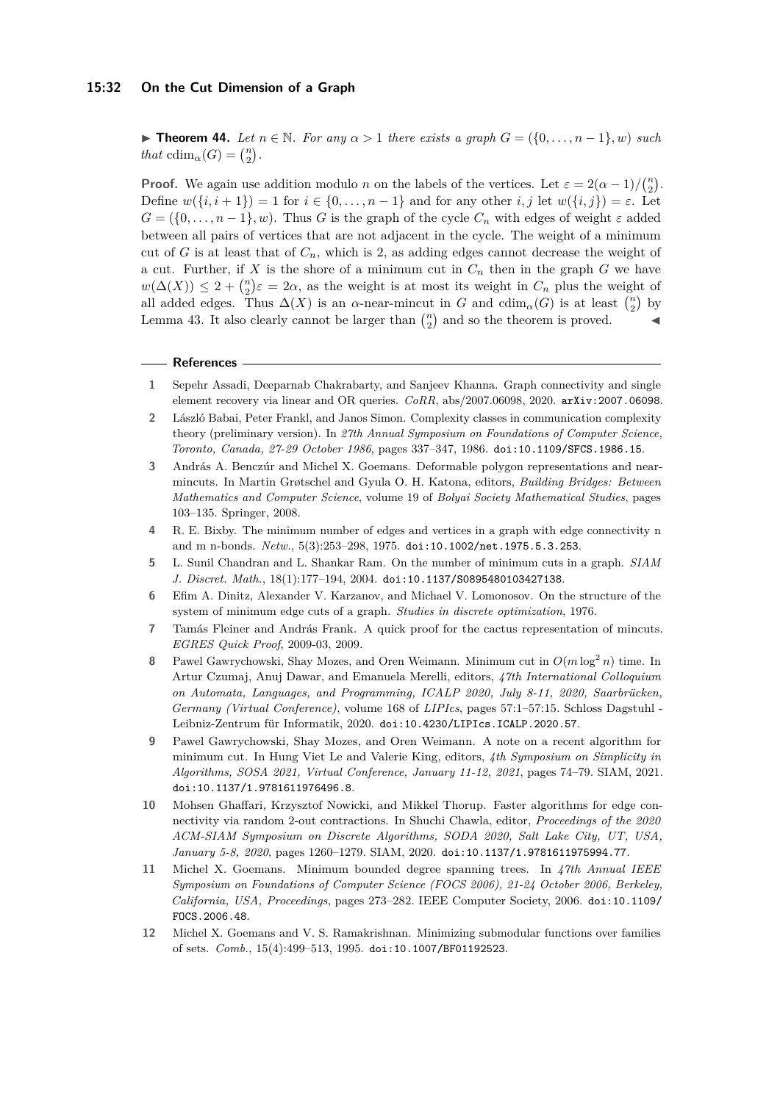## **15:32 On the Cut Dimension of a Graph**

▶ **Theorem 44.** Let  $n \in \mathbb{N}$ . For any  $\alpha > 1$  there exists a graph  $G = (\{0, \ldots, n-1\}, w)$  such *that*  $cdim_{\alpha}(G) = \binom{n}{2}$ .

**Proof.** We again use addition modulo *n* on the labels of the vertices. Let  $\varepsilon = 2(\alpha - 1)/\binom{n}{2}$ . Define  $w(\{i, i+1\}) = 1$  for  $i \in \{0, \ldots, n-1\}$  and for any other  $i, j$  let  $w(\{i, j\}) = \varepsilon$ . Let  $G = (\{0, \ldots, n-1\}, w)$ . Thus *G* is the graph of the cycle  $C_n$  with edges of weight  $\varepsilon$  added between all pairs of vertices that are not adjacent in the cycle. The weight of a minimum cut of *G* is at least that of  $C_n$ , which is 2, as adding edges cannot decrease the weight of a cut. Further, if  $X$  is the shore of a minimum cut in  $C_n$  then in the graph  $G$  we have  $w(\Delta(X)) \leq 2 + {n \choose 2} \varepsilon = 2\alpha$ , as the weight is at most its weight in  $C_n$  plus the weight of all added edges. Thus  $\Delta(X)$  is an *α*-near-mincut in *G* and  $\text{cdim}_{\alpha}(G)$  is at least  $\binom{n}{2}$  by Lemma [43.](#page-30-1) It also clearly cannot be larger than  $\binom{n}{2}$  and so the theorem is proved.

#### **References**

- <span id="page-31-5"></span>**1** Sepehr Assadi, Deeparnab Chakrabarty, and Sanjeev Khanna. Graph connectivity and single element recovery via linear and OR queries. *CoRR*, abs/2007.06098, 2020. [arXiv:2007.06098](http://arxiv.org/abs/2007.06098).
- <span id="page-31-3"></span>**2** László Babai, Peter Frankl, and Janos Simon. Complexity classes in communication complexity theory (preliminary version). In *27th Annual Symposium on Foundations of Computer Science, Toronto, Canada, 27-29 October 1986*, pages 337–347, 1986. [doi:10.1109/SFCS.1986.15](https://doi.org/10.1109/SFCS.1986.15).
- <span id="page-31-9"></span>**3** András A. Benczúr and Michel X. Goemans. Deformable polygon representations and nearmincuts. In Martin Grøtschel and Gyula O. H. Katona, editors, *Building Bridges: Between Mathematics and Computer Science*, volume 19 of *Bolyai Society Mathematical Studies*, pages 103–135. Springer, 2008.
- <span id="page-31-11"></span>**4** R. E. Bixby. The minimum number of edges and vertices in a graph with edge connectivity n and m n-bonds. *Netw.*, 5(3):253–298, 1975. [doi:10.1002/net.1975.5.3.253](https://doi.org/10.1002/net.1975.5.3.253).
- <span id="page-31-7"></span>**5** L. Sunil Chandran and L. Shankar Ram. On the number of minimum cuts in a graph. *SIAM J. Discret. Math.*, 18(1):177–194, 2004. [doi:10.1137/S0895480103427138](https://doi.org/10.1137/S0895480103427138).
- <span id="page-31-4"></span>**6** Efim A. Dinitz, Alexander V. Karzanov, and Michael V. Lomonosov. On the structure of the system of minimum edge cuts of a graph. *Studies in discrete optimization*, 1976.
- <span id="page-31-6"></span>**7** Tamás Fleiner and András Frank. A quick proof for the cactus representation of mincuts. *EGRES Quick Proof*, 2009-03, 2009.
- <span id="page-31-0"></span>**8** Pawel Gawrychowski, Shay Mozes, and Oren Weimann. Minimum cut in *O*(*m* log<sup>2</sup> *n*) time. In Artur Czumaj, Anuj Dawar, and Emanuela Merelli, editors, *47th International Colloquium on Automata, Languages, and Programming, ICALP 2020, July 8-11, 2020, Saarbrücken, Germany (Virtual Conference)*, volume 168 of *LIPIcs*, pages 57:1–57:15. Schloss Dagstuhl - Leibniz-Zentrum für Informatik, 2020. [doi:10.4230/LIPIcs.ICALP.2020.57](https://doi.org/10.4230/LIPIcs.ICALP.2020.57).
- <span id="page-31-1"></span>**9** Pawel Gawrychowski, Shay Mozes, and Oren Weimann. A note on a recent algorithm for minimum cut. In Hung Viet Le and Valerie King, editors, *4th Symposium on Simplicity in Algorithms, SOSA 2021, Virtual Conference, January 11-12, 2021*, pages 74–79. SIAM, 2021. [doi:10.1137/1.9781611976496.8](https://doi.org/10.1137/1.9781611976496.8).
- <span id="page-31-2"></span>**10** Mohsen Ghaffari, Krzysztof Nowicki, and Mikkel Thorup. Faster algorithms for edge connectivity via random 2-out contractions. In Shuchi Chawla, editor, *Proceedings of the 2020 ACM-SIAM Symposium on Discrete Algorithms, SODA 2020, Salt Lake City, UT, USA, January 5-8, 2020*, pages 1260–1279. SIAM, 2020. [doi:10.1137/1.9781611975994.77](https://doi.org/10.1137/1.9781611975994.77).
- <span id="page-31-10"></span>**11** Michel X. Goemans. Minimum bounded degree spanning trees. In *47th Annual IEEE Symposium on Foundations of Computer Science (FOCS 2006), 21-24 October 2006, Berkeley, California, USA, Proceedings*, pages 273–282. IEEE Computer Society, 2006. [doi:10.1109/](https://doi.org/10.1109/FOCS.2006.48) [FOCS.2006.48](https://doi.org/10.1109/FOCS.2006.48).
- <span id="page-31-8"></span>**12** Michel X. Goemans and V. S. Ramakrishnan. Minimizing submodular functions over families of sets. *Comb.*, 15(4):499–513, 1995. [doi:10.1007/BF01192523](https://doi.org/10.1007/BF01192523).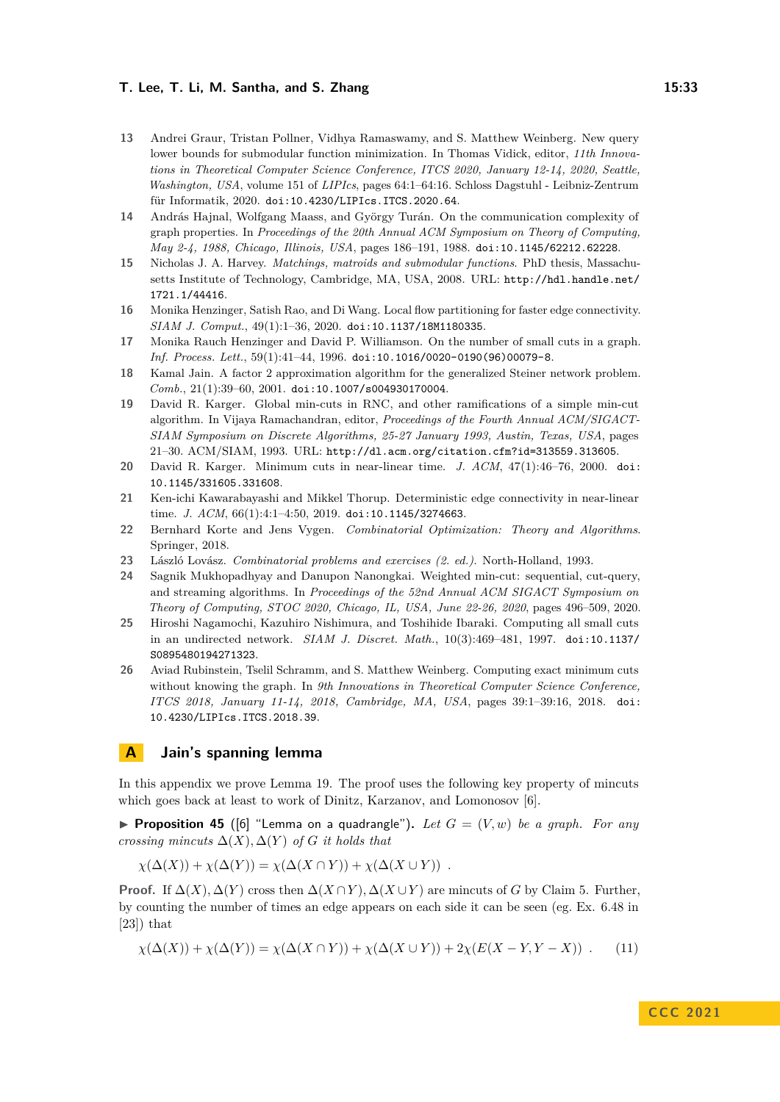- <span id="page-32-0"></span>**13** Andrei Graur, Tristan Pollner, Vidhya Ramaswamy, and S. Matthew Weinberg. New query lower bounds for submodular function minimization. In Thomas Vidick, editor, *11th Innovations in Theoretical Computer Science Conference, ITCS 2020, January 12-14, 2020, Seattle, Washington, USA*, volume 151 of *LIPIcs*, pages 64:1–64:16. Schloss Dagstuhl - Leibniz-Zentrum für Informatik, 2020. [doi:10.4230/LIPIcs.ITCS.2020.64](https://doi.org/10.4230/LIPIcs.ITCS.2020.64).
- <span id="page-32-6"></span>**14** András Hajnal, Wolfgang Maass, and György Turán. On the communication complexity of graph properties. In *Proceedings of the 20th Annual ACM Symposium on Theory of Computing, May 2-4, 1988, Chicago, Illinois, USA*, pages 186–191, 1988. [doi:10.1145/62212.62228](https://doi.org/10.1145/62212.62228).
- <span id="page-32-5"></span>**15** Nicholas J. A. Harvey. *Matchings, matroids and submodular functions*. PhD thesis, Massachusetts Institute of Technology, Cambridge, MA, USA, 2008. URL: [http://hdl.handle.net/](http://hdl.handle.net/1721.1/44416) [1721.1/44416](http://hdl.handle.net/1721.1/44416).
- <span id="page-32-4"></span>**16** Monika Henzinger, Satish Rao, and Di Wang. Local flow partitioning for faster edge connectivity. *SIAM J. Comput.*, 49(1):1–36, 2020. [doi:10.1137/18M1180335](https://doi.org/10.1137/18M1180335).
- <span id="page-32-11"></span>**17** Monika Rauch Henzinger and David P. Williamson. On the number of small cuts in a graph. *Inf. Process. Lett.*, 59(1):41–44, 1996. [doi:10.1016/0020-0190\(96\)00079-8](https://doi.org/10.1016/0020-0190(96)00079-8).
- <span id="page-32-9"></span>**18** Kamal Jain. A factor 2 approximation algorithm for the generalized Steiner network problem. *Comb.*, 21(1):39–60, 2001. [doi:10.1007/s004930170004](https://doi.org/10.1007/s004930170004).
- <span id="page-32-8"></span>**19** David R. Karger. Global min-cuts in RNC, and other ramifications of a simple min-cut algorithm. In Vijaya Ramachandran, editor, *Proceedings of the Fourth Annual ACM/SIGACT-SIAM Symposium on Discrete Algorithms, 25-27 January 1993, Austin, Texas, USA*, pages 21–30. ACM/SIAM, 1993. URL: <http://dl.acm.org/citation.cfm?id=313559.313605>.
- <span id="page-32-1"></span>**20** David R. Karger. Minimum cuts in near-linear time. *J. ACM*, 47(1):46–76, 2000. [doi:](https://doi.org/10.1145/331605.331608) [10.1145/331605.331608](https://doi.org/10.1145/331605.331608).
- <span id="page-32-3"></span>**21** Ken-ichi Kawarabayashi and Mikkel Thorup. Deterministic edge connectivity in near-linear time. *J. ACM*, 66(1):4:1-4:50, 2019. [doi:10.1145/3274663](https://doi.org/10.1145/3274663).
- <span id="page-32-12"></span>**22** Bernhard Korte and Jens Vygen. *Combinatorial Optimization: Theory and Algorithms*. Springer, 2018.
- <span id="page-32-15"></span>**23** László Lovász. *Combinatorial problems and exercises (2. ed.)*. North-Holland, 1993.
- <span id="page-32-2"></span>**24** Sagnik Mukhopadhyay and Danupon Nanongkai. Weighted min-cut: sequential, cut-query, and streaming algorithms. In *Proceedings of the 52nd Annual ACM SIGACT Symposium on Theory of Computing, STOC 2020, Chicago, IL, USA, June 22-26, 2020*, pages 496–509, 2020.
- <span id="page-32-10"></span>**25** Hiroshi Nagamochi, Kazuhiro Nishimura, and Toshihide Ibaraki. Computing all small cuts in an undirected network. *SIAM J. Discret. Math.*, 10(3):469–481, 1997. [doi:10.1137/](https://doi.org/10.1137/S0895480194271323) [S0895480194271323](https://doi.org/10.1137/S0895480194271323).
- <span id="page-32-7"></span>**26** Aviad Rubinstein, Tselil Schramm, and S. Matthew Weinberg. Computing exact minimum cuts without knowing the graph. In *9th Innovations in Theoretical Computer Science Conference, ITCS 2018, January 11-14, 2018, Cambridge, MA, USA*, pages 39:1–39:16, 2018. [doi:](https://doi.org/10.4230/LIPIcs.ITCS.2018.39) [10.4230/LIPIcs.ITCS.2018.39](https://doi.org/10.4230/LIPIcs.ITCS.2018.39).

# <span id="page-32-14"></span>**A Jain's spanning lemma**

In this appendix we prove Lemma [19.](#page-13-0) The proof uses the following key property of mincuts which goes back at least to work of Dinitz, Karzanov, and Lomonosov [\[6\]](#page-31-4).

<span id="page-32-13"></span>**• Proposition 45** ([\[6\]](#page-31-4) "Lemma on a quadrangle"). Let  $G = (V, w)$  be a graph. For any *crossing mincuts*  $\Delta(X)$ ,  $\Delta(Y)$  *of G it holds that* 

$$
\chi(\Delta(X)) + \chi(\Delta(Y)) = \chi(\Delta(X \cap Y)) + \chi(\Delta(X \cup Y)) .
$$

**Proof.** If  $\Delta(X)$ ,  $\Delta(Y)$  cross then  $\Delta(X \cap Y)$ ,  $\Delta(X \cup Y)$  are mincuts of *G* by Claim [5.](#page-7-2) Further, by counting the number of times an edge appears on each side it can be seen (eg. Ex. 6.48 in  $[23]$ ) that

<span id="page-32-16"></span>
$$
\chi(\Delta(X)) + \chi(\Delta(Y)) = \chi(\Delta(X \cap Y)) + \chi(\Delta(X \cup Y)) + 2\chi(E(X - Y, Y - X)) \tag{11}
$$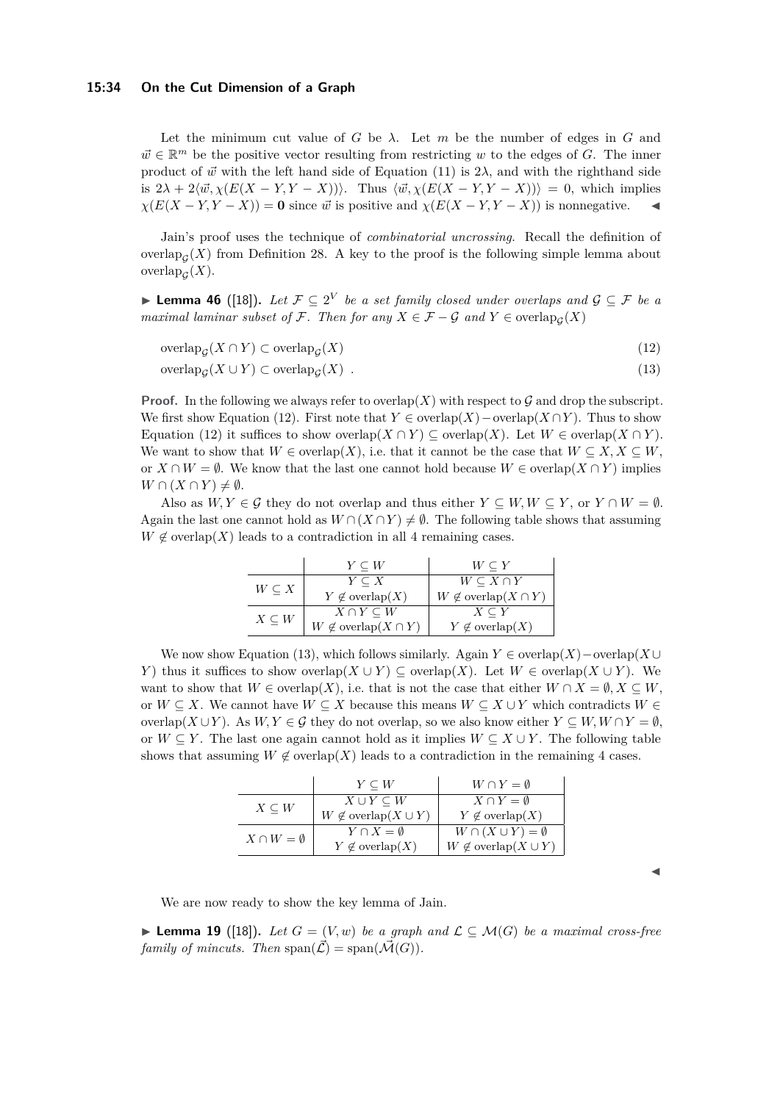Let the minimum cut value of *G* be  $\lambda$ . Let *m* be the number of edges in *G* and  $\vec{w} \in \mathbb{R}^m$  be the positive vector resulting from restricting *w* to the edges of *G*. The inner product of  $\vec{w}$  with the left hand side of Equation [\(11\)](#page-32-16) is  $2\lambda$ , and with the righthand side is  $2\lambda + 2\langle \vec{w}, \chi(E(X - Y, Y - X)) \rangle$ . Thus  $\langle \vec{w}, \chi(E(X - Y, Y - X)) \rangle = 0$ , which implies  $\chi(E(X - Y, Y - X)) = 0$  since  $\vec{w}$  is positive and  $\chi(E(X - Y, Y - X))$  is nonnegative.

Jain's proof uses the technique of *combinatorial uncrossing*. Recall the definition of overlap<sub> $\mathcal{G}(X)$ </sub> from Definition [28.](#page-16-2) A key to the proof is the following simple lemma about  $\operatorname{overlap}_{\mathcal{G}}(X)$ .

<span id="page-33-0"></span>▶ **Lemma 46** ([\[18\]](#page-32-9)). Let  $\mathcal{F} \subseteq 2^V$  be a set family closed under overlaps and  $\mathcal{G} \subseteq \mathcal{F}$  be a *maximal laminar subset of*  $\mathcal{F}$ *. Then for any*  $X \in \mathcal{F} - \mathcal{G}$  and  $Y \in \text{overlap}_{\mathcal{G}}(X)$ 

$$
\operatorname{overlap}_{\mathcal{G}}(X \cap Y) \subset \operatorname{overlap}_{\mathcal{G}}(X) \tag{12}
$$

 $\mathrm{overlap}_{\mathcal{G}}(X \cup Y) \subset \mathrm{overlap}_{\mathcal{G}}$  $(X)$  (13)

**Proof.** In the following we always refer to overlap(X) with respect to  $\mathcal G$  and drop the subscript. We first show Equation [\(12\)](#page-33-1). First note that  $Y \in \text{overlap}(X) - \text{overlap}(X \cap Y)$ . Thus to show Equation [\(12\)](#page-33-1) it suffices to show overlap( $X \cap Y$ )  $\subseteq$  overlap( $X$ ). Let  $W \in \text{overlap}(X \cap Y)$ . We want to show that  $W \in \text{overlap}(X)$ , i.e. that it cannot be the case that  $W \subseteq X, X \subseteq W$ , or  $X \cap W = ∅$ . We know that the last one cannot hold because  $W \in \text{overlap}(X \cap Y)$  implies  $W \cap (X \cap Y) \neq \emptyset$ .

Also as  $W, Y \in \mathcal{G}$  they do not overlap and thus either  $Y \subseteq W, W \subseteq Y$ , or  $Y \cap W = \emptyset$ . Again the last one cannot hold as  $W \cap (X \cap Y) \neq \emptyset$ . The following table shows that assuming  $W \notin \text{overlap}(X)$  leads to a contradiction in all 4 remaining cases.

<span id="page-33-2"></span><span id="page-33-1"></span>

|                 | $Y \subseteq W$                     | $W \subseteq Y$                     |
|-----------------|-------------------------------------|-------------------------------------|
| $W \subseteq X$ | $Y \subseteq X$                     | $W \subseteq X \cap Y$              |
|                 | $Y \notin \text{overlap}(X)$        | $W \notin \text{overlap}(X \cap Y)$ |
| $X \subseteq W$ | $X \cap Y \subseteq W$              | $X \subseteq Y$                     |
|                 | $W \notin \text{overlap}(X \cap Y)$ | $Y \notin \text{overlap}(X)$        |

We now show Equation [\(13\)](#page-33-2), which follows similarly. Again  $Y \in \text{overlap}(X) - \text{overlap}(X \cup$ *Y*) thus it suffices to show overlap( $X \cup Y$ ) ⊂ overlap( $X$ ). Let  $W \in \text{overlap}(X \cup Y)$ . We want to show that  $W \in \text{overlap}(X)$ , i.e. that is not the case that either  $W \cap X = \emptyset, X \subseteq W$ , or  $W \subseteq X$ . We cannot have  $W \subseteq X$  because this means  $W \subseteq X \cup Y$  which contradicts  $W \in$ overlap(*X* ∪*Y*). As  $W, Y \in \mathcal{G}$  they do not overlap, so we also know either  $Y \subseteq W, W \cap Y = \emptyset$ , or  $W \subseteq Y$ . The last one again cannot hold as it implies  $W \subseteq X \cup Y$ . The following table shows that assuming  $W \notin \text{overlap}(X)$  leads to a contradiction in the remaining 4 cases.

|                        | $Y \subseteq W$                     | $W \cap Y = \emptyset$              |
|------------------------|-------------------------------------|-------------------------------------|
| $X \subseteq W$        | $X \cup Y \subseteq W$              | $X \cap Y = \emptyset$              |
|                        | $W \notin \text{overlap}(X \cup Y)$ | $Y \notin \text{overlap}(X)$        |
| $X \cap W = \emptyset$ | $Y \cap X = \emptyset$              | $W \cap (X \cup Y) = \emptyset$     |
|                        | $Y \notin \text{overlap}(X)$        | $W \notin \text{overlap}(X \cup Y)$ |

We are now ready to show the key lemma of Jain.

▶ **Lemma 19** ([\[18\]](#page-32-9)). Let  $G = (V, w)$  be a graph and  $\mathcal{L} \subseteq \mathcal{M}(G)$  be a maximal cross-free *family of mincuts.* Then  $\text{span}(\vec{\mathcal{L}}) = \text{span}(\vec{\mathcal{M}}(G)).$ 

◀